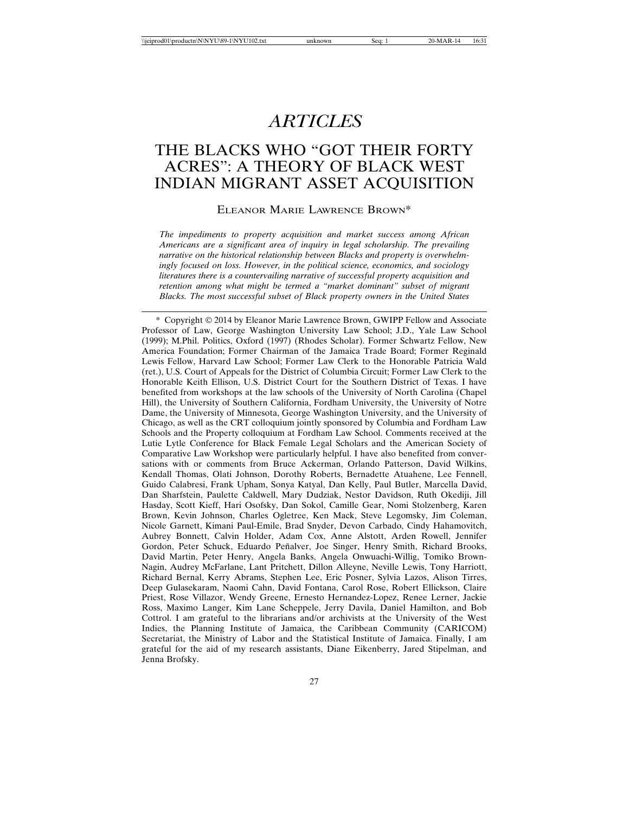# *ARTICLES*

# THE BLACKS WHO "GOT THEIR FORTY ACRES": A THEORY OF BLACK WEST INDIAN MIGRANT ASSET ACQUISITION

#### ELEANOR MARIE LAWRENCE BROWN\*

*The impediments to property acquisition and market success among African Americans are a significant area of inquiry in legal scholarship. The prevailing narrative on the historical relationship between Blacks and property is overwhelmingly focused on loss. However, in the political science, economics, and sociology literatures there is a countervailing narrative of successful property acquisition and retention among what might be termed a "market dominant" subset of migrant Blacks. The most successful subset of Black property owners in the United States*

\* Copyright © 2014 by Eleanor Marie Lawrence Brown, GWIPP Fellow and Associate Professor of Law, George Washington University Law School; J.D., Yale Law School (1999); M.Phil. Politics, Oxford (1997) (Rhodes Scholar). Former Schwartz Fellow, New America Foundation; Former Chairman of the Jamaica Trade Board; Former Reginald Lewis Fellow, Harvard Law School; Former Law Clerk to the Honorable Patricia Wald (ret.), U.S. Court of Appeals for the District of Columbia Circuit; Former Law Clerk to the Honorable Keith Ellison, U.S. District Court for the Southern District of Texas. I have benefited from workshops at the law schools of the University of North Carolina (Chapel Hill), the University of Southern California, Fordham University, the University of Notre Dame, the University of Minnesota, George Washington University, and the University of Chicago, as well as the CRT colloquium jointly sponsored by Columbia and Fordham Law Schools and the Property colloquium at Fordham Law School. Comments received at the Lutie Lytle Conference for Black Female Legal Scholars and the American Society of Comparative Law Workshop were particularly helpful. I have also benefited from conversations with or comments from Bruce Ackerman, Orlando Patterson, David Wilkins, Kendall Thomas, Olati Johnson, Dorothy Roberts, Bernadette Atuahene, Lee Fennell, Guido Calabresi, Frank Upham, Sonya Katyal, Dan Kelly, Paul Butler, Marcella David, Dan Sharfstein, Paulette Caldwell, Mary Dudziak, Nestor Davidson, Ruth Okediji, Jill Hasday, Scott Kieff, Hari Osofsky, Dan Sokol, Camille Gear, Nomi Stolzenberg, Karen Brown, Kevin Johnson, Charles Ogletree, Ken Mack, Steve Legomsky, Jim Coleman, Nicole Garnett, Kimani Paul-Emile, Brad Snyder, Devon Carbado, Cindy Hahamovitch, Aubrey Bonnett, Calvin Holder, Adam Cox, Anne Alstott, Arden Rowell, Jennifer Gordon, Peter Schuck, Eduardo Peñalver, Joe Singer, Henry Smith, Richard Brooks, David Martin, Peter Henry, Angela Banks, Angela Onwuachi-Willig, Tomiko Brown-Nagin, Audrey McFarlane, Lant Pritchett, Dillon Alleyne, Neville Lewis, Tony Harriott, Richard Bernal, Kerry Abrams, Stephen Lee, Eric Posner, Sylvia Lazos, Alison Tirres, Deep Gulasekaram, Naomi Cahn, David Fontana, Carol Rose, Robert Ellickson, Claire Priest, Rose Villazor, Wendy Greene, Ernesto Hernandez-Lopez, Renee Lerner, Jackie Ross, Maximo Langer, Kim Lane Scheppele, Jerry Davila, Daniel Hamilton, and Bob Cottrol. I am grateful to the librarians and/or archivists at the University of the West Indies, the Planning Institute of Jamaica, the Caribbean Community (CARICOM) Secretariat, the Ministry of Labor and the Statistical Institute of Jamaica. Finally, I am grateful for the aid of my research assistants, Diane Eikenberry, Jared Stipelman, and Jenna Brofsky.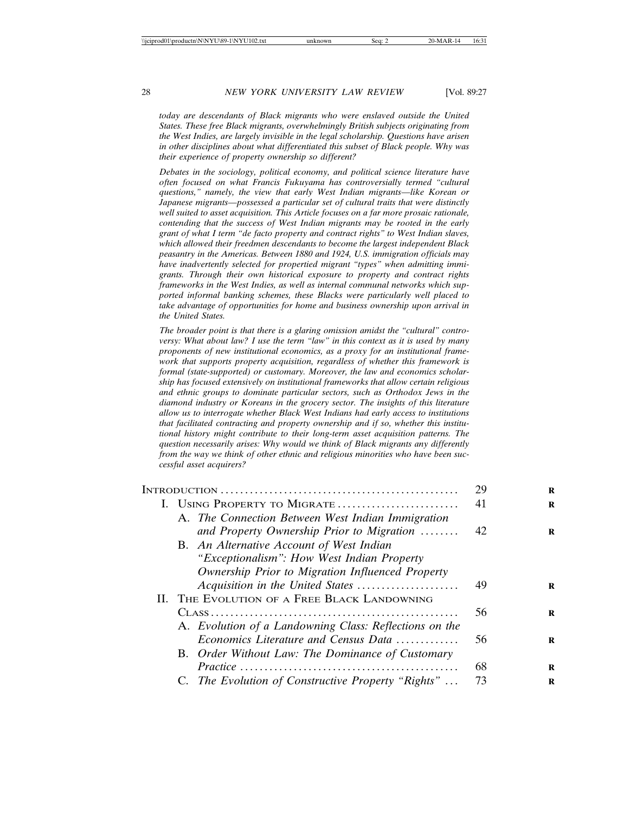*today are descendants of Black migrants who were enslaved outside the United States. These free Black migrants, overwhelmingly British subjects originating from the West Indies, are largely invisible in the legal scholarship. Questions have arisen in other disciplines about what differentiated this subset of Black people. Why was their experience of property ownership so different?*

*Debates in the sociology, political economy, and political science literature have often focused on what Francis Fukuyama has controversially termed "cultural questions," namely, the view that early West Indian migrants—like Korean or Japanese migrants—possessed a particular set of cultural traits that were distinctly well suited to asset acquisition. This Article focuses on a far more prosaic rationale, contending that the success of West Indian migrants may be rooted in the early grant of what I term "de facto property and contract rights" to West Indian slaves, which allowed their freedmen descendants to become the largest independent Black peasantry in the Americas. Between 1880 and 1924, U.S. immigration officials may have inadvertently selected for propertied migrant "types" when admitting immigrants. Through their own historical exposure to property and contract rights frameworks in the West Indies, as well as internal communal networks which supported informal banking schemes, these Blacks were particularly well placed to take advantage of opportunities for home and business ownership upon arrival in the United States.*

*The broader point is that there is a glaring omission amidst the "cultural" controversy: What about law? I use the term "law" in this context as it is used by many proponents of new institutional economics, as a proxy for an institutional framework that supports property acquisition, regardless of whether this framework is formal (state-supported) or customary. Moreover, the law and economics scholarship has focused extensively on institutional frameworks that allow certain religious and ethnic groups to dominate particular sectors, such as Orthodox Jews in the diamond industry or Koreans in the grocery sector. The insights of this literature allow us to interrogate whether Black West Indians had early access to institutions that facilitated contracting and property ownership and if so, whether this institutional history might contribute to their long-term asset acquisition patterns. The question necessarily arises: Why would we think of Black migrants any differently from the way we think of other ethnic and religious minorities who have been successful asset acquirers?*

|                                                        | 29 |
|--------------------------------------------------------|----|
| I. USING PROPERTY TO MIGRATE                           | 41 |
| A. The Connection Between West Indian Immigration      |    |
| and Property Ownership Prior to Migration              | 42 |
| B. An Alternative Account of West Indian               |    |
| "Exceptionalism": How West Indian Property             |    |
| Ownership Prior to Migration Influenced Property       |    |
| Acquisition in the United States                       | 49 |
| II. THE EVOLUTION OF A FREE BLACK LANDOWNING           |    |
|                                                        | 56 |
| A. Evolution of a Landowning Class: Reflections on the |    |
| Economics Literature and Census Data                   | 56 |
| B. Order Without Law: The Dominance of Customary       |    |
|                                                        | 68 |
| C. The Evolution of Constructive Property "Rights"     | 73 |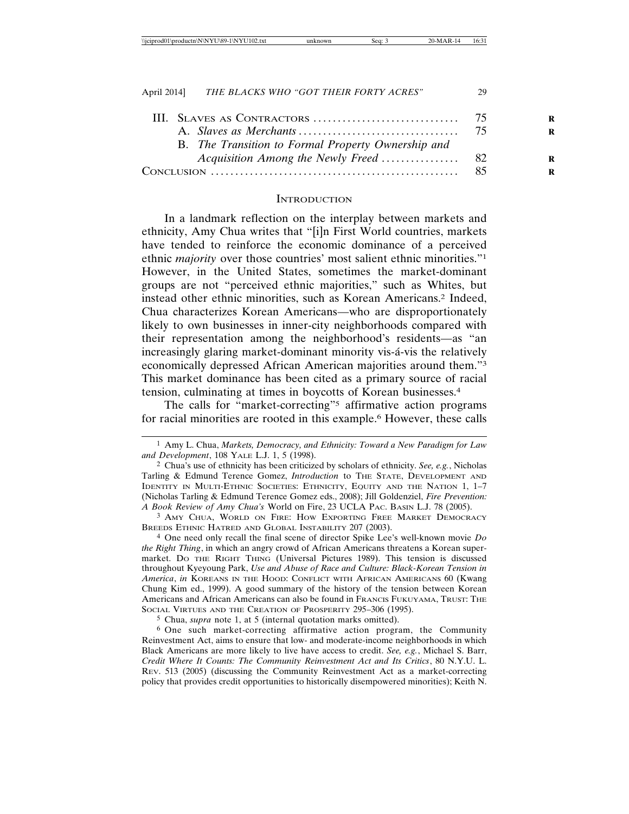#### **INTRODUCTION**

In a landmark reflection on the interplay between markets and ethnicity, Amy Chua writes that "[i]n First World countries, markets have tended to reinforce the economic dominance of a perceived ethnic *majority* over those countries' most salient ethnic minorities."1 However, in the United States, sometimes the market-dominant groups are not "perceived ethnic majorities," such as Whites, but instead other ethnic minorities, such as Korean Americans.2 Indeed, Chua characterizes Korean Americans—who are disproportionately likely to own businesses in inner-city neighborhoods compared with their representation among the neighborhood's residents—as "an increasingly glaring market-dominant minority vis-a-vis the relatively economically depressed African American majorities around them."3 This market dominance has been cited as a primary source of racial tension, culminating at times in boycotts of Korean businesses.4

The calls for "market-correcting"<sup>5</sup> affirmative action programs for racial minorities are rooted in this example.6 However, these calls

3 AMY CHUA, WORLD ON FIRE: HOW EXPORTING FREE MARKET DEMOCRACY BREEDS ETHNIC HATRED AND GLOBAL INSTABILITY 207 (2003).

4 One need only recall the final scene of director Spike Lee's well-known movie *Do the Right Thing*, in which an angry crowd of African Americans threatens a Korean supermarket. DO THE RIGHT THING (Universal Pictures 1989). This tension is discussed throughout Kyeyoung Park, *Use and Abuse of Race and Culture: Black-Korean Tension in America*, *in* KOREANS IN THE HOOD: CONFLICT WITH AFRICAN AMERICANS 60 (Kwang Chung Kim ed., 1999). A good summary of the history of the tension between Korean Americans and African Americans can also be found in FRANCIS FUKUYAMA, TRUST: THE SOCIAL VIRTUES AND THE CREATION OF PROSPERITY 295-306 (1995).

5 Chua, *supra* note 1, at 5 (internal quotation marks omitted).

6 One such market-correcting affirmative action program, the Community Reinvestment Act, aims to ensure that low- and moderate-income neighborhoods in which Black Americans are more likely to live have access to credit. *See, e.g.*, Michael S. Barr, *Credit Where It Counts: The Community Reinvestment Act and Its Critics*, 80 N.Y.U. L. REV. 513 (2005) (discussing the Community Reinvestment Act as a market-correcting policy that provides credit opportunities to historically disempowered minorities); Keith N.

<sup>1</sup> Amy L. Chua, *Markets, Democracy, and Ethnicity: Toward a New Paradigm for Law and Development*, 108 YALE L.J. 1, 5 (1998).

<sup>2</sup> Chua's use of ethnicity has been criticized by scholars of ethnicity. *See, e.g.*, Nicholas Tarling & Edmund Terence Gomez, *Introduction* to THE STATE, DEVELOPMENT AND IDENTITY IN MULTI-ETHNIC SOCIETIES: ETHNICITY, EQUITY AND THE NATION 1, 1–7 (Nicholas Tarling & Edmund Terence Gomez eds., 2008); Jill Goldenziel, *Fire Prevention: A Book Review of Amy Chua's* World on Fire, 23 UCLA PAC. BASIN L.J. 78 (2005).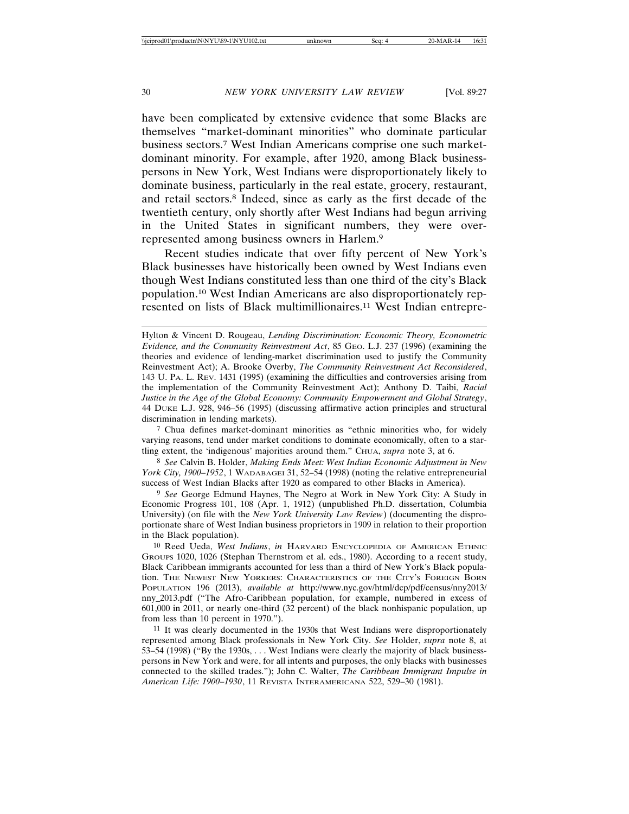have been complicated by extensive evidence that some Blacks are themselves "market-dominant minorities" who dominate particular business sectors.7 West Indian Americans comprise one such marketdominant minority. For example, after 1920, among Black businesspersons in New York, West Indians were disproportionately likely to dominate business, particularly in the real estate, grocery, restaurant, and retail sectors.8 Indeed, since as early as the first decade of the twentieth century, only shortly after West Indians had begun arriving in the United States in significant numbers, they were overrepresented among business owners in Harlem.9

Recent studies indicate that over fifty percent of New York's Black businesses have historically been owned by West Indians even though West Indians constituted less than one third of the city's Black population.10 West Indian Americans are also disproportionately represented on lists of Black multimillionaires.11 West Indian entrepre-

7 Chua defines market-dominant minorities as "ethnic minorities who, for widely varying reasons, tend under market conditions to dominate economically, often to a startling extent, the 'indigenous' majorities around them." CHUA, *supra* note 3, at 6.

8 *See* Calvin B. Holder, *Making Ends Meet: West Indian Economic Adjustment in New York City, 1900–1952*, 1 WADABAGEI 31, 52–54 (1998) (noting the relative entrepreneurial success of West Indian Blacks after 1920 as compared to other Blacks in America).

9 *See* George Edmund Haynes, The Negro at Work in New York City: A Study in Economic Progress 101, 108 (Apr. 1, 1912) (unpublished Ph.D. dissertation, Columbia University) (on file with the *New York University Law Review*) (documenting the disproportionate share of West Indian business proprietors in 1909 in relation to their proportion in the Black population).

10 Reed Ueda, *West Indians*, *in* HARVARD ENCYCLOPEDIA OF AMERICAN ETHNIC GROUPS 1020, 1026 (Stephan Thernstrom et al. eds., 1980). According to a recent study, Black Caribbean immigrants accounted for less than a third of New York's Black population. THE NEWEST NEW YORKERS: CHARACTERISTICS OF THE CITY'S FOREIGN BORN POPULATION 196 (2013), *available at* http://www.nyc.gov/html/dcp/pdf/census/nny2013/ nny\_2013.pdf ("The Afro-Caribbean population, for example, numbered in excess of 601,000 in 2011, or nearly one-third (32 percent) of the black nonhispanic population, up from less than 10 percent in 1970.").

11 It was clearly documented in the 1930s that West Indians were disproportionately represented among Black professionals in New York City. *See* Holder, *supra* note 8, at 53–54 (1998) ("By the 1930s, . . . West Indians were clearly the majority of black businesspersons in New York and were, for all intents and purposes, the only blacks with businesses connected to the skilled trades."); John C. Walter, *The Caribbean Immigrant Impulse in American Life: 1900–1930*, 11 REVISTA INTERAMERICANA 522, 529–30 (1981).

Hylton & Vincent D. Rougeau, *Lending Discrimination: Economic Theory, Econometric Evidence, and the Community Reinvestment Act*, 85 GEO. L.J. 237 (1996) (examining the theories and evidence of lending-market discrimination used to justify the Community Reinvestment Act); A. Brooke Overby, *The Community Reinvestment Act Reconsidered*, 143 U. PA. L. REV. 1431 (1995) (examining the difficulties and controversies arising from the implementation of the Community Reinvestment Act); Anthony D. Taibi, *Racial Justice in the Age of the Global Economy: Community Empowerment and Global Strategy*, 44 DUKE L.J. 928, 946–56 (1995) (discussing affirmative action principles and structural discrimination in lending markets).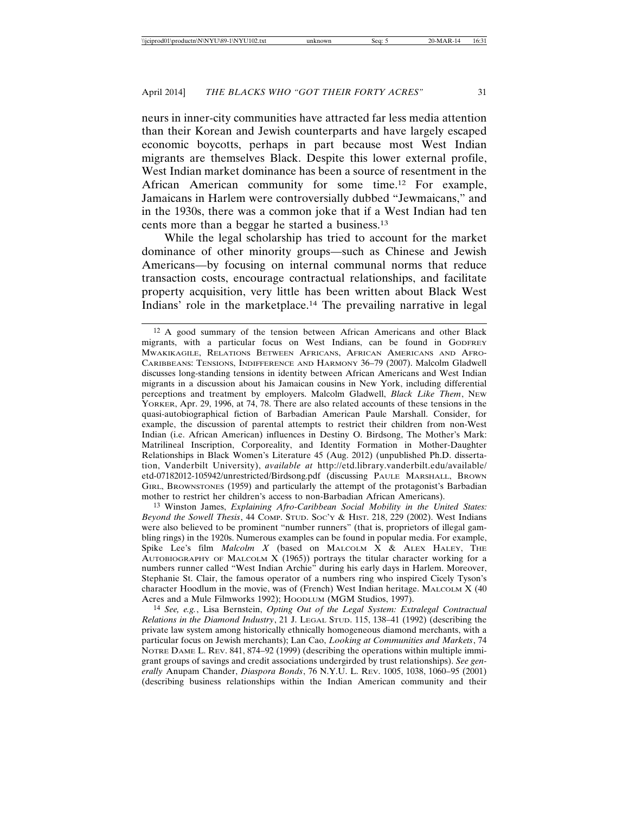neurs in inner-city communities have attracted far less media attention than their Korean and Jewish counterparts and have largely escaped economic boycotts, perhaps in part because most West Indian migrants are themselves Black. Despite this lower external profile, West Indian market dominance has been a source of resentment in the African American community for some time.12 For example, Jamaicans in Harlem were controversially dubbed "Jewmaicans," and in the 1930s, there was a common joke that if a West Indian had ten cents more than a beggar he started a business.13

While the legal scholarship has tried to account for the market dominance of other minority groups—such as Chinese and Jewish Americans—by focusing on internal communal norms that reduce transaction costs, encourage contractual relationships, and facilitate property acquisition, very little has been written about Black West Indians' role in the marketplace.14 The prevailing narrative in legal

13 Winston James, *Explaining Afro-Caribbean Social Mobility in the United States: Beyond the Sowell Thesis*, 44 COMP. STUD. SOC'Y & HIST. 218, 229 (2002). West Indians were also believed to be prominent "number runners" (that is, proprietors of illegal gambling rings) in the 1920s. Numerous examples can be found in popular media. For example, Spike Lee's film *Malcolm X* (based on MALCOLM X & ALEX HALEY, THE AUTOBIOGRAPHY OF MALCOLM  $X$  (1965)) portrays the titular character working for a numbers runner called "West Indian Archie" during his early days in Harlem. Moreover, Stephanie St. Clair, the famous operator of a numbers ring who inspired Cicely Tyson's character Hoodlum in the movie, was of (French) West Indian heritage. MALCOLM X (40 Acres and a Mule Filmworks 1992); HOODLUM (MGM Studios, 1997).

14 *See, e.g.*, Lisa Bernstein, *Opting Out of the Legal System: Extralegal Contractual Relations in the Diamond Industry*, 21 J. LEGAL STUD. 115, 138–41 (1992) (describing the private law system among historically ethnically homogeneous diamond merchants, with a particular focus on Jewish merchants); Lan Cao, *Looking at Communities and Markets*, 74 NOTRE DAME L. REV. 841, 874–92 (1999) (describing the operations within multiple immigrant groups of savings and credit associations undergirded by trust relationships). *See generally* Anupam Chander, *Diaspora Bonds*, 76 N.Y.U. L. REV. 1005, 1038, 1060–95 (2001) (describing business relationships within the Indian American community and their

<sup>12</sup> A good summary of the tension between African Americans and other Black migrants, with a particular focus on West Indians, can be found in GODFREY MWAKIKAGILE, RELATIONS BETWEEN AFRICANS, AFRICAN AMERICANS AND AFRO-CARIBBEANS: TENSIONS, INDIFFERENCE AND HARMONY 36–79 (2007). Malcolm Gladwell discusses long-standing tensions in identity between African Americans and West Indian migrants in a discussion about his Jamaican cousins in New York, including differential perceptions and treatment by employers. Malcolm Gladwell, *Black Like Them*, NEW YORKER, Apr. 29, 1996, at 74, 78. There are also related accounts of these tensions in the quasi-autobiographical fiction of Barbadian American Paule Marshall. Consider, for example, the discussion of parental attempts to restrict their children from non-West Indian (i.e. African American) influences in Destiny O. Birdsong, The Mother's Mark: Matrilineal Inscription, Corporeality, and Identity Formation in Mother-Daughter Relationships in Black Women's Literature 45 (Aug. 2012) (unpublished Ph.D. dissertation, Vanderbilt University), *available at* http://etd.library.vanderbilt.edu/available/ etd-07182012-105942/unrestricted/Birdsong.pdf (discussing PAULE MARSHALL, BROWN GIRL, BROWNSTONES (1959) and particularly the attempt of the protagonist's Barbadian mother to restrict her children's access to non-Barbadian African Americans).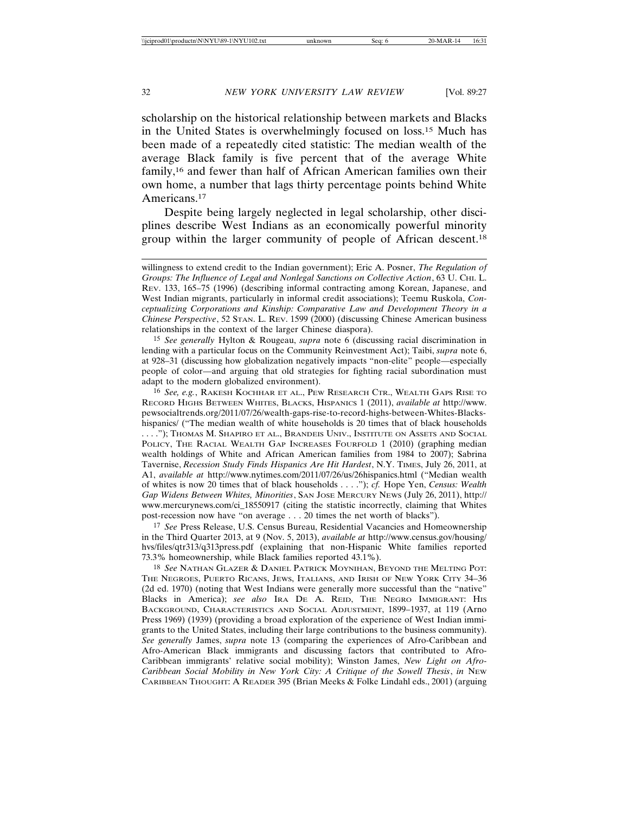scholarship on the historical relationship between markets and Blacks in the United States is overwhelmingly focused on loss.15 Much has been made of a repeatedly cited statistic: The median wealth of the average Black family is five percent that of the average White family,16 and fewer than half of African American families own their own home, a number that lags thirty percentage points behind White Americans.17

Despite being largely neglected in legal scholarship, other disciplines describe West Indians as an economically powerful minority group within the larger community of people of African descent.18

15 *See generally* Hylton & Rougeau, *supra* note 6 (discussing racial discrimination in lending with a particular focus on the Community Reinvestment Act); Taibi, *supra* note 6, at 928–31 (discussing how globalization negatively impacts "non-elite" people—especially people of color—and arguing that old strategies for fighting racial subordination must adapt to the modern globalized environment).

16 *See, e.g.*, RAKESH KOCHHAR ET AL., PEW RESEARCH CTR., WEALTH GAPS RISE TO RECORD HIGHS BETWEEN WHITES, BLACKS, HISPANICS 1 (2011), *available at* http://www. pewsocialtrends.org/2011/07/26/wealth-gaps-rise-to-record-highs-between-Whites-Blackshispanics/ ("The median wealth of white households is 20 times that of black households . . . ."); THOMAS M. SHAPIRO ET AL., BRANDEIS UNIV., INSTITUTE ON ASSETS AND SOCIAL POLICY, THE RACIAL WEALTH GAP INCREASES FOURFOLD 1 (2010) (graphing median wealth holdings of White and African American families from 1984 to 2007); Sabrina Tavernise, *Recession Study Finds Hispanics Are Hit Hardest*, N.Y. TIMES, July 26, 2011, at A1, *available at* http://www.nytimes.com/2011/07/26/us/26hispanics.html ("Median wealth of whites is now 20 times that of black households . . . ."); *cf.* Hope Yen, *Census: Wealth Gap Widens Between Whites, Minorities*, SAN JOSE MERCURY NEWS (July 26, 2011), http:// www.mercurynews.com/ci\_18550917 (citing the statistic incorrectly, claiming that Whites post-recession now have "on average . . . 20 times the net worth of blacks").

17 *See* Press Release, U.S. Census Bureau, Residential Vacancies and Homeownership in the Third Quarter 2013, at 9 (Nov. 5, 2013), *available at* http://www.census.gov/housing/ hvs/files/qtr313/q313press.pdf (explaining that non-Hispanic White families reported 73.3% homeownership, while Black families reported 43.1%).

18 *See* NATHAN GLAZER & DANIEL PATRICK MOYNIHAN, BEYOND THE MELTING POT: THE NEGROES, PUERTO RICANS, JEWS, ITALIANS, AND IRISH OF NEW YORK CITY 34–36 (2d ed. 1970) (noting that West Indians were generally more successful than the "native" Blacks in America); *see also* IRA DE A. REID, THE NEGRO IMMIGRANT: HIS BACKGROUND, CHARACTERISTICS AND SOCIAL ADJUSTMENT, 1899–1937, at 119 (Arno Press 1969) (1939) (providing a broad exploration of the experience of West Indian immigrants to the United States, including their large contributions to the business community). *See generally* James, *supra* note 13 (comparing the experiences of Afro-Caribbean and Afro-American Black immigrants and discussing factors that contributed to Afro-Caribbean immigrants' relative social mobility); Winston James, *New Light on Afro-Caribbean Social Mobility in New York City: A Critique of the Sowell Thesis*, *in* NEW CARIBBEAN THOUGHT: A READER 395 (Brian Meeks & Folke Lindahl eds., 2001) (arguing

willingness to extend credit to the Indian government); Eric A. Posner, *The Regulation of Groups: The Influence of Legal and Nonlegal Sanctions on Collective Action*, 63 U. CHI. L. REV. 133, 165–75 (1996) (describing informal contracting among Korean, Japanese, and West Indian migrants, particularly in informal credit associations); Teemu Ruskola, *Conceptualizing Corporations and Kinship: Comparative Law and Development Theory in a Chinese Perspective*, 52 STAN. L. REV. 1599 (2000) (discussing Chinese American business relationships in the context of the larger Chinese diaspora).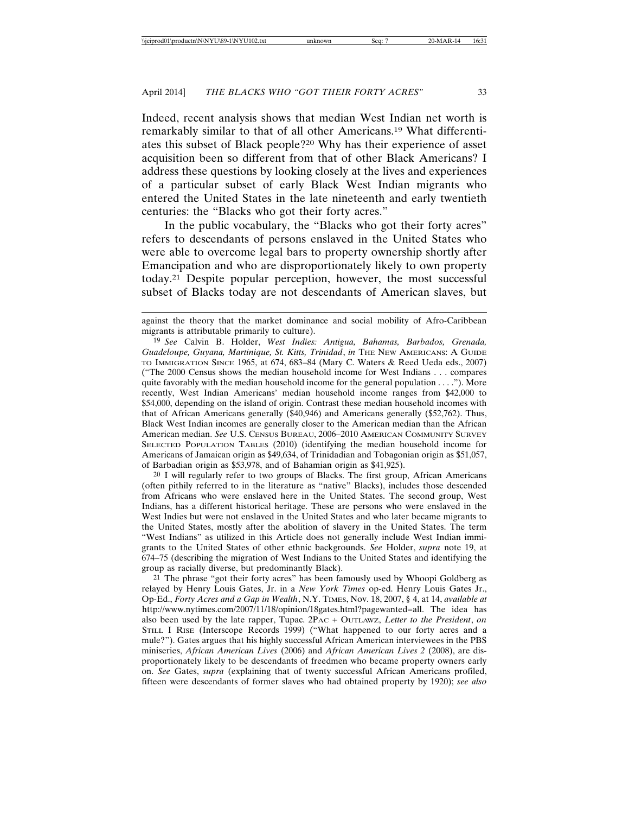Indeed, recent analysis shows that median West Indian net worth is remarkably similar to that of all other Americans.19 What differentiates this subset of Black people?20 Why has their experience of asset acquisition been so different from that of other Black Americans? I address these questions by looking closely at the lives and experiences of a particular subset of early Black West Indian migrants who entered the United States in the late nineteenth and early twentieth centuries: the "Blacks who got their forty acres."

In the public vocabulary, the "Blacks who got their forty acres" refers to descendants of persons enslaved in the United States who were able to overcome legal bars to property ownership shortly after Emancipation and who are disproportionately likely to own property today.21 Despite popular perception, however, the most successful subset of Blacks today are not descendants of American slaves, but

20 I will regularly refer to two groups of Blacks. The first group, African Americans (often pithily referred to in the literature as "native" Blacks), includes those descended from Africans who were enslaved here in the United States. The second group, West Indians, has a different historical heritage. These are persons who were enslaved in the West Indies but were not enslaved in the United States and who later became migrants to the United States, mostly after the abolition of slavery in the United States. The term "West Indians" as utilized in this Article does not generally include West Indian immigrants to the United States of other ethnic backgrounds. *See* Holder, *supra* note 19, at 674–75 (describing the migration of West Indians to the United States and identifying the group as racially diverse, but predominantly Black).

21 The phrase "got their forty acres" has been famously used by Whoopi Goldberg as relayed by Henry Louis Gates, Jr. in a *New York Times* op-ed. Henry Louis Gates Jr., Op-Ed., *Forty Acres and a Gap in Wealth*, N.Y. TIMES, Nov. 18, 2007, § 4, at 14, *available at* http://www.nytimes.com/2007/11/18/opinion/18gates.html?pagewanted=all. The idea has also been used by the late rapper, Tupac. 2PAC + OUTLAWZ, *Letter to the President*, *on* STILL I RISE (Interscope Records 1999) ("What happened to our forty acres and a mule?"). Gates argues that his highly successful African American interviewees in the PBS miniseries, *African American Lives* (2006) and *African American Lives 2* (2008), are disproportionately likely to be descendants of freedmen who became property owners early on. *See* Gates, *supra* (explaining that of twenty successful African Americans profiled, fifteen were descendants of former slaves who had obtained property by 1920); *see also*

against the theory that the market dominance and social mobility of Afro-Caribbean migrants is attributable primarily to culture).

<sup>19</sup> *See* Calvin B. Holder, *West Indies: Antigua, Bahamas, Barbados, Grenada, Guadeloupe, Guyana, Martinique, St. Kitts, Trinidad*, *in* THE NEW AMERICANS: A GUIDE TO IMMIGRATION SINCE 1965, at 674, 683–84 (Mary C. Waters & Reed Ueda eds., 2007) ("The 2000 Census shows the median household income for West Indians . . . compares quite favorably with the median household income for the general population  $\dots$ ."). More recently, West Indian Americans' median household income ranges from \$42,000 to \$54,000, depending on the island of origin. Contrast these median household incomes with that of African Americans generally (\$40,946) and Americans generally (\$52,762). Thus, Black West Indian incomes are generally closer to the American median than the African American median. *See* U.S. CENSUS BUREAU, 2006–2010 AMERICAN COMMUNITY SURVEY SELECTED POPULATION TABLES (2010) (identifying the median household income for Americans of Jamaican origin as \$49,634, of Trinidadian and Tobagonian origin as \$51,057, of Barbadian origin as \$53,978, and of Bahamian origin as \$41,925).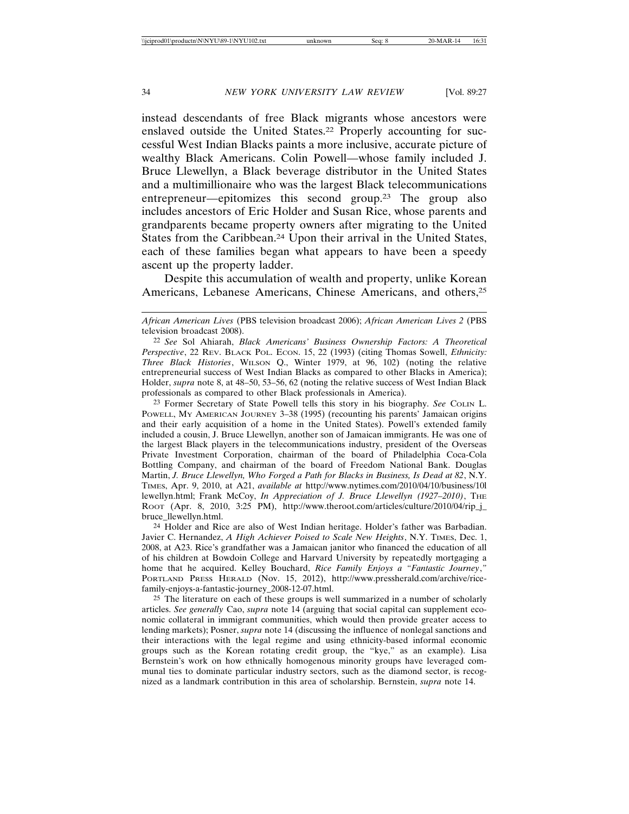instead descendants of free Black migrants whose ancestors were enslaved outside the United States.<sup>22</sup> Properly accounting for successful West Indian Blacks paints a more inclusive, accurate picture of wealthy Black Americans. Colin Powell—whose family included J. Bruce Llewellyn, a Black beverage distributor in the United States and a multimillionaire who was the largest Black telecommunications entrepreneur—epitomizes this second group.23 The group also includes ancestors of Eric Holder and Susan Rice, whose parents and grandparents became property owners after migrating to the United States from the Caribbean.24 Upon their arrival in the United States, each of these families began what appears to have been a speedy ascent up the property ladder.

Despite this accumulation of wealth and property, unlike Korean Americans, Lebanese Americans, Chinese Americans, and others,25

23 Former Secretary of State Powell tells this story in his biography. *See* COLIN L. POWELL, MY AMERICAN JOURNEY 3–38 (1995) (recounting his parents' Jamaican origins and their early acquisition of a home in the United States). Powell's extended family included a cousin, J. Bruce Llewellyn, another son of Jamaican immigrants. He was one of the largest Black players in the telecommunications industry, president of the Overseas Private Investment Corporation, chairman of the board of Philadelphia Coca-Cola Bottling Company, and chairman of the board of Freedom National Bank. Douglas Martin, *J. Bruce Llewellyn, Who Forged a Path for Blacks in Business, Is Dead at 82*, N.Y. TIMES, Apr. 9, 2010, at A21, *available at* http://www.nytimes.com/2010/04/10/business/10l lewellyn.html; Frank McCoy, *In Appreciation of J. Bruce Llewellyn (1927–2010)*, THE ROOT (Apr. 8, 2010, 3:25 PM), http://www.theroot.com/articles/culture/2010/04/rip\_j\_ bruce\_llewellyn.html.

24 Holder and Rice are also of West Indian heritage. Holder's father was Barbadian. Javier C. Hernandez, *A High Achiever Poised to Scale New Heights*, N.Y. TIMES, Dec. 1, 2008, at A23. Rice's grandfather was a Jamaican janitor who financed the education of all of his children at Bowdoin College and Harvard University by repeatedly mortgaging a home that he acquired. Kelley Bouchard, *Rice Family Enjoys a "Fantastic Journey*,*"* PORTLAND PRESS HERALD (Nov. 15, 2012), http://www.pressherald.com/archive/ricefamily-enjoys-a-fantastic-journey\_2008-12-07.html.

<sup>25</sup> The literature on each of these groups is well summarized in a number of scholarly articles. *See generally* Cao, *supra* note 14 (arguing that social capital can supplement economic collateral in immigrant communities, which would then provide greater access to lending markets); Posner, *supra* note 14 (discussing the influence of nonlegal sanctions and their interactions with the legal regime and using ethnicity-based informal economic groups such as the Korean rotating credit group, the "kye," as an example). Lisa Bernstein's work on how ethnically homogenous minority groups have leveraged communal ties to dominate particular industry sectors, such as the diamond sector, is recognized as a landmark contribution in this area of scholarship. Bernstein, *supra* note 14.

*African American Lives* (PBS television broadcast 2006); *African American Lives 2* (PBS television broadcast 2008).

<sup>22</sup> *See* Sol Ahiarah, *Black Americans' Business Ownership Factors: A Theoretical Perspective*, 22 REV. BLACK POL. ECON. 15, 22 (1993) (citing Thomas Sowell, *Ethnicity: Three Black Histories*, WILSON Q., Winter 1979, at 96, 102) (noting the relative entrepreneurial success of West Indian Blacks as compared to other Blacks in America); Holder, *supra* note 8, at 48–50, 53–56, 62 (noting the relative success of West Indian Black professionals as compared to other Black professionals in America).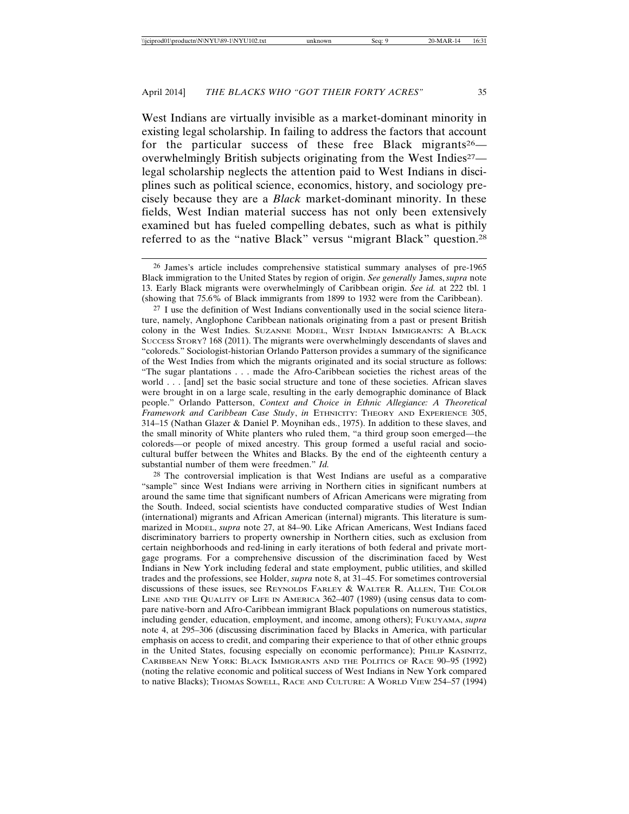West Indians are virtually invisible as a market-dominant minority in existing legal scholarship. In failing to address the factors that account for the particular success of these free Black migrants<sup>26</sup> overwhelmingly British subjects originating from the West Indies27 legal scholarship neglects the attention paid to West Indians in disciplines such as political science, economics, history, and sociology precisely because they are a *Black* market-dominant minority. In these fields, West Indian material success has not only been extensively examined but has fueled compelling debates, such as what is pithily referred to as the "native Black" versus "migrant Black" question.28

27 I use the definition of West Indians conventionally used in the social science literature, namely, Anglophone Caribbean nationals originating from a past or present British colony in the West Indies. SUZANNE MODEL, WEST INDIAN IMMIGRANTS: A BLACK SUCCESS STORY? 168 (2011). The migrants were overwhelmingly descendants of slaves and "coloreds." Sociologist-historian Orlando Patterson provides a summary of the significance of the West Indies from which the migrants originated and its social structure as follows: "The sugar plantations . . . made the Afro-Caribbean societies the richest areas of the world . . . [and] set the basic social structure and tone of these societies. African slaves were brought in on a large scale, resulting in the early demographic dominance of Black people." Orlando Patterson, *Context and Choice in Ethnic Allegiance: A Theoretical Framework and Caribbean Case Study*, *in* ETHNICITY: THEORY AND EXPERIENCE 305, 314–15 (Nathan Glazer & Daniel P. Moynihan eds., 1975). In addition to these slaves, and the small minority of White planters who ruled them, "a third group soon emerged—the coloreds—or people of mixed ancestry. This group formed a useful racial and sociocultural buffer between the Whites and Blacks. By the end of the eighteenth century a substantial number of them were freedmen." *Id.*

28 The controversial implication is that West Indians are useful as a comparative "sample" since West Indians were arriving in Northern cities in significant numbers at around the same time that significant numbers of African Americans were migrating from the South. Indeed, social scientists have conducted comparative studies of West Indian (international) migrants and African American (internal) migrants. This literature is summarized in MODEL, *supra* note 27, at 84–90. Like African Americans, West Indians faced discriminatory barriers to property ownership in Northern cities, such as exclusion from certain neighborhoods and red-lining in early iterations of both federal and private mortgage programs. For a comprehensive discussion of the discrimination faced by West Indians in New York including federal and state employment, public utilities, and skilled trades and the professions, see Holder, *supra* note 8, at 31–45. For sometimes controversial discussions of these issues, see REYNOLDS FARLEY & WALTER R. ALLEN, THE COLOR LINE AND THE QUALITY OF LIFE IN AMERICA 362–407 (1989) (using census data to compare native-born and Afro-Caribbean immigrant Black populations on numerous statistics, including gender, education, employment, and income, among others); FUKUYAMA, *supra* note 4, at 295–306 (discussing discrimination faced by Blacks in America, with particular emphasis on access to credit, and comparing their experience to that of other ethnic groups in the United States, focusing especially on economic performance); PHILIP KASINITZ, CARIBBEAN NEW YORK: BLACK IMMIGRANTS AND THE POLITICS OF RACE 90–95 (1992) (noting the relative economic and political success of West Indians in New York compared to native Blacks); THOMAS SOWELL, RACE AND CULTURE: A WORLD VIEW 254–57 (1994)

<sup>26</sup> James's article includes comprehensive statistical summary analyses of pre-1965 Black immigration to the United States by region of origin. *See generally* James, *supra* note 13. Early Black migrants were overwhelmingly of Caribbean origin. *See id.* at 222 tbl. 1 (showing that 75.6% of Black immigrants from 1899 to 1932 were from the Caribbean).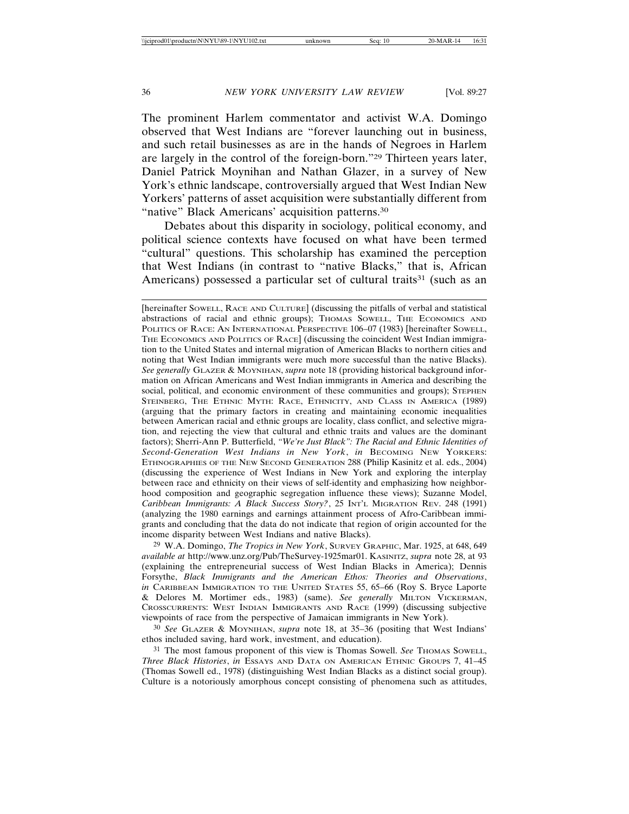The prominent Harlem commentator and activist W.A. Domingo observed that West Indians are "forever launching out in business, and such retail businesses as are in the hands of Negroes in Harlem are largely in the control of the foreign-born."29 Thirteen years later, Daniel Patrick Moynihan and Nathan Glazer, in a survey of New York's ethnic landscape, controversially argued that West Indian New Yorkers' patterns of asset acquisition were substantially different from "native" Black Americans' acquisition patterns.<sup>30</sup>

Debates about this disparity in sociology, political economy, and political science contexts have focused on what have been termed "cultural" questions. This scholarship has examined the perception that West Indians (in contrast to "native Blacks," that is, African Americans) possessed a particular set of cultural traits<sup>31</sup> (such as an

29 W.A. Domingo, *The Tropics in New York*, SURVEY GRAPHIC, Mar. 1925, at 648, 649 *available at* http://www.unz.org/Pub/TheSurvey-1925mar01. KASINITZ, *supra* note 28, at 93 (explaining the entrepreneurial success of West Indian Blacks in America); Dennis Forsythe, *Black Immigrants and the American Ethos: Theories and Observations*, *in* CARIBBEAN IMMIGRATION TO THE UNITED STATES 55, 65–66 (Roy S. Bryce Laporte & Delores M. Mortimer eds., 1983) (same). *See generally* MILTON VICKERMAN, CROSSCURRENTS: WEST INDIAN IMMIGRANTS AND RACE (1999) (discussing subjective viewpoints of race from the perspective of Jamaican immigrants in New York).

30 *See* GLAZER & MOYNIHAN, *supra* note 18, at 35–36 (positing that West Indians' ethos included saving, hard work, investment, and education).

<sup>31</sup> The most famous proponent of this view is Thomas Sowell. *See* THOMAS SOWELL, *Three Black Histories*, *in* ESSAYS AND DATA ON AMERICAN ETHNIC GROUPS 7, 41–45 (Thomas Sowell ed., 1978) (distinguishing West Indian Blacks as a distinct social group). Culture is a notoriously amorphous concept consisting of phenomena such as attitudes,

<sup>[</sup>hereinafter SOWELL, RACE AND CULTURE] (discussing the pitfalls of verbal and statistical abstractions of racial and ethnic groups); THOMAS SOWELL, THE ECONOMICS AND POLITICS OF RACE: AN INTERNATIONAL PERSPECTIVE 106-07 (1983) [hereinafter SOWELL, THE ECONOMICS AND POLITICS OF RACE] (discussing the coincident West Indian immigration to the United States and internal migration of American Blacks to northern cities and noting that West Indian immigrants were much more successful than the native Blacks). *See generally* GLAZER & MOYNIHAN, *supra* note 18 (providing historical background information on African Americans and West Indian immigrants in America and describing the social, political, and economic environment of these communities and groups); STEPHEN STEINBERG, THE ETHNIC MYTH: RACE, ETHNICITY, AND CLASS IN AMERICA (1989) (arguing that the primary factors in creating and maintaining economic inequalities between American racial and ethnic groups are locality, class conflict, and selective migration, and rejecting the view that cultural and ethnic traits and values are the dominant factors); Sherri-Ann P. Butterfield, *"We're Just Black": The Racial and Ethnic Identities of Second-Generation West Indians in New York*, *in* BECOMING NEW YORKERS: ETHNOGRAPHIES OF THE NEW SECOND GENERATION 288 (Philip Kasinitz et al. eds., 2004) (discussing the experience of West Indians in New York and exploring the interplay between race and ethnicity on their views of self-identity and emphasizing how neighborhood composition and geographic segregation influence these views); Suzanne Model, *Caribbean Immigrants: A Black Success Story?*, 25 INT'L MIGRATION REV. 248 (1991) (analyzing the 1980 earnings and earnings attainment process of Afro-Caribbean immigrants and concluding that the data do not indicate that region of origin accounted for the income disparity between West Indians and native Blacks).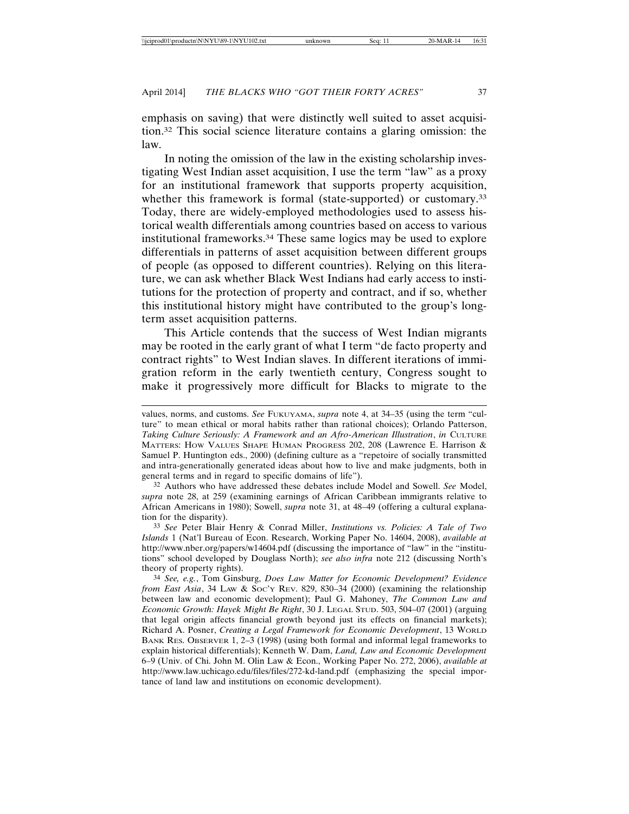emphasis on saving) that were distinctly well suited to asset acquisition.32 This social science literature contains a glaring omission: the law.

In noting the omission of the law in the existing scholarship investigating West Indian asset acquisition, I use the term "law" as a proxy for an institutional framework that supports property acquisition, whether this framework is formal (state-supported) or customary.<sup>33</sup> Today, there are widely-employed methodologies used to assess historical wealth differentials among countries based on access to various institutional frameworks.34 These same logics may be used to explore differentials in patterns of asset acquisition between different groups of people (as opposed to different countries). Relying on this literature, we can ask whether Black West Indians had early access to institutions for the protection of property and contract, and if so, whether this institutional history might have contributed to the group's longterm asset acquisition patterns.

This Article contends that the success of West Indian migrants may be rooted in the early grant of what I term "de facto property and contract rights" to West Indian slaves. In different iterations of immigration reform in the early twentieth century, Congress sought to make it progressively more difficult for Blacks to migrate to the

32 Authors who have addressed these debates include Model and Sowell. *See* Model, *supra* note 28, at 259 (examining earnings of African Caribbean immigrants relative to African Americans in 1980); Sowell, *supra* note 31, at 48–49 (offering a cultural explanation for the disparity).

33 *See* Peter Blair Henry & Conrad Miller, *Institutions vs. Policies: A Tale of Two Islands* 1 (Nat'l Bureau of Econ. Research, Working Paper No. 14604, 2008), *available at* http://www.nber.org/papers/w14604.pdf (discussing the importance of "law" in the "institutions" school developed by Douglass North); *see also infra* note 212 (discussing North's theory of property rights).

34 *See, e.g.*, Tom Ginsburg, *Does Law Matter for Economic Development? Evidence from East Asia*, 34 LAW & SOC'Y REV. 829, 830–34 (2000) (examining the relationship between law and economic development); Paul G. Mahoney, *The Common Law and Economic Growth: Hayek Might Be Right*, 30 J. LEGAL STUD. 503, 504–07 (2001) (arguing that legal origin affects financial growth beyond just its effects on financial markets); Richard A. Posner, *Creating a Legal Framework for Economic Development*, 13 WORLD BANK RES. OBSERVER 1, 2–3 (1998) (using both formal and informal legal frameworks to explain historical differentials); Kenneth W. Dam, *Land, Law and Economic Development* 6–9 (Univ. of Chi. John M. Olin Law & Econ., Working Paper No. 272, 2006), *available at* http://www.law.uchicago.edu/files/files/272-kd-land.pdf (emphasizing the special importance of land law and institutions on economic development).

values, norms, and customs. *See* FUKUYAMA, *supra* note 4, at 34–35 (using the term "culture" to mean ethical or moral habits rather than rational choices); Orlando Patterson, *Taking Culture Seriously: A Framework and an Afro-American Illustration*, *in* CULTURE MATTERS: HOW VALUES SHAPE HUMAN PROGRESS 202, 208 (Lawrence E. Harrison & Samuel P. Huntington eds., 2000) (defining culture as a "repetoire of socially transmitted and intra-generationally generated ideas about how to live and make judgments, both in general terms and in regard to specific domains of life").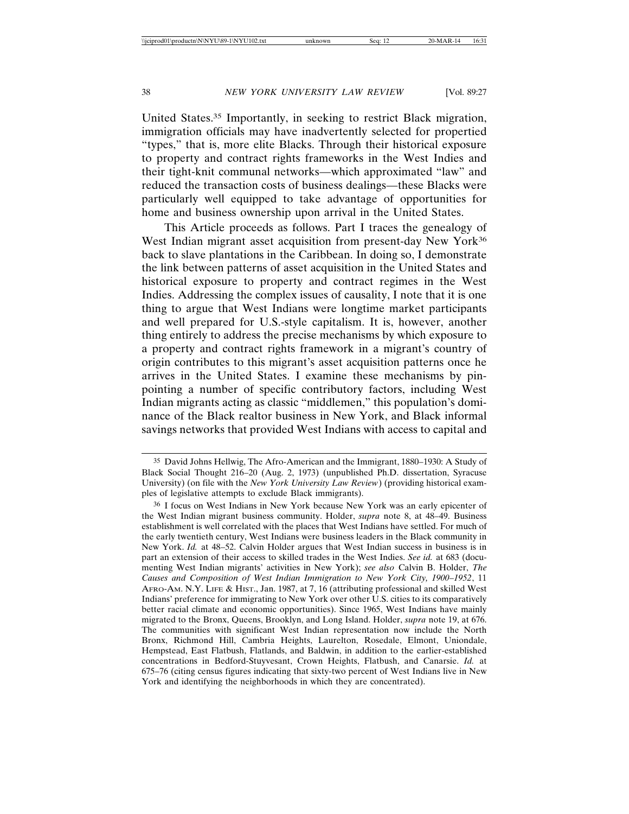United States.35 Importantly, in seeking to restrict Black migration, immigration officials may have inadvertently selected for propertied "types," that is, more elite Blacks. Through their historical exposure to property and contract rights frameworks in the West Indies and their tight-knit communal networks—which approximated "law" and reduced the transaction costs of business dealings—these Blacks were particularly well equipped to take advantage of opportunities for home and business ownership upon arrival in the United States.

This Article proceeds as follows. Part I traces the genealogy of West Indian migrant asset acquisition from present-day New York<sup>36</sup> back to slave plantations in the Caribbean. In doing so, I demonstrate the link between patterns of asset acquisition in the United States and historical exposure to property and contract regimes in the West Indies. Addressing the complex issues of causality, I note that it is one thing to argue that West Indians were longtime market participants and well prepared for U.S.-style capitalism. It is, however, another thing entirely to address the precise mechanisms by which exposure to a property and contract rights framework in a migrant's country of origin contributes to this migrant's asset acquisition patterns once he arrives in the United States. I examine these mechanisms by pinpointing a number of specific contributory factors, including West Indian migrants acting as classic "middlemen," this population's dominance of the Black realtor business in New York, and Black informal savings networks that provided West Indians with access to capital and

<sup>35</sup> David Johns Hellwig, The Afro-American and the Immigrant, 1880–1930: A Study of Black Social Thought 216–20 (Aug. 2, 1973) (unpublished Ph.D. dissertation, Syracuse University) (on file with the *New York University Law Review*) (providing historical examples of legislative attempts to exclude Black immigrants).

<sup>36</sup> I focus on West Indians in New York because New York was an early epicenter of the West Indian migrant business community. Holder, *supra* note 8, at 48–49. Business establishment is well correlated with the places that West Indians have settled. For much of the early twentieth century, West Indians were business leaders in the Black community in New York. *Id.* at 48–52. Calvin Holder argues that West Indian success in business is in part an extension of their access to skilled trades in the West Indies. *See id.* at 683 (documenting West Indian migrants' activities in New York); *see also* Calvin B. Holder, *The Causes and Composition of West Indian Immigration to New York City, 1900–1952*, 11 AFRO-AM. N.Y. LIFE & HIST., Jan. 1987, at 7, 16 (attributing professional and skilled West Indians' preference for immigrating to New York over other U.S. cities to its comparatively better racial climate and economic opportunities). Since 1965, West Indians have mainly migrated to the Bronx, Queens, Brooklyn, and Long Island. Holder, *supra* note 19, at 676. The communities with significant West Indian representation now include the North Bronx, Richmond Hill, Cambria Heights, Laurelton, Rosedale, Elmont, Uniondale, Hempstead, East Flatbush, Flatlands, and Baldwin, in addition to the earlier-established concentrations in Bedford-Stuyvesant, Crown Heights, Flatbush, and Canarsie. *Id.* at 675–76 (citing census figures indicating that sixty-two percent of West Indians live in New York and identifying the neighborhoods in which they are concentrated).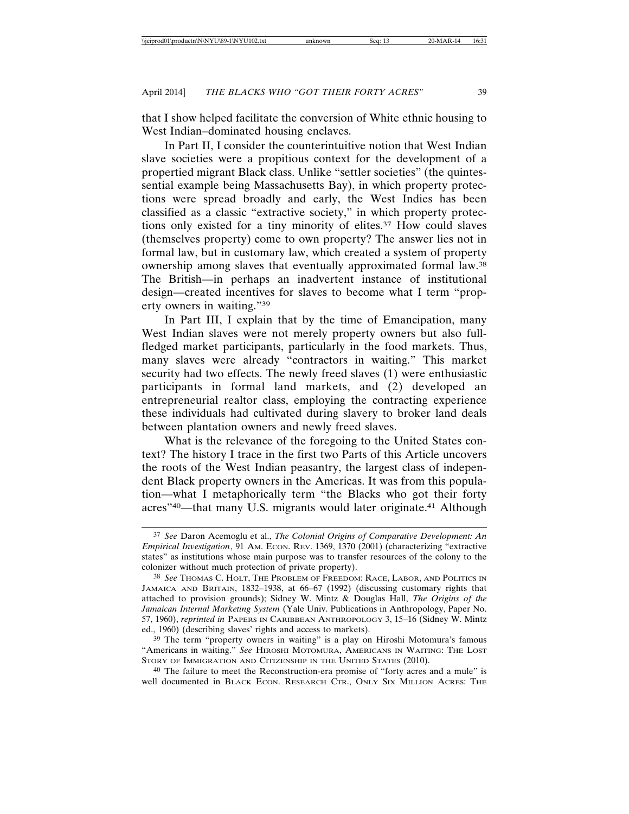that I show helped facilitate the conversion of White ethnic housing to West Indian–dominated housing enclaves.

In Part II, I consider the counterintuitive notion that West Indian slave societies were a propitious context for the development of a propertied migrant Black class. Unlike "settler societies" (the quintessential example being Massachusetts Bay), in which property protections were spread broadly and early, the West Indies has been classified as a classic "extractive society," in which property protections only existed for a tiny minority of elites.37 How could slaves (themselves property) come to own property? The answer lies not in formal law, but in customary law, which created a system of property ownership among slaves that eventually approximated formal law.38 The British—in perhaps an inadvertent instance of institutional design—created incentives for slaves to become what I term "property owners in waiting."39

In Part III, I explain that by the time of Emancipation, many West Indian slaves were not merely property owners but also fullfledged market participants, particularly in the food markets. Thus, many slaves were already "contractors in waiting." This market security had two effects. The newly freed slaves (1) were enthusiastic participants in formal land markets, and (2) developed an entrepreneurial realtor class, employing the contracting experience these individuals had cultivated during slavery to broker land deals between plantation owners and newly freed slaves.

What is the relevance of the foregoing to the United States context? The history I trace in the first two Parts of this Article uncovers the roots of the West Indian peasantry, the largest class of independent Black property owners in the Americas. It was from this population—what I metaphorically term "the Blacks who got their forty acres"<sup>40</sup>—that many U.S. migrants would later originate.<sup>41</sup> Although

<sup>37</sup> *See* Daron Acemoglu et al., *The Colonial Origins of Comparative Development: An Empirical Investigation*, 91 AM. ECON. REV. 1369, 1370 (2001) (characterizing "extractive states" as institutions whose main purpose was to transfer resources of the colony to the colonizer without much protection of private property).

<sup>38</sup> *See* THOMAS C. HOLT, THE PROBLEM OF FREEDOM: RACE, LABOR, AND POLITICS IN JAMAICA AND BRITAIN, 1832–1938, at 66–67 (1992) (discussing customary rights that attached to provision grounds); Sidney W. Mintz & Douglas Hall, *The Origins of the Jamaican Internal Marketing System* (Yale Univ. Publications in Anthropology, Paper No. 57, 1960), *reprinted in* PAPERS IN CARIBBEAN ANTHROPOLOGY 3, 15–16 (Sidney W. Mintz ed., 1960) (describing slaves' rights and access to markets).

<sup>39</sup> The term "property owners in waiting" is a play on Hiroshi Motomura's famous "Americans in waiting." *See* HIROSHI MOTOMURA, AMERICANS IN WAITING: THE LOST STORY OF IMMIGRATION AND CITIZENSHIP IN THE UNITED STATES (2010).

<sup>40</sup> The failure to meet the Reconstruction-era promise of "forty acres and a mule" is well documented in BLACK ECON. RESEARCH CTR., ONLY SIX MILLION ACRES: THE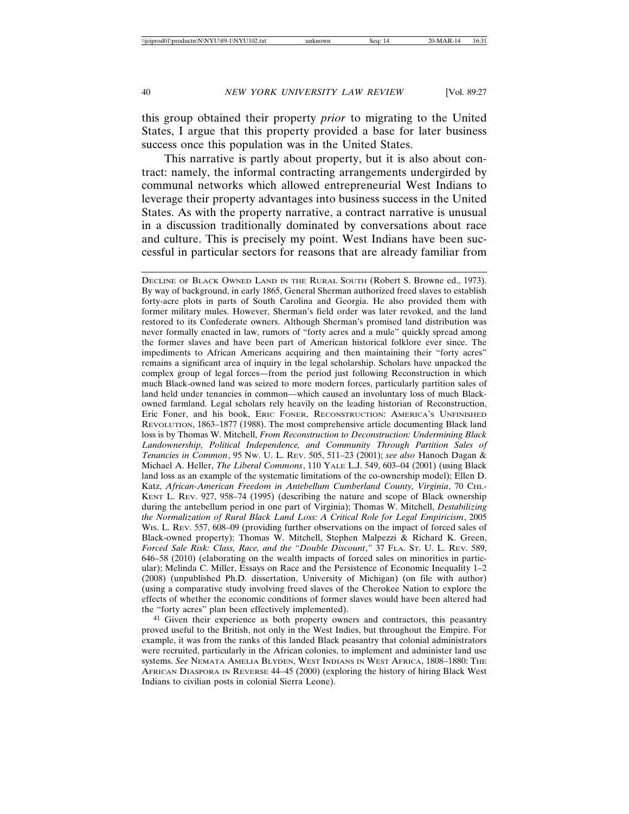this group obtained their property *prior* to migrating to the United States, I argue that this property provided a base for later business success once this population was in the United States.

This narrative is partly about property, but it is also about contract: namely, the informal contracting arrangements undergirded by communal networks which allowed entrepreneurial West Indians to leverage their property advantages into business success in the United States. As with the property narrative, a contract narrative is unusual in a discussion traditionally dominated by conversations about race and culture. This is precisely my point. West Indians have been successful in particular sectors for reasons that are already familiar from

DECLINE OF BLACK OWNED LAND IN THE RURAL SOUTH (Robert S. Browne ed., 1973). By way of background, in early 1865, General Sherman authorized freed slaves to establish forty-acre plots in parts of South Carolina and Georgia. He also provided them with former military mules. However, Sherman's field order was later revoked, and the land restored to its Confederate owners. Although Sherman's promised land distribution was never formally enacted in law, rumors of "forty acres and a mule" quickly spread among the former slaves and have been part of American historical folklore ever since. The impediments to African Americans acquiring and then maintaining their "forty acres" remains a significant area of inquiry in the legal scholarship. Scholars have unpacked the complex group of legal forces—from the period just following Reconstruction in which much Black-owned land was seized to more modern forces, particularly partition sales of land held under tenancies in common—which caused an involuntary loss of much Blackowned farmland. Legal scholars rely heavily on the leading historian of Reconstruction, Eric Foner, and his book, ERIC FONER, RECONSTRUCTION: AMERICA'S UNFINISHED REVOLUTION, 1863–1877 (1988). The most comprehensive article documenting Black land loss is by Thomas W. Mitchell, *From Reconstruction to Deconstruction: Undermining Black Landownership, Political Independence, and Community Through Partition Sales of Tenancies in Common*, 95 NW. U. L. REV. 505, 511–23 (2001); *see also* Hanoch Dagan & Michael A. Heller, *The Liberal Commons*, 110 YALE L.J. 549, 603–04 (2001) (using Black land loss as an example of the systematic limitations of the co-ownership model); Ellen D. Katz, *African-American Freedom in Antebellum Cumberland County, Virginia*, 70 CHI.- KENT L. REV. 927, 958–74 (1995) (describing the nature and scope of Black ownership during the antebellum period in one part of Virginia); Thomas W. Mitchell, *Destabilizing the Normalization of Rural Black Land Loss: A Critical Role for Legal Empiricism*, 2005 W<sub>IS</sub>. L. Rev. 557, 608–09 (providing further observations on the impact of forced sales of Black-owned property); Thomas W. Mitchell, Stephen Malpezzi & Richard K. Green, *Forced Sale Risk: Class, Race, and the "Double Discount*,*"* 37 FLA. ST. U. L. REV. 589, 646–58 (2010) (elaborating on the wealth impacts of forced sales on minorities in particular); Melinda C. Miller, Essays on Race and the Persistence of Economic Inequality 1–2 (2008) (unpublished Ph.D. dissertation, University of Michigan) (on file with author) (using a comparative study involving freed slaves of the Cherokee Nation to explore the effects of whether the economic conditions of former slaves would have been altered had the "forty acres" plan been effectively implemented).

41 Given their experience as both property owners and contractors, this peasantry proved useful to the British, not only in the West Indies, but throughout the Empire. For example, it was from the ranks of this landed Black peasantry that colonial administrators were recruited, particularly in the African colonies, to implement and administer land use systems. *See* NEMATA AMELIA BLYDEN, WEST INDIANS IN WEST AFRICA, 1808–1880: THE AFRICAN DIASPORA IN REVERSE 44–45 (2000) (exploring the history of hiring Black West Indians to civilian posts in colonial Sierra Leone).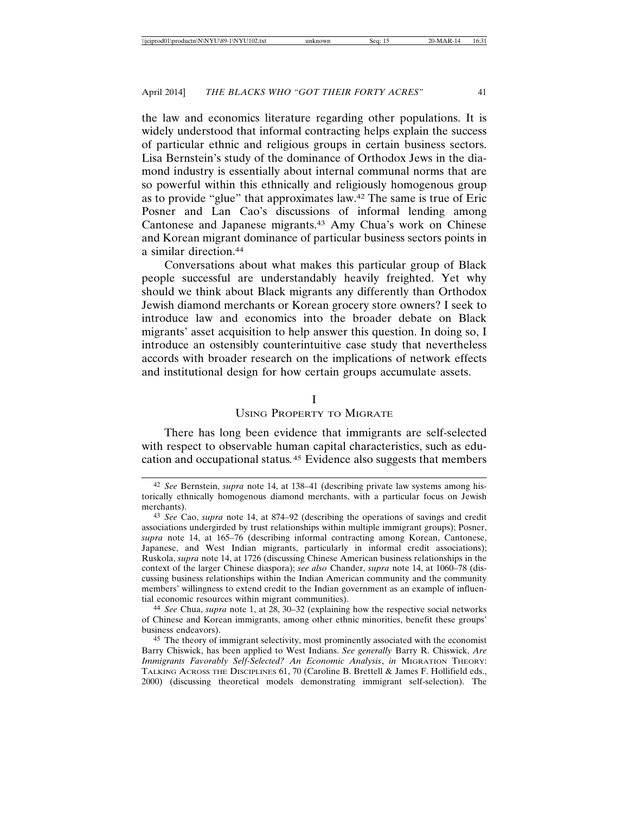the law and economics literature regarding other populations. It is widely understood that informal contracting helps explain the success of particular ethnic and religious groups in certain business sectors. Lisa Bernstein's study of the dominance of Orthodox Jews in the diamond industry is essentially about internal communal norms that are so powerful within this ethnically and religiously homogenous group as to provide "glue" that approximates law.42 The same is true of Eric Posner and Lan Cao's discussions of informal lending among Cantonese and Japanese migrants.43 Amy Chua's work on Chinese and Korean migrant dominance of particular business sectors points in a similar direction.44

Conversations about what makes this particular group of Black people successful are understandably heavily freighted. Yet why should we think about Black migrants any differently than Orthodox Jewish diamond merchants or Korean grocery store owners? I seek to introduce law and economics into the broader debate on Black migrants' asset acquisition to help answer this question. In doing so, I introduce an ostensibly counterintuitive case study that nevertheless accords with broader research on the implications of network effects and institutional design for how certain groups accumulate assets.

#### I

# USING PROPERTY TO MIGRATE

There has long been evidence that immigrants are self-selected with respect to observable human capital characteristics, such as education and occupational status*.*45 Evidence also suggests that members

<sup>42</sup> *See* Bernstein, *supra* note 14, at 138–41 (describing private law systems among historically ethnically homogenous diamond merchants, with a particular focus on Jewish merchants).

<sup>43</sup> *See* Cao, *supra* note 14, at 874–92 (describing the operations of savings and credit associations undergirded by trust relationships within multiple immigrant groups); Posner, *supra* note 14, at 165–76 (describing informal contracting among Korean, Cantonese, Japanese, and West Indian migrants, particularly in informal credit associations); Ruskola, *supra* note 14, at 1726 (discussing Chinese American business relationships in the context of the larger Chinese diaspora); *see also* Chander, *supra* note 14, at 1060–78 (discussing business relationships within the Indian American community and the community members' willingness to extend credit to the Indian government as an example of influential economic resources within migrant communities).

<sup>44</sup> *See* Chua, *supra* note 1, at 28, 30–32 (explaining how the respective social networks of Chinese and Korean immigrants, among other ethnic minorities, benefit these groups' business endeavors).

<sup>45</sup> The theory of immigrant selectivity, most prominently associated with the economist Barry Chiswick, has been applied to West Indians. *See generally* Barry R. Chiswick, *Are Immigrants Favorably Self-Selected? An Economic Analysis*, *in* MIGRATION THEORY: TALKING ACROSS THE DISCIPLINES 61, 70 (Caroline B. Brettell & James F. Hollifield eds., 2000) (discussing theoretical models demonstrating immigrant self-selection). The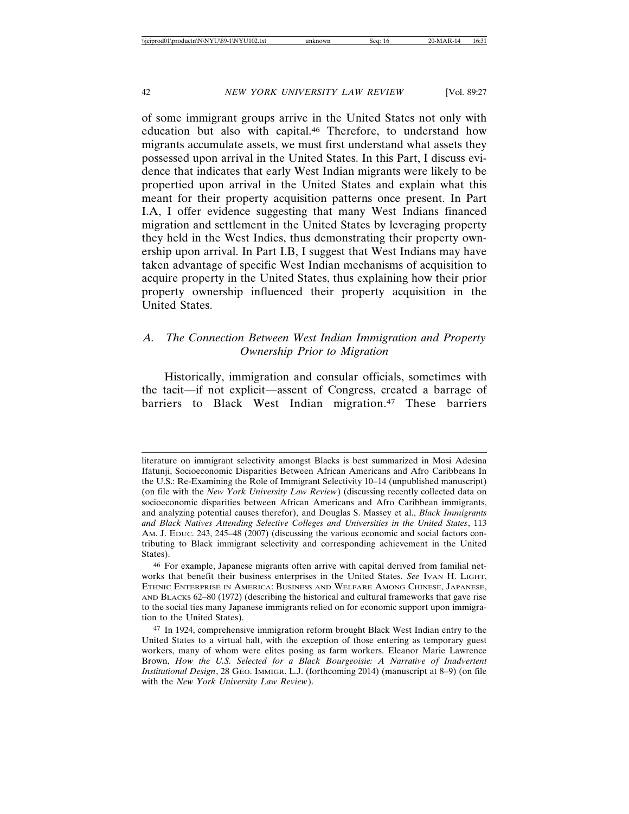of some immigrant groups arrive in the United States not only with education but also with capital.46 Therefore, to understand how migrants accumulate assets, we must first understand what assets they possessed upon arrival in the United States. In this Part, I discuss evidence that indicates that early West Indian migrants were likely to be propertied upon arrival in the United States and explain what this meant for their property acquisition patterns once present. In Part I.A, I offer evidence suggesting that many West Indians financed migration and settlement in the United States by leveraging property they held in the West Indies, thus demonstrating their property ownership upon arrival. In Part I.B, I suggest that West Indians may have taken advantage of specific West Indian mechanisms of acquisition to acquire property in the United States, thus explaining how their prior property ownership influenced their property acquisition in the United States.

# *A. The Connection Between West Indian Immigration and Property Ownership Prior to Migration*

Historically, immigration and consular officials, sometimes with the tacit—if not explicit—assent of Congress, created a barrage of barriers to Black West Indian migration.47 These barriers

literature on immigrant selectivity amongst Blacks is best summarized in Mosi Adesina Ifatunji, Socioeconomic Disparities Between African Americans and Afro Caribbeans In the U.S.: Re-Examining the Role of Immigrant Selectivity 10–14 (unpublished manuscript) (on file with the *New York University Law Review*) (discussing recently collected data on socioeconomic disparities between African Americans and Afro Caribbean immigrants, and analyzing potential causes therefor), and Douglas S. Massey et al., *Black Immigrants and Black Natives Attending Selective Colleges and Universities in the United States*, 113 AM. J. EDUC. 243, 245–48 (2007) (discussing the various economic and social factors contributing to Black immigrant selectivity and corresponding achievement in the United States).

<sup>46</sup> For example, Japanese migrants often arrive with capital derived from familial networks that benefit their business enterprises in the United States. *See* IVAN H. LIGHT, ETHNIC ENTERPRISE IN AMERICA: BUSINESS AND WELFARE AMONG CHINESE, JAPANESE, AND BLACKS 62–80 (1972) (describing the historical and cultural frameworks that gave rise to the social ties many Japanese immigrants relied on for economic support upon immigration to the United States).

<sup>47</sup> In 1924, comprehensive immigration reform brought Black West Indian entry to the United States to a virtual halt, with the exception of those entering as temporary guest workers, many of whom were elites posing as farm workers. Eleanor Marie Lawrence Brown, *How the U.S. Selected for a Black Bourgeoisie: A Narrative of Inadvertent Institutional Design*, 28 GEO. IMMIGR. L.J. (forthcoming 2014) (manuscript at 8–9) (on file with the *New York University Law Review*).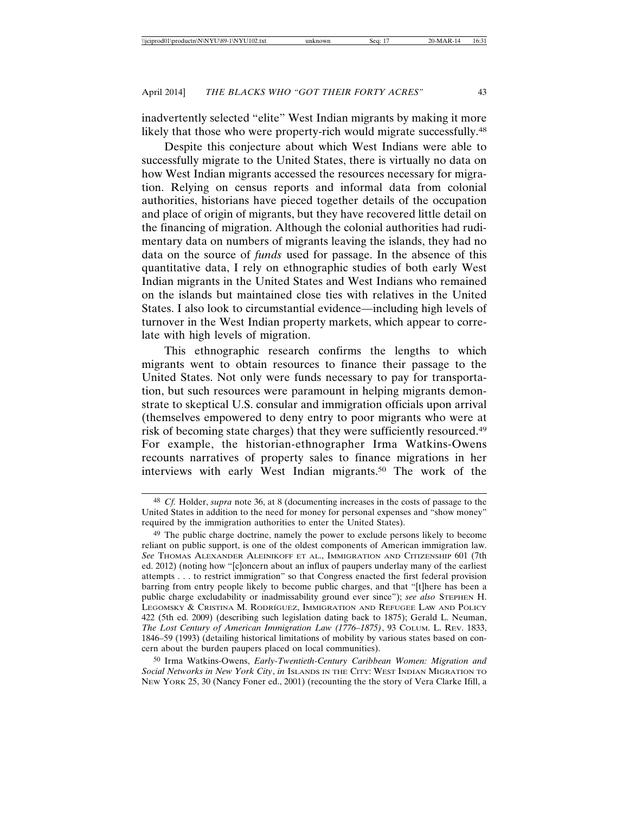inadvertently selected "elite" West Indian migrants by making it more likely that those who were property-rich would migrate successfully.<sup>48</sup>

Despite this conjecture about which West Indians were able to successfully migrate to the United States, there is virtually no data on how West Indian migrants accessed the resources necessary for migration. Relying on census reports and informal data from colonial authorities, historians have pieced together details of the occupation and place of origin of migrants, but they have recovered little detail on the financing of migration. Although the colonial authorities had rudimentary data on numbers of migrants leaving the islands, they had no data on the source of *funds* used for passage. In the absence of this quantitative data, I rely on ethnographic studies of both early West Indian migrants in the United States and West Indians who remained on the islands but maintained close ties with relatives in the United States. I also look to circumstantial evidence—including high levels of turnover in the West Indian property markets, which appear to correlate with high levels of migration.

This ethnographic research confirms the lengths to which migrants went to obtain resources to finance their passage to the United States. Not only were funds necessary to pay for transportation, but such resources were paramount in helping migrants demonstrate to skeptical U.S. consular and immigration officials upon arrival (themselves empowered to deny entry to poor migrants who were at risk of becoming state charges) that they were sufficiently resourced.49 For example, the historian-ethnographer Irma Watkins-Owens recounts narratives of property sales to finance migrations in her interviews with early West Indian migrants.50 The work of the

50 Irma Watkins-Owens, *Early-Twentieth-Century Caribbean Women: Migration and Social Networks in New York City*, *in* ISLANDS IN THE CITY: WEST INDIAN MIGRATION TO NEW YORK 25, 30 (Nancy Foner ed., 2001) (recounting the the story of Vera Clarke Ifill, a

<sup>48</sup> *Cf.* Holder, *supra* note 36, at 8 (documenting increases in the costs of passage to the United States in addition to the need for money for personal expenses and "show money" required by the immigration authorities to enter the United States).

<sup>49</sup> The public charge doctrine, namely the power to exclude persons likely to become reliant on public support, is one of the oldest components of American immigration law. *See* THOMAS ALEXANDER ALEINIKOFF ET AL., IMMIGRATION AND CITIZENSHIP 601 (7th ed. 2012) (noting how "[c]oncern about an influx of paupers underlay many of the earliest attempts . . . to restrict immigration" so that Congress enacted the first federal provision barring from entry people likely to become public charges, and that "[t]here has been a public charge excludability or inadmissability ground ever since"); *see also* STEPHEN H. Legomsky & Cristina M. Rodríguez, Immigration and Refugee Law and Policy 422 (5th ed. 2009) (describing such legislation dating back to 1875); Gerald L. Neuman, *The Lost Century of American Immigration Law (1776–1875)*, 93 COLUM. L. REV. 1833, 1846–59 (1993) (detailing historical limitations of mobility by various states based on concern about the burden paupers placed on local communities).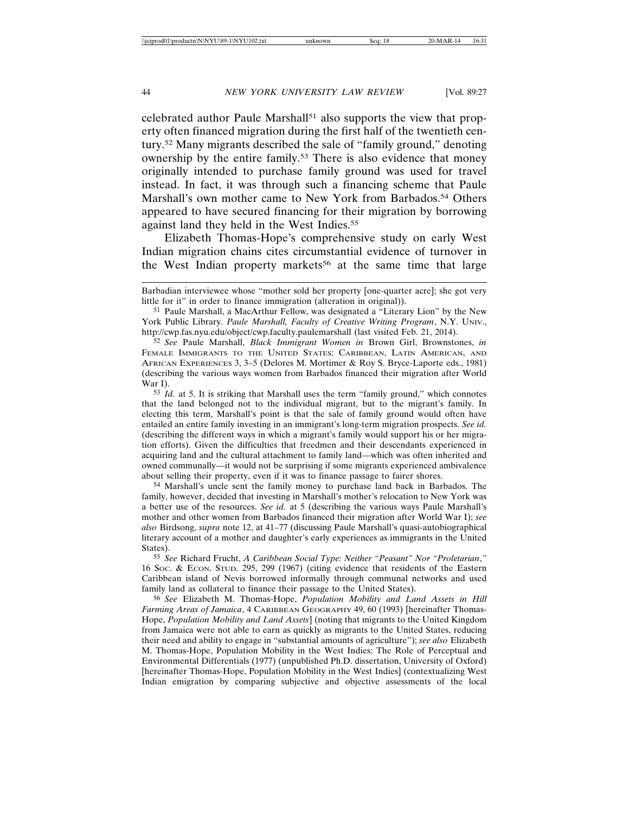celebrated author Paule Marshall51 also supports the view that property often financed migration during the first half of the twentieth century.52 Many migrants described the sale of "family ground," denoting ownership by the entire family.53 There is also evidence that money originally intended to purchase family ground was used for travel instead. In fact, it was through such a financing scheme that Paule Marshall's own mother came to New York from Barbados.<sup>54</sup> Others appeared to have secured financing for their migration by borrowing against land they held in the West Indies.55

Elizabeth Thomas-Hope's comprehensive study on early West Indian migration chains cites circumstantial evidence of turnover in the West Indian property markets<sup>56</sup> at the same time that large

53 *Id.* at 5. It is striking that Marshall uses the term "family ground," which connotes that the land belonged not to the individual migrant, but to the migrant's family. In electing this term, Marshall's point is that the sale of family ground would often have entailed an entire family investing in an immigrant's long-term migration prospects. *See id.* (describing the different ways in which a migrant's family would support his or her migration efforts). Given the difficulties that freedmen and their descendants experienced in acquiring land and the cultural attachment to family land—which was often inherited and owned communally—it would not be surprising if some migrants experienced ambivalence about selling their property, even if it was to finance passage to fairer shores.

54 Marshall's uncle sent the family money to purchase land back in Barbados. The family, however, decided that investing in Marshall's mother's relocation to New York was a better use of the resources. *See id.* at 5 (describing the various ways Paule Marshall's mother and other women from Barbados financed their migration after World War I); *see also* Birdsong, *supra* note 12, at 41–77 (discussing Paule Marshall's quasi-autobiographical literary account of a mother and daughter's early experiences as immigrants in the United States).

55 *See* Richard Frucht, *A Caribbean Social Type: Neither "Peasant" Nor "Proletarian*,*"* 16 SOC. & ECON. STUD. 295, 299 (1967) (citing evidence that residents of the Eastern Caribbean island of Nevis borrowed informally through communal networks and used family land as collateral to finance their passage to the United States).

56 *See* Elizabeth M. Thomas-Hope, *Population Mobility and Land Assets in Hill Farming Areas of Jamaica*, 4 CARIBBEAN GEOGRAPHY 49, 60 (1993) [hereinafter Thomas-Hope, *Population Mobility and Land Assets*] (noting that migrants to the United Kingdom from Jamaica were not able to earn as quickly as migrants to the United States, reducing their need and ability to engage in "substantial amounts of agriculture"); *see also* Elizabeth M. Thomas-Hope, Population Mobility in the West Indies: The Role of Perceptual and Environmental Differentials (1977) (unpublished Ph.D. dissertation, University of Oxford) [hereinafter Thomas-Hope, Population Mobility in the West Indies] (contextualizing West Indian emigration by comparing subjective and objective assessments of the local

Barbadian interviewee whose "mother sold her property [one-quarter acre]; she got very little for it" in order to finance immigration (alteration in original)).

<sup>51</sup> Paule Marshall, a MacArthur Fellow, was designated a "Literary Lion" by the New York Public Library. Paule Marshall, Faculty of Creative Writing Program, N.Y. UNIV., http://cwp.fas.nyu.edu/object/cwp.faculty.paulemarshall (last visited Feb. 21, 2014).

<sup>52</sup> *See* Paule Marshall, *Black Immigrant Women in* Brown Girl, Brownstones, *in* FEMALE IMMIGRANTS TO THE UNITED STATES: CARIBBEAN, LATIN AMERICAN, AND AFRICAN EXPERIENCES 3, 3–5 (Delores M. Mortimer & Roy S. Bryce-Laporte eds., 1981) (describing the various ways women from Barbados financed their migration after World War I).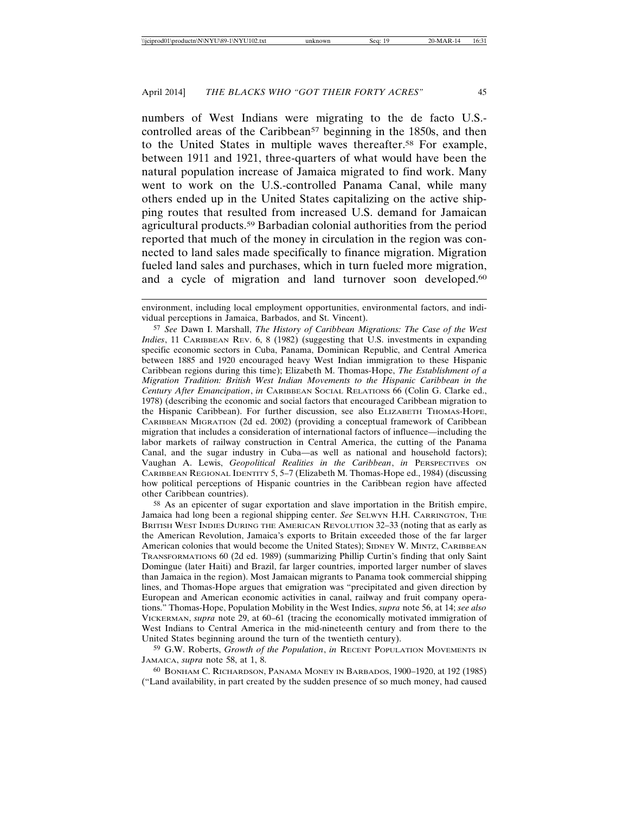numbers of West Indians were migrating to the de facto U.S. controlled areas of the Caribbean<sup>57</sup> beginning in the 1850s, and then to the United States in multiple waves thereafter.58 For example, between 1911 and 1921, three-quarters of what would have been the natural population increase of Jamaica migrated to find work. Many went to work on the U.S.-controlled Panama Canal, while many others ended up in the United States capitalizing on the active shipping routes that resulted from increased U.S. demand for Jamaican agricultural products.59 Barbadian colonial authorities from the period reported that much of the money in circulation in the region was connected to land sales made specifically to finance migration. Migration fueled land sales and purchases, which in turn fueled more migration, and a cycle of migration and land turnover soon developed.<sup>60</sup>

57 *See* Dawn I. Marshall, *The History of Caribbean Migrations: The Case of the West Indies*, 11 CARIBBEAN REV. 6, 8 (1982) (suggesting that U.S. investments in expanding specific economic sectors in Cuba, Panama, Dominican Republic, and Central America between 1885 and 1920 encouraged heavy West Indian immigration to these Hispanic Caribbean regions during this time); Elizabeth M. Thomas-Hope, *The Establishment of a Migration Tradition: British West Indian Movements to the Hispanic Caribbean in the Century After Emancipation*, *in* CARIBBEAN SOCIAL RELATIONS 66 (Colin G. Clarke ed., 1978) (describing the economic and social factors that encouraged Caribbean migration to the Hispanic Caribbean). For further discussion, see also ELIZABETH THOMAS-HOPE, CARIBBEAN MIGRATION (2d ed. 2002) (providing a conceptual framework of Caribbean migration that includes a consideration of international factors of influence—including the labor markets of railway construction in Central America, the cutting of the Panama Canal, and the sugar industry in Cuba—as well as national and household factors); Vaughan A. Lewis, *Geopolitical Realities in the Caribbean*, *in* PERSPECTIVES ON CARIBBEAN REGIONAL IDENTITY 5, 5–7 (Elizabeth M. Thomas-Hope ed., 1984) (discussing how political perceptions of Hispanic countries in the Caribbean region have affected other Caribbean countries).

58 As an epicenter of sugar exportation and slave importation in the British empire, Jamaica had long been a regional shipping center. *See* SELWYN H.H. CARRINGTON, THE BRITISH WEST INDIES DURING THE AMERICAN REVOLUTION 32–33 (noting that as early as the American Revolution, Jamaica's exports to Britain exceeded those of the far larger American colonies that would become the United States); SIDNEY W. MINTZ, CARIBBEAN TRANSFORMATIONS 60 (2d ed. 1989) (summarizing Phillip Curtin's finding that only Saint Domingue (later Haiti) and Brazil, far larger countries, imported larger number of slaves than Jamaica in the region). Most Jamaican migrants to Panama took commercial shipping lines, and Thomas-Hope argues that emigration was "precipitated and given direction by European and American economic activities in canal, railway and fruit company operations." Thomas-Hope, Population Mobility in the West Indies, *supra* note 56, at 14; *see also* VICKERMAN, *supra* note 29, at 60–61 (tracing the economically motivated immigration of West Indians to Central America in the mid-nineteenth century and from there to the United States beginning around the turn of the twentieth century).

59 G.W. Roberts, *Growth of the Population*, *in* RECENT POPULATION MOVEMENTS IN JAMAICA, *supra* note 58, at 1, 8.

60 BONHAM C. RICHARDSON, PANAMA MONEY IN BARBADOS, 1900–1920, at 192 (1985) ("Land availability, in part created by the sudden presence of so much money, had caused

environment, including local employment opportunities, environmental factors, and individual perceptions in Jamaica, Barbados, and St. Vincent).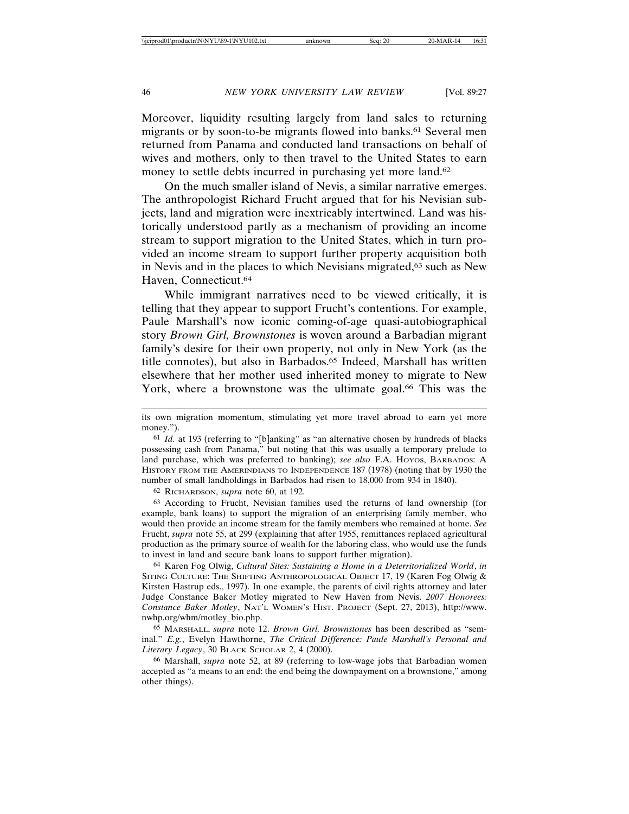Moreover, liquidity resulting largely from land sales to returning migrants or by soon-to-be migrants flowed into banks.<sup>61</sup> Several men returned from Panama and conducted land transactions on behalf of wives and mothers, only to then travel to the United States to earn money to settle debts incurred in purchasing yet more land.<sup>62</sup>

On the much smaller island of Nevis, a similar narrative emerges. The anthropologist Richard Frucht argued that for his Nevisian subjects, land and migration were inextricably intertwined. Land was historically understood partly as a mechanism of providing an income stream to support migration to the United States, which in turn provided an income stream to support further property acquisition both in Nevis and in the places to which Nevisians migrated,<sup>63</sup> such as New Haven, Connecticut.64

While immigrant narratives need to be viewed critically, it is telling that they appear to support Frucht's contentions. For example, Paule Marshall's now iconic coming-of-age quasi-autobiographical story *Brown Girl, Brownstones* is woven around a Barbadian migrant family's desire for their own property, not only in New York (as the title connotes), but also in Barbados.<sup>65</sup> Indeed, Marshall has written elsewhere that her mother used inherited money to migrate to New York, where a brownstone was the ultimate goal.<sup>66</sup> This was the

62 RICHARDSON, *supra* note 60, at 192.

63 According to Frucht, Nevisian families used the returns of land ownership (for example, bank loans) to support the migration of an enterprising family member, who would then provide an income stream for the family members who remained at home. *See* Frucht, *supra* note 55, at 299 (explaining that after 1955, remittances replaced agricultural production as the primary source of wealth for the laboring class, who would use the funds to invest in land and secure bank loans to support further migration).

64 Karen Fog Olwig, *Cultural Sites: Sustaining a Home in a Deterritorialized World*, *in* SITING CULTURE: THE SHIFTING ANTHROPOLOGICAL OBJECT 17, 19 (Karen Fog Olwig & Kirsten Hastrup eds., 1997). In one example, the parents of civil rights attorney and later Judge Constance Baker Motley migrated to New Haven from Nevis. *2007 Honorees: Constance Baker Motley*, NAT'L WOMEN'S HIST. PROJECT (Sept. 27, 2013), http://www. nwhp.org/whm/motley\_bio.php.

65 MARSHALL, *supra* note 12. *Brown Girl, Brownstones* has been described as "seminal." *E.g.*, Evelyn Hawthorne, *The Critical Difference: Paule Marshall's Personal and Literary Legacy*, 30 BLACK SCHOLAR 2, 4 (2000).

66 Marshall, *supra* note 52, at 89 (referring to low-wage jobs that Barbadian women accepted as "a means to an end: the end being the downpayment on a brownstone," among other things).

its own migration momentum, stimulating yet more travel abroad to earn yet more money.").

<sup>61</sup> *Id.* at 193 (referring to "[b]anking" as "an alternative chosen by hundreds of blacks possessing cash from Panama," but noting that this was usually a temporary prelude to land purchase, which was preferred to banking); *see also* F.A. HOYOS, BARBADOS: A HISTORY FROM THE AMERINDIANS TO INDEPENDENCE 187 (1978) (noting that by 1930 the number of small landholdings in Barbados had risen to 18,000 from 934 in 1840).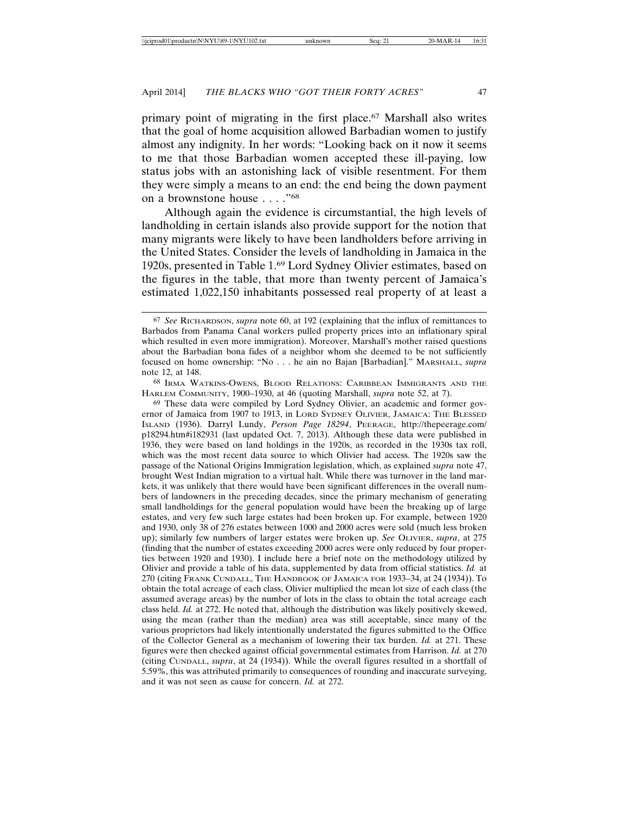primary point of migrating in the first place.67 Marshall also writes that the goal of home acquisition allowed Barbadian women to justify almost any indignity. In her words: "Looking back on it now it seems to me that those Barbadian women accepted these ill-paying, low status jobs with an astonishing lack of visible resentment. For them they were simply a means to an end: the end being the down payment on a brownstone house . . . ."68

Although again the evidence is circumstantial, the high levels of landholding in certain islands also provide support for the notion that many migrants were likely to have been landholders before arriving in the United States. Consider the levels of landholding in Jamaica in the 1920s, presented in Table 1.69 Lord Sydney Olivier estimates, based on the figures in the table, that more than twenty percent of Jamaica's estimated 1,022,150 inhabitants possessed real property of at least a

68 IRMA WATKINS-OWENS, BLOOD RELATIONS: CARIBBEAN IMMIGRANTS AND THE HARLEM COMMUNITY, 1900–1930, at 46 (quoting Marshall, *supra* note 52, at 7).

<sup>67</sup> *See* RICHARDSON, *supra* note 60, at 192 (explaining that the influx of remittances to Barbados from Panama Canal workers pulled property prices into an inflationary spiral which resulted in even more immigration). Moreover, Marshall's mother raised questions about the Barbadian bona fides of a neighbor whom she deemed to be not sufficiently focused on home ownership: "No . . . he ain no Bajan [Barbadian]." MARSHALL, *supra* note 12, at 148.

<sup>69</sup> These data were compiled by Lord Sydney Olivier, an academic and former governor of Jamaica from 1907 to 1913, in LORD SYDNEY OLIVIER, JAMAICA: THE BLESSED ISLAND (1936). Darryl Lundy, *Person Page 18294*, PEERAGE, http://thepeerage.com/ p18294.htm#i182931 (last updated Oct. 7, 2013). Although these data were published in 1936, they were based on land holdings in the 1920s, as recorded in the 1930s tax roll, which was the most recent data source to which Olivier had access. The 1920s saw the passage of the National Origins Immigration legislation, which, as explained *supra* note 47, brought West Indian migration to a virtual halt. While there was turnover in the land markets, it was unlikely that there would have been significant differences in the overall numbers of landowners in the preceding decades, since the primary mechanism of generating small landholdings for the general population would have been the breaking up of large estates, and very few such large estates had been broken up. For example, between 1920 and 1930, only 38 of 276 estates between 1000 and 2000 acres were sold (much less broken up); similarly few numbers of larger estates were broken up. *See* OLIVIER, *supra*, at 275 (finding that the number of estates exceeding 2000 acres were only reduced by four properties between 1920 and 1930). I include here a brief note on the methodology utilized by Olivier and provide a table of his data, supplemented by data from official statistics. *Id.* at 270 (citing FRANK CUNDALL, THE HANDBOOK OF JAMAICA FOR 1933–34, at 24 (1934)). To obtain the total acreage of each class, Olivier multiplied the mean lot size of each class (the assumed average areas) by the number of lots in the class to obtain the total acreage each class held. *Id.* at 272. He noted that, although the distribution was likely positively skewed, using the mean (rather than the median) area was still acceptable, since many of the various proprietors had likely intentionally understated the figures submitted to the Office of the Collector General as a mechanism of lowering their tax burden. *Id.* at 271. These figures were then checked against official governmental estimates from Harrison. *Id.* at 270 (citing CUNDALL, *supra*, at 24 (1934)). While the overall figures resulted in a shortfall of 5.59%, this was attributed primarily to consequences of rounding and inaccurate surveying, and it was not seen as cause for concern. *Id.* at 272.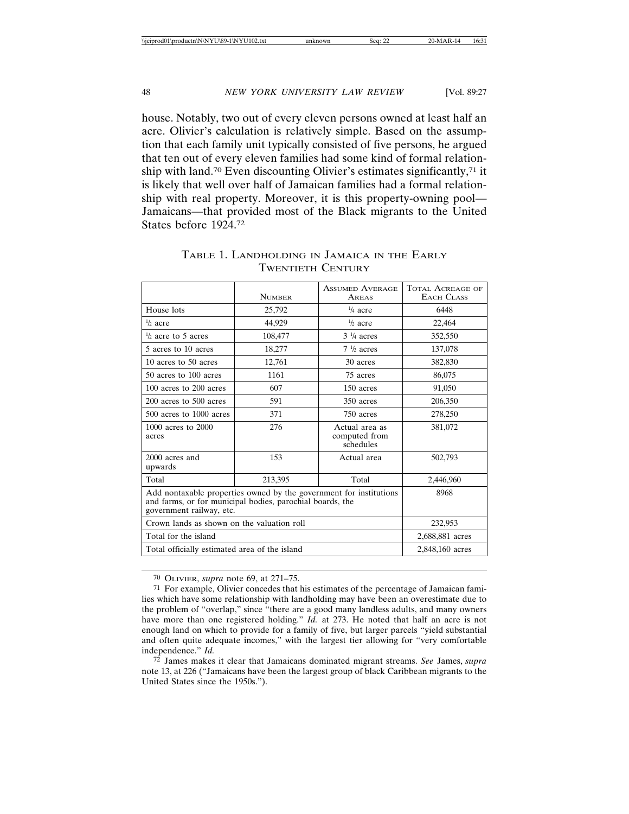house. Notably, two out of every eleven persons owned at least half an acre. Olivier's calculation is relatively simple. Based on the assumption that each family unit typically consisted of five persons, he argued that ten out of every eleven families had some kind of formal relationship with land.<sup>70</sup> Even discounting Olivier's estimates significantly,<sup>71</sup> it is likely that well over half of Jamaican families had a formal relationship with real property. Moreover, it is this property-owning pool— Jamaicans—that provided most of the Black migrants to the United States before 1924.72

|                                                                                                                                                             | <b>NUMBER</b>   | <b>ASSUMED AVERAGE</b><br>AREAS              | <b>TOTAL ACREAGE OF</b><br>EACH CLASS |
|-------------------------------------------------------------------------------------------------------------------------------------------------------------|-----------------|----------------------------------------------|---------------------------------------|
| House lots                                                                                                                                                  | 25,792          | $\frac{1}{4}$ acre                           | 6448                                  |
| $\frac{1}{2}$ acre                                                                                                                                          | 44.929          | $\frac{1}{2}$ acre                           | 22,464                                |
| $\frac{1}{2}$ acre to 5 acres                                                                                                                               | 108,477         | $3\frac{1}{4}$ acres                         | 352,550                               |
| 5 acres to 10 acres                                                                                                                                         | 18,277          | $7\frac{1}{2}$ acres                         | 137,078                               |
| 10 acres to 50 acres                                                                                                                                        | 12,761          | 30 acres                                     | 382,830                               |
| 50 acres to 100 acres                                                                                                                                       | 1161            | 75 acres                                     | 86,075                                |
| 100 acres to 200 acres                                                                                                                                      | 607             | 150 acres                                    | 91,050                                |
| 200 acres to 500 acres                                                                                                                                      | 591             | 350 acres                                    | 206,350                               |
| $500$ acres to $1000$ acres                                                                                                                                 | 371             | 750 acres                                    | 278,250                               |
| 1000 acres to 2000<br>acres                                                                                                                                 | 276             | Actual area as<br>computed from<br>schedules | 381,072                               |
| 2000 acres and<br>upwards                                                                                                                                   | 153             | Actual area                                  | 502,793                               |
| Total                                                                                                                                                       | 213,395         | Total                                        | 2,446,960                             |
| Add nontaxable properties owned by the government for institutions<br>and farms, or for municipal bodies, parochial boards, the<br>government railway, etc. |                 |                                              | 8968                                  |
| Crown lands as shown on the valuation roll                                                                                                                  |                 |                                              | 232,953                               |
| Total for the island                                                                                                                                        |                 |                                              | 2,688,881 acres                       |
| Total officially estimated area of the island                                                                                                               | 2,848,160 acres |                                              |                                       |

TABLE 1. LANDHOLDING IN JAMAICA IN THE EARLY TWENTIETH CENTURY

70 OLIVIER, *supra* note 69, at 271–75.

72 James makes it clear that Jamaicans dominated migrant streams. *See* James, *supra* note 13, at 226 ("Jamaicans have been the largest group of black Caribbean migrants to the United States since the 1950s.").

<sup>71</sup> For example, Olivier concedes that his estimates of the percentage of Jamaican families which have some relationship with landholding may have been an overestimate due to the problem of "overlap," since "there are a good many landless adults, and many owners have more than one registered holding." *Id.* at 273. He noted that half an acre is not enough land on which to provide for a family of five, but larger parcels "yield substantial and often quite adequate incomes," with the largest tier allowing for "very comfortable independence." *Id.*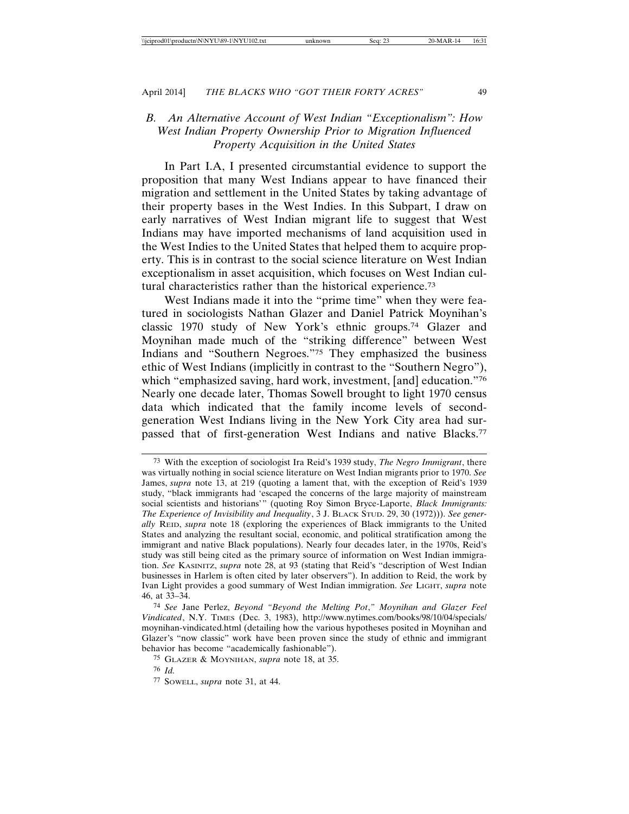# *B. An Alternative Account of West Indian "Exceptionalism": How West Indian Property Ownership Prior to Migration Influenced Property Acquisition in the United States*

In Part I.A, I presented circumstantial evidence to support the proposition that many West Indians appear to have financed their migration and settlement in the United States by taking advantage of their property bases in the West Indies. In this Subpart, I draw on early narratives of West Indian migrant life to suggest that West Indians may have imported mechanisms of land acquisition used in the West Indies to the United States that helped them to acquire property. This is in contrast to the social science literature on West Indian exceptionalism in asset acquisition, which focuses on West Indian cultural characteristics rather than the historical experience.73

West Indians made it into the "prime time" when they were featured in sociologists Nathan Glazer and Daniel Patrick Moynihan's classic 1970 study of New York's ethnic groups.74 Glazer and Moynihan made much of the "striking difference" between West Indians and "Southern Negroes."75 They emphasized the business ethic of West Indians (implicitly in contrast to the "Southern Negro"), which "emphasized saving, hard work, investment, [and] education."76 Nearly one decade later, Thomas Sowell brought to light 1970 census data which indicated that the family income levels of secondgeneration West Indians living in the New York City area had surpassed that of first-generation West Indians and native Blacks.<sup>77</sup>

<sup>73</sup> With the exception of sociologist Ira Reid's 1939 study, *The Negro Immigrant*, there was virtually nothing in social science literature on West Indian migrants prior to 1970. *See* James, *supra* note 13, at 219 (quoting a lament that, with the exception of Reid's 1939 study, "black immigrants had 'escaped the concerns of the large majority of mainstream social scientists and historians'" (quoting Roy Simon Bryce-Laporte, *Black Immigrants: The Experience of Invisibility and Inequality*, 3 J. BLACK STUD. 29, 30 (1972))). *See generally* REID, *supra* note 18 (exploring the experiences of Black immigrants to the United States and analyzing the resultant social, economic, and political stratification among the immigrant and native Black populations). Nearly four decades later, in the 1970s, Reid's study was still being cited as the primary source of information on West Indian immigration. *See* KASINITZ, *supra* note 28, at 93 (stating that Reid's "description of West Indian businesses in Harlem is often cited by later observers"). In addition to Reid, the work by Ivan Light provides a good summary of West Indian immigration. *See* LIGHT, *supra* note 46, at 33–34.

<sup>74</sup> *See* Jane Perlez, *Beyond "Beyond the Melting Pot*,*" Moynihan and Glazer Feel Vindicated*, N.Y. TIMES (Dec. 3, 1983), http://www.nytimes.com/books/98/10/04/specials/ moynihan-vindicated.html (detailing how the various hypotheses posited in Moynihan and Glazer's "now classic" work have been proven since the study of ethnic and immigrant behavior has become "academically fashionable").

<sup>75</sup> GLAZER & MOYNIHAN, *supra* note 18, at 35.

<sup>76</sup> *Id.*

<sup>77</sup> SOWELL, *supra* note 31, at 44.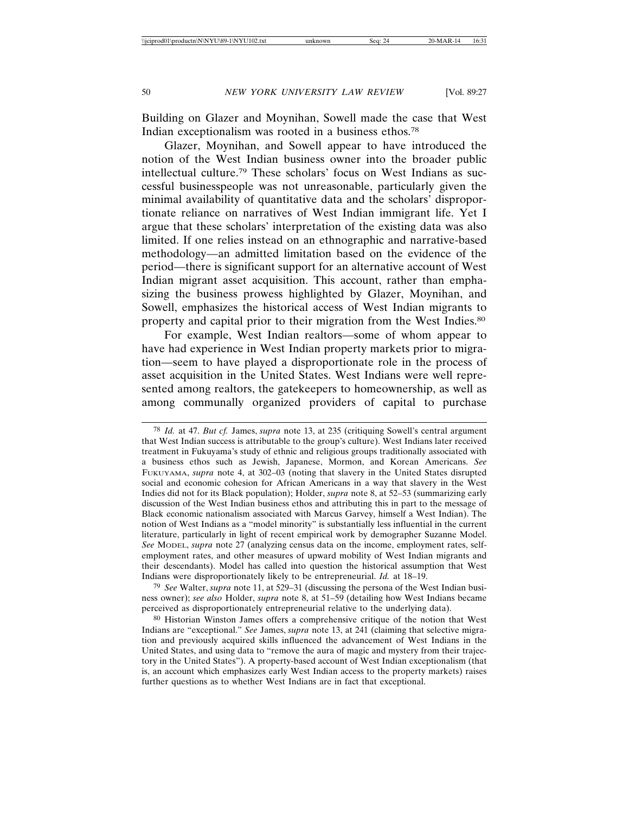Building on Glazer and Moynihan, Sowell made the case that West Indian exceptionalism was rooted in a business ethos.78

Glazer, Moynihan, and Sowell appear to have introduced the notion of the West Indian business owner into the broader public intellectual culture.79 These scholars' focus on West Indians as successful businesspeople was not unreasonable, particularly given the minimal availability of quantitative data and the scholars' disproportionate reliance on narratives of West Indian immigrant life. Yet I argue that these scholars' interpretation of the existing data was also limited. If one relies instead on an ethnographic and narrative-based methodology—an admitted limitation based on the evidence of the period—there is significant support for an alternative account of West Indian migrant asset acquisition. This account, rather than emphasizing the business prowess highlighted by Glazer, Moynihan, and Sowell, emphasizes the historical access of West Indian migrants to property and capital prior to their migration from the West Indies.80

For example, West Indian realtors—some of whom appear to have had experience in West Indian property markets prior to migration—seem to have played a disproportionate role in the process of asset acquisition in the United States. West Indians were well represented among realtors, the gatekeepers to homeownership, as well as among communally organized providers of capital to purchase

79 *See* Walter, *supra* note 11, at 529–31 (discussing the persona of the West Indian business owner); *see also* Holder, *supra* note 8, at 51–59 (detailing how West Indians became perceived as disproportionately entrepreneurial relative to the underlying data).

<sup>78</sup> *Id.* at 47. *But cf.* James, *supra* note 13, at 235 (critiquing Sowell's central argument that West Indian success is attributable to the group's culture). West Indians later received treatment in Fukuyama's study of ethnic and religious groups traditionally associated with a business ethos such as Jewish, Japanese, Mormon, and Korean Americans. *See* FUKUYAMA, *supra* note 4, at 302–03 (noting that slavery in the United States disrupted social and economic cohesion for African Americans in a way that slavery in the West Indies did not for its Black population); Holder, *supra* note 8, at 52–53 (summarizing early discussion of the West Indian business ethos and attributing this in part to the message of Black economic nationalism associated with Marcus Garvey, himself a West Indian). The notion of West Indians as a "model minority" is substantially less influential in the current literature, particularly in light of recent empirical work by demographer Suzanne Model. *See* MODEL, *supra* note 27 (analyzing census data on the income, employment rates, selfemployment rates, and other measures of upward mobility of West Indian migrants and their descendants). Model has called into question the historical assumption that West Indians were disproportionately likely to be entrepreneurial. *Id.* at 18–19.

<sup>80</sup> Historian Winston James offers a comprehensive critique of the notion that West Indians are "exceptional." *See* James, *supra* note 13, at 241 (claiming that selective migration and previously acquired skills influenced the advancement of West Indians in the United States, and using data to "remove the aura of magic and mystery from their trajectory in the United States"). A property-based account of West Indian exceptionalism (that is, an account which emphasizes early West Indian access to the property markets) raises further questions as to whether West Indians are in fact that exceptional.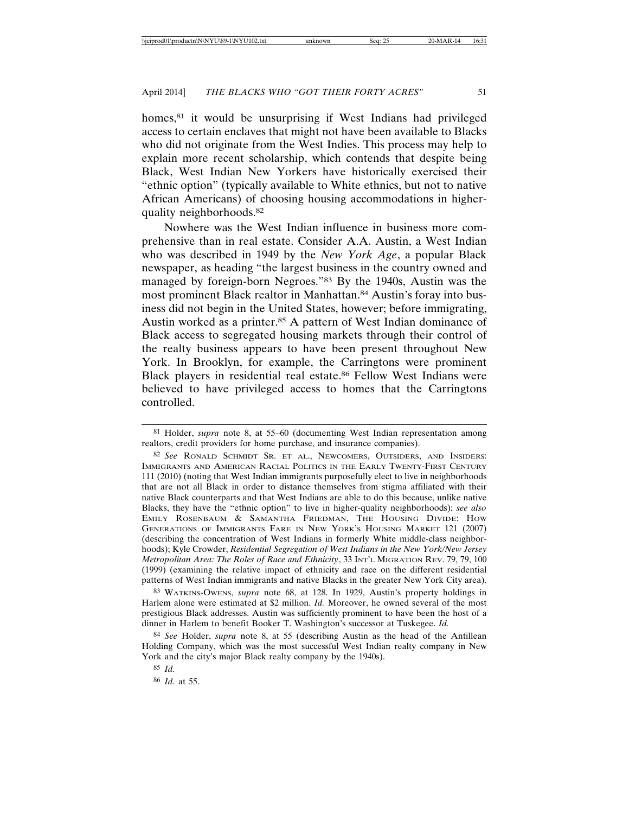homes,<sup>81</sup> it would be unsurprising if West Indians had privileged access to certain enclaves that might not have been available to Blacks who did not originate from the West Indies. This process may help to explain more recent scholarship, which contends that despite being Black, West Indian New Yorkers have historically exercised their "ethnic option" (typically available to White ethnics, but not to native African Americans) of choosing housing accommodations in higherquality neighborhoods.82

Nowhere was the West Indian influence in business more comprehensive than in real estate. Consider A.A. Austin, a West Indian who was described in 1949 by the *New York Age*, a popular Black newspaper, as heading "the largest business in the country owned and managed by foreign-born Negroes."83 By the 1940s, Austin was the most prominent Black realtor in Manhattan.84 Austin's foray into business did not begin in the United States, however; before immigrating, Austin worked as a printer.85 A pattern of West Indian dominance of Black access to segregated housing markets through their control of the realty business appears to have been present throughout New York. In Brooklyn, for example, the Carringtons were prominent Black players in residential real estate.<sup>86</sup> Fellow West Indians were believed to have privileged access to homes that the Carringtons controlled.

83 WATKINS-OWENS, *supra* note 68, at 128. In 1929, Austin's property holdings in Harlem alone were estimated at \$2 million. *Id.* Moreover, he owned several of the most prestigious Black addresses. Austin was sufficiently prominent to have been the host of a dinner in Harlem to benefit Booker T. Washington's successor at Tuskegee. *Id.*

84 *See* Holder, *supra* note 8, at 55 (describing Austin as the head of the Antillean Holding Company, which was the most successful West Indian realty company in New York and the city's major Black realty company by the 1940s).

<sup>81</sup> Holder, *supra* note 8, at 55–60 (documenting West Indian representation among realtors, credit providers for home purchase, and insurance companies).

<sup>82</sup> *See* RONALD SCHMIDT SR. ET AL., NEWCOMERS, OUTSIDERS, AND INSIDERS: IMMIGRANTS AND AMERICAN RACIAL POLITICS IN THE EARLY TWENTY-FIRST CENTURY 111 (2010) (noting that West Indian immigrants purposefully elect to live in neighborhoods that are not all Black in order to distance themselves from stigma affiliated with their native Black counterparts and that West Indians are able to do this because, unlike native Blacks, they have the "ethnic option" to live in higher-quality neighborhoods); *see also* EMILY ROSENBAUM & SAMANTHA FRIEDMAN, THE HOUSING DIVIDE: HOW GENERATIONS OF IMMIGRANTS FARE IN NEW YORK'S HOUSING MARKET 121 (2007) (describing the concentration of West Indians in formerly White middle-class neighborhoods); Kyle Crowder, *Residential Segregation of West Indians in the New York/New Jersey Metropolitan Area: The Roles of Race and Ethnicity*, 33 INT'L MIGRATION REV. 79, 79, 100 (1999) (examining the relative impact of ethnicity and race on the different residential patterns of West Indian immigrants and native Blacks in the greater New York City area).

<sup>85</sup> *Id.*

<sup>86</sup> *Id.* at 55.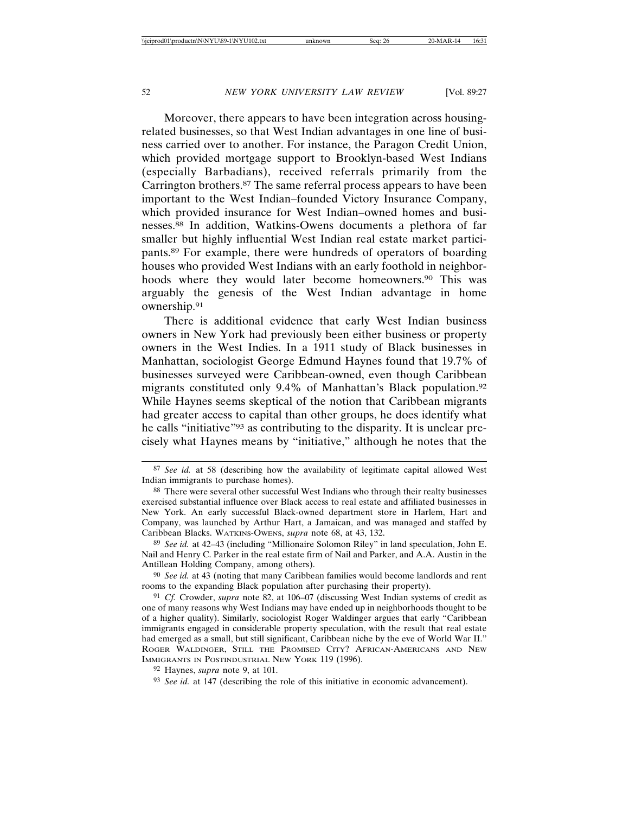Moreover, there appears to have been integration across housingrelated businesses, so that West Indian advantages in one line of business carried over to another. For instance, the Paragon Credit Union, which provided mortgage support to Brooklyn-based West Indians (especially Barbadians), received referrals primarily from the Carrington brothers.87 The same referral process appears to have been important to the West Indian–founded Victory Insurance Company, which provided insurance for West Indian–owned homes and businesses.88 In addition, Watkins-Owens documents a plethora of far smaller but highly influential West Indian real estate market participants.89 For example, there were hundreds of operators of boarding houses who provided West Indians with an early foothold in neighborhoods where they would later become homeowners.<sup>90</sup> This was arguably the genesis of the West Indian advantage in home ownership.91

There is additional evidence that early West Indian business owners in New York had previously been either business or property owners in the West Indies. In a 1911 study of Black businesses in Manhattan, sociologist George Edmund Haynes found that 19.7% of businesses surveyed were Caribbean-owned, even though Caribbean migrants constituted only 9.4% of Manhattan's Black population.92 While Haynes seems skeptical of the notion that Caribbean migrants had greater access to capital than other groups, he does identify what he calls "initiative"93 as contributing to the disparity. It is unclear precisely what Haynes means by "initiative," although he notes that the

<sup>87</sup> *See id.* at 58 (describing how the availability of legitimate capital allowed West Indian immigrants to purchase homes).

<sup>88</sup> There were several other successful West Indians who through their realty businesses exercised substantial influence over Black access to real estate and affiliated businesses in New York. An early successful Black-owned department store in Harlem, Hart and Company, was launched by Arthur Hart, a Jamaican, and was managed and staffed by Caribbean Blacks. WATKINS-OWENS, *supra* note 68, at 43, 132.

<sup>89</sup> *See id.* at 42–43 (including "Millionaire Solomon Riley" in land speculation, John E. Nail and Henry C. Parker in the real estate firm of Nail and Parker, and A.A. Austin in the Antillean Holding Company, among others).

<sup>90</sup> *See id.* at 43 (noting that many Caribbean families would become landlords and rent rooms to the expanding Black population after purchasing their property).

<sup>91</sup> *Cf.* Crowder, *supra* note 82, at 106–07 (discussing West Indian systems of credit as one of many reasons why West Indians may have ended up in neighborhoods thought to be of a higher quality). Similarly, sociologist Roger Waldinger argues that early "Caribbean immigrants engaged in considerable property speculation, with the result that real estate had emerged as a small, but still significant, Caribbean niche by the eve of World War II." ROGER WALDINGER, STILL THE PROMISED CITY? AFRICAN-AMERICANS AND NEW IMMIGRANTS IN POSTINDUSTRIAL NEW YORK 119 (1996).

<sup>92</sup> Haynes, *supra* note 9, at 101.

<sup>93</sup> *See id.* at 147 (describing the role of this initiative in economic advancement).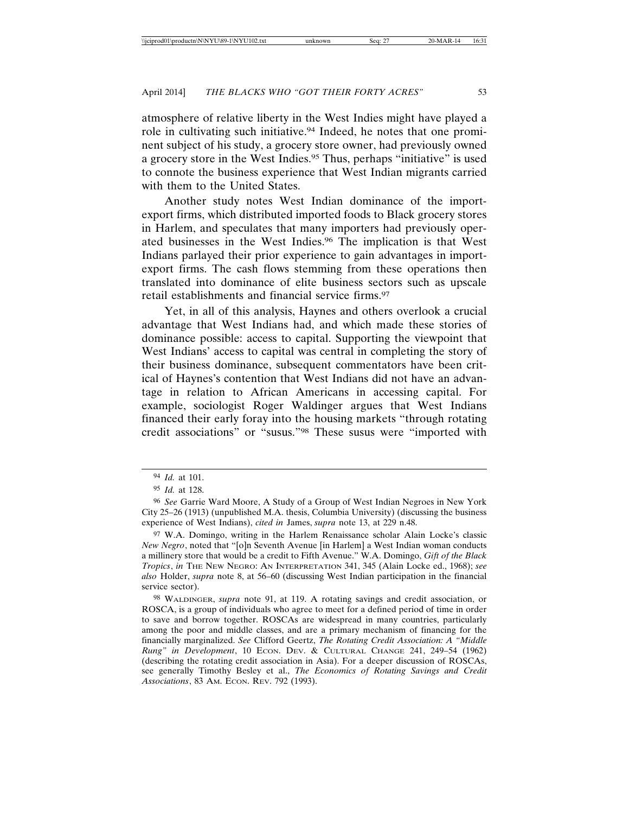atmosphere of relative liberty in the West Indies might have played a role in cultivating such initiative.94 Indeed, he notes that one prominent subject of his study, a grocery store owner, had previously owned a grocery store in the West Indies.95 Thus, perhaps "initiative" is used to connote the business experience that West Indian migrants carried with them to the United States.

Another study notes West Indian dominance of the importexport firms, which distributed imported foods to Black grocery stores in Harlem, and speculates that many importers had previously operated businesses in the West Indies.96 The implication is that West Indians parlayed their prior experience to gain advantages in importexport firms. The cash flows stemming from these operations then translated into dominance of elite business sectors such as upscale retail establishments and financial service firms.97

Yet, in all of this analysis, Haynes and others overlook a crucial advantage that West Indians had, and which made these stories of dominance possible: access to capital. Supporting the viewpoint that West Indians' access to capital was central in completing the story of their business dominance, subsequent commentators have been critical of Haynes's contention that West Indians did not have an advantage in relation to African Americans in accessing capital. For example, sociologist Roger Waldinger argues that West Indians financed their early foray into the housing markets "through rotating credit associations" or "susus."98 These susus were "imported with

<sup>94</sup> *Id.* at 101.

<sup>95</sup> *Id.* at 128.

<sup>96</sup> *See* Garrie Ward Moore, A Study of a Group of West Indian Negroes in New York City 25–26 (1913) (unpublished M.A. thesis, Columbia University) (discussing the business experience of West Indians), *cited in* James, *supra* note 13, at 229 n.48.

<sup>97</sup> W.A. Domingo, writing in the Harlem Renaissance scholar Alain Locke's classic *New Negro*, noted that "[o]n Seventh Avenue [in Harlem] a West Indian woman conducts a millinery store that would be a credit to Fifth Avenue." W.A. Domingo, *Gift of the Black Tropics*, *in* THE NEW NEGRO: AN INTERPRETATION 341, 345 (Alain Locke ed., 1968); *see also* Holder, *supra* note 8, at 56–60 (discussing West Indian participation in the financial service sector).

<sup>98</sup> WALDINGER, *supra* note 91, at 119. A rotating savings and credit association, or ROSCA, is a group of individuals who agree to meet for a defined period of time in order to save and borrow together. ROSCAs are widespread in many countries, particularly among the poor and middle classes, and are a primary mechanism of financing for the financially marginalized. *See* Clifford Geertz, *The Rotating Credit Association: A "Middle Rung" in Development*, 10 ECON. DEV. & CULTURAL CHANGE 241, 249–54 (1962) (describing the rotating credit association in Asia). For a deeper discussion of ROSCAs, see generally Timothy Besley et al., *The Economics of Rotating Savings and Credit Associations*, 83 AM. ECON. REV. 792 (1993).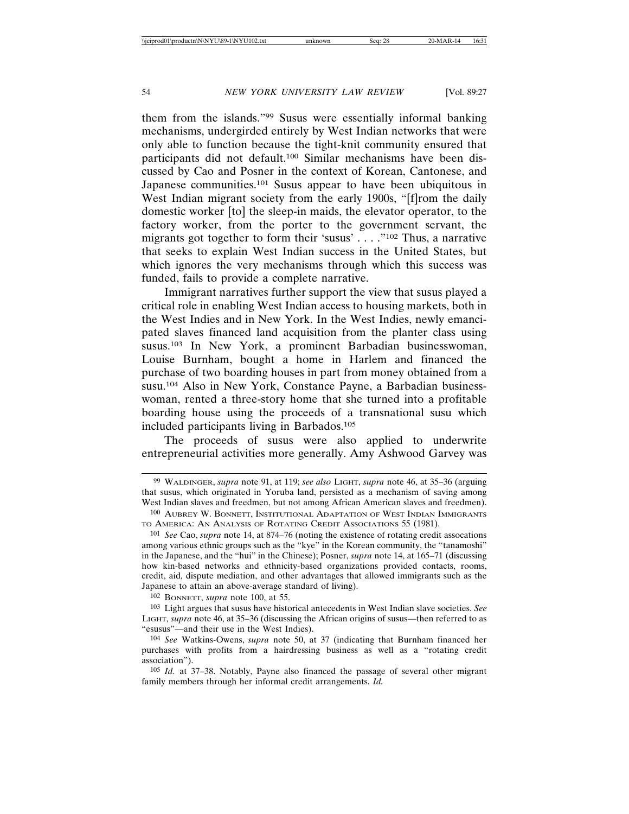them from the islands."99 Susus were essentially informal banking mechanisms, undergirded entirely by West Indian networks that were only able to function because the tight-knit community ensured that participants did not default.100 Similar mechanisms have been discussed by Cao and Posner in the context of Korean, Cantonese, and Japanese communities.101 Susus appear to have been ubiquitous in West Indian migrant society from the early 1900s, "[f]rom the daily domestic worker [to] the sleep-in maids, the elevator operator, to the factory worker, from the porter to the government servant, the migrants got together to form their 'susus' . . . ."102 Thus, a narrative that seeks to explain West Indian success in the United States, but which ignores the very mechanisms through which this success was funded, fails to provide a complete narrative.

Immigrant narratives further support the view that susus played a critical role in enabling West Indian access to housing markets, both in the West Indies and in New York. In the West Indies, newly emancipated slaves financed land acquisition from the planter class using susus.103 In New York, a prominent Barbadian businesswoman, Louise Burnham, bought a home in Harlem and financed the purchase of two boarding houses in part from money obtained from a susu.104 Also in New York, Constance Payne, a Barbadian businesswoman, rented a three-story home that she turned into a profitable boarding house using the proceeds of a transnational susu which included participants living in Barbados.105

The proceeds of susus were also applied to underwrite entrepreneurial activities more generally. Amy Ashwood Garvey was

102 BONNETT, *supra* note 100, at 55.

103 Light argues that susus have historical antecedents in West Indian slave societies. *See* LIGHT, *supra* note 46, at 35–36 (discussing the African origins of susus—then referred to as "esusus"—and their use in the West Indies).

<sup>99</sup> WALDINGER, *supra* note 91, at 119; *see also* LIGHT, *supra* note 46, at 35–36 (arguing that susus, which originated in Yoruba land, persisted as a mechanism of saving among West Indian slaves and freedmen, but not among African American slaves and freedmen).

<sup>100</sup> AUBREY W. BONNETT, INSTITUTIONAL ADAPTATION OF WEST INDIAN IMMIGRANTS TO AMERICA: AN ANALYSIS OF ROTATING CREDIT ASSOCIATIONS 55 (1981).

<sup>101</sup> *See* Cao, *supra* note 14, at 874–76 (noting the existence of rotating credit assocations among various ethnic groups such as the "kye" in the Korean community, the "tanamoshi" in the Japanese, and the "hui" in the Chinese); Posner, *supra* note 14, at 165–71 (discussing how kin-based networks and ethnicity-based organizations provided contacts, rooms, credit, aid, dispute mediation, and other advantages that allowed immigrants such as the Japanese to attain an above-average standard of living).

<sup>104</sup> *See* Watkins-Owens, *supra* note 50, at 37 (indicating that Burnham financed her purchases with profits from a hairdressing business as well as a "rotating credit association").

<sup>105</sup> *Id.* at 37–38. Notably, Payne also financed the passage of several other migrant family members through her informal credit arrangements. *Id.*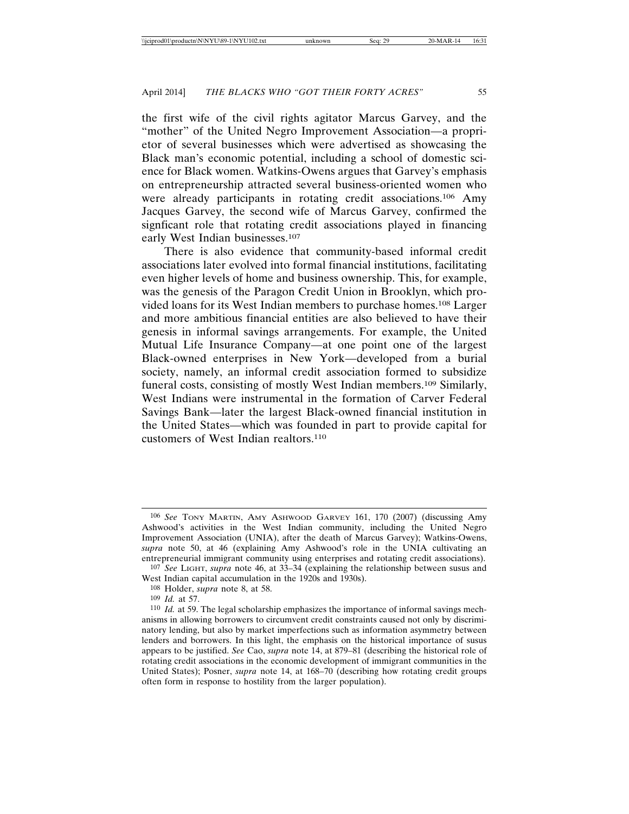the first wife of the civil rights agitator Marcus Garvey, and the "mother" of the United Negro Improvement Association—a proprietor of several businesses which were advertised as showcasing the Black man's economic potential, including a school of domestic science for Black women. Watkins-Owens argues that Garvey's emphasis on entrepreneurship attracted several business-oriented women who were already participants in rotating credit associations.<sup>106</sup> Amy Jacques Garvey, the second wife of Marcus Garvey, confirmed the signficant role that rotating credit associations played in financing early West Indian businesses.107

There is also evidence that community-based informal credit associations later evolved into formal financial institutions, facilitating even higher levels of home and business ownership. This, for example, was the genesis of the Paragon Credit Union in Brooklyn, which provided loans for its West Indian members to purchase homes.108 Larger and more ambitious financial entities are also believed to have their genesis in informal savings arrangements. For example, the United Mutual Life Insurance Company—at one point one of the largest Black-owned enterprises in New York—developed from a burial society, namely, an informal credit association formed to subsidize funeral costs, consisting of mostly West Indian members.109 Similarly, West Indians were instrumental in the formation of Carver Federal Savings Bank—later the largest Black-owned financial institution in the United States—which was founded in part to provide capital for customers of West Indian realtors.110

<sup>106</sup> *See* TONY MARTIN, AMY ASHWOOD GARVEY 161, 170 (2007) (discussing Amy Ashwood's activities in the West Indian community, including the United Negro Improvement Association (UNIA), after the death of Marcus Garvey); Watkins-Owens, *supra* note 50, at 46 (explaining Amy Ashwood's role in the UNIA cultivating an entrepreneurial immigrant community using enterprises and rotating credit associations).

<sup>107</sup> *See* LIGHT, *supra* note 46, at 33–34 (explaining the relationship between susus and West Indian capital accumulation in the 1920s and 1930s).

<sup>108</sup> Holder, *supra* note 8, at 58.

<sup>109</sup> *Id.* at 57.

<sup>110</sup> *Id.* at 59. The legal scholarship emphasizes the importance of informal savings mechanisms in allowing borrowers to circumvent credit constraints caused not only by discriminatory lending, but also by market imperfections such as information asymmetry between lenders and borrowers. In this light, the emphasis on the historical importance of susus appears to be justified. *See* Cao, *supra* note 14, at 879–81 (describing the historical role of rotating credit associations in the economic development of immigrant communities in the United States); Posner, *supra* note 14, at 168–70 (describing how rotating credit groups often form in response to hostility from the larger population).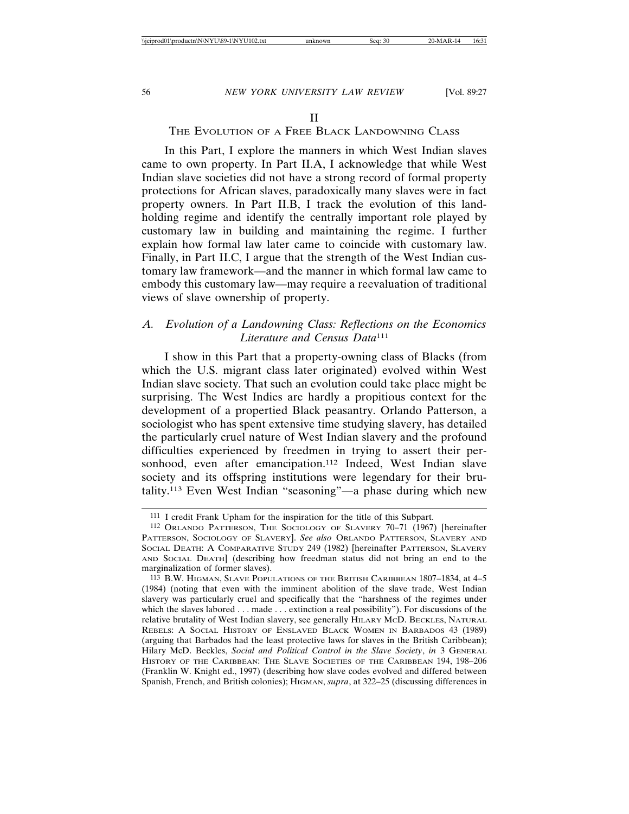#### THE EVOLUTION OF A FREE BLACK LANDOWNING CLASS

In this Part, I explore the manners in which West Indian slaves came to own property. In Part II.A, I acknowledge that while West Indian slave societies did not have a strong record of formal property protections for African slaves, paradoxically many slaves were in fact property owners. In Part II.B, I track the evolution of this landholding regime and identify the centrally important role played by customary law in building and maintaining the regime. I further explain how formal law later came to coincide with customary law. Finally, in Part II.C, I argue that the strength of the West Indian customary law framework—and the manner in which formal law came to embody this customary law—may require a reevaluation of traditional views of slave ownership of property.

### *A. Evolution of a Landowning Class: Reflections on the Economics Literature and Census Data*<sup>111</sup>

I show in this Part that a property-owning class of Blacks (from which the U.S. migrant class later originated) evolved within West Indian slave society. That such an evolution could take place might be surprising. The West Indies are hardly a propitious context for the development of a propertied Black peasantry. Orlando Patterson, a sociologist who has spent extensive time studying slavery, has detailed the particularly cruel nature of West Indian slavery and the profound difficulties experienced by freedmen in trying to assert their personhood, even after emancipation.<sup>112</sup> Indeed, West Indian slave society and its offspring institutions were legendary for their brutality.113 Even West Indian "seasoning"—a phase during which new

<sup>111</sup> I credit Frank Upham for the inspiration for the title of this Subpart.

<sup>112</sup> ORLANDO PATTERSON, THE SOCIOLOGY OF SLAVERY 70–71 (1967) [hereinafter PATTERSON, SOCIOLOGY OF SLAVERY]. *See also* ORLANDO PATTERSON, SLAVERY AND SOCIAL DEATH: A COMPARATIVE STUDY 249 (1982) [hereinafter PATTERSON, SLAVERY AND SOCIAL DEATH] (describing how freedman status did not bring an end to the marginalization of former slaves).

<sup>113</sup> B.W. HIGMAN, SLAVE POPULATIONS OF THE BRITISH CARIBBEAN 1807–1834, at 4–5 (1984) (noting that even with the imminent abolition of the slave trade, West Indian slavery was particularly cruel and specifically that the "harshness of the regimes under which the slaves labored . . . made . . . extinction a real possibility"). For discussions of the relative brutality of West Indian slavery, see generally HILARY MCD. BECKLES, NATURAL REBELS: A SOCIAL HISTORY OF ENSLAVED BLACK WOMEN IN BARBADOS 43 (1989) (arguing that Barbados had the least protective laws for slaves in the British Caribbean); Hilary McD. Beckles, *Social and Political Control in the Slave Society*, *in* 3 GENERAL HISTORY OF THE CARIBBEAN: THE SLAVE SOCIETIES OF THE CARIBBEAN 194, 198–206 (Franklin W. Knight ed., 1997) (describing how slave codes evolved and differed between Spanish, French, and British colonies); HIGMAN, *supra*, at 322–25 (discussing differences in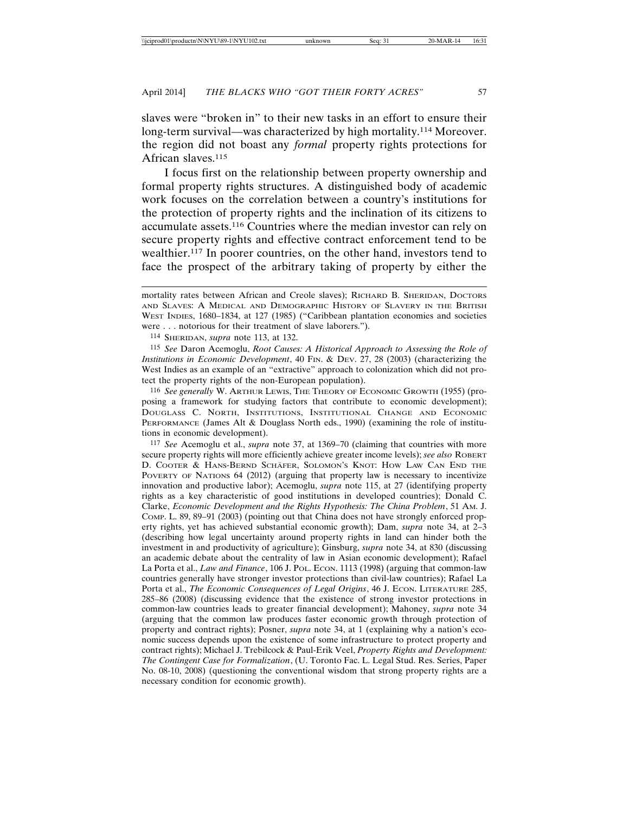slaves were "broken in" to their new tasks in an effort to ensure their long-term survival—was characterized by high mortality.114 Moreover. the region did not boast any *formal* property rights protections for African slaves.<sup>115</sup>

I focus first on the relationship between property ownership and formal property rights structures. A distinguished body of academic work focuses on the correlation between a country's institutions for the protection of property rights and the inclination of its citizens to accumulate assets.116 Countries where the median investor can rely on secure property rights and effective contract enforcement tend to be wealthier.117 In poorer countries, on the other hand, investors tend to face the prospect of the arbitrary taking of property by either the

114 SHERIDAN, *supra* note 113, at 132.

115 *See* Daron Acemoglu, *Root Causes: A Historical Approach to Assessing the Role of Institutions in Economic Development*, 40 FIN. & DEV. 27, 28 (2003) (characterizing the West Indies as an example of an "extractive" approach to colonization which did not protect the property rights of the non-European population).

116 *See generally* W. ARTHUR LEWIS, THE THEORY OF ECONOMIC GROWTH (1955) (proposing a framework for studying factors that contribute to economic development); DOUGLASS C. NORTH, INSTITUTIONS, INSTITUTIONAL CHANGE AND ECONOMIC PERFORMANCE (James Alt & Douglass North eds., 1990) (examining the role of institutions in economic development).

117 *See* Acemoglu et al., *supra* note 37, at 1369–70 (claiming that countries with more secure property rights will more efficiently achieve greater income levels); *see also* ROBERT D. COOTER & HANS-BERND SCHÄFER, SOLOMON'S KNOT: HOW LAW CAN END THE POVERTY OF NATIONS 64 (2012) (arguing that property law is necessary to incentivize innovation and productive labor); Acemoglu, *supra* note 115, at 27 (identifying property rights as a key characteristic of good institutions in developed countries); Donald C. Clarke, *Economic Development and the Rights Hypothesis: The China Problem*, 51 AM. J. COMP. L. 89, 89–91 (2003) (pointing out that China does not have strongly enforced property rights, yet has achieved substantial economic growth); Dam, *supra* note 34, at 2–3 (describing how legal uncertainty around property rights in land can hinder both the investment in and productivity of agriculture); Ginsburg, *supra* note 34, at 830 (discussing an academic debate about the centrality of law in Asian economic development); Rafael La Porta et al., *Law and Finance*, 106 J. POL. ECON. 1113 (1998) (arguing that common-law countries generally have stronger investor protections than civil-law countries); Rafael La Porta et al., *The Economic Consequences of Legal Origins*, 46 J. ECON. LITERATURE 285, 285–86 (2008) (discussing evidence that the existence of strong investor protections in common-law countries leads to greater financial development); Mahoney, *supra* note 34 (arguing that the common law produces faster economic growth through protection of property and contract rights); Posner, *supra* note 34, at 1 (explaining why a nation's economic success depends upon the existence of some infrastructure to protect property and contract rights); Michael J. Trebilcock & Paul-Erik Veel, *Property Rights and Development: The Contingent Case for Formalization*, (U. Toronto Fac. L. Legal Stud. Res. Series, Paper No. 08-10, 2008) (questioning the conventional wisdom that strong property rights are a necessary condition for economic growth).

mortality rates between African and Creole slaves); RICHARD B. SHERIDAN, DOCTORS AND SLAVES: A MEDICAL AND DEMOGRAPHIC HISTORY OF SLAVERY IN THE BRITISH WEST INDIES, 1680–1834, at 127 (1985) ("Caribbean plantation economies and societies were . . . notorious for their treatment of slave laborers.").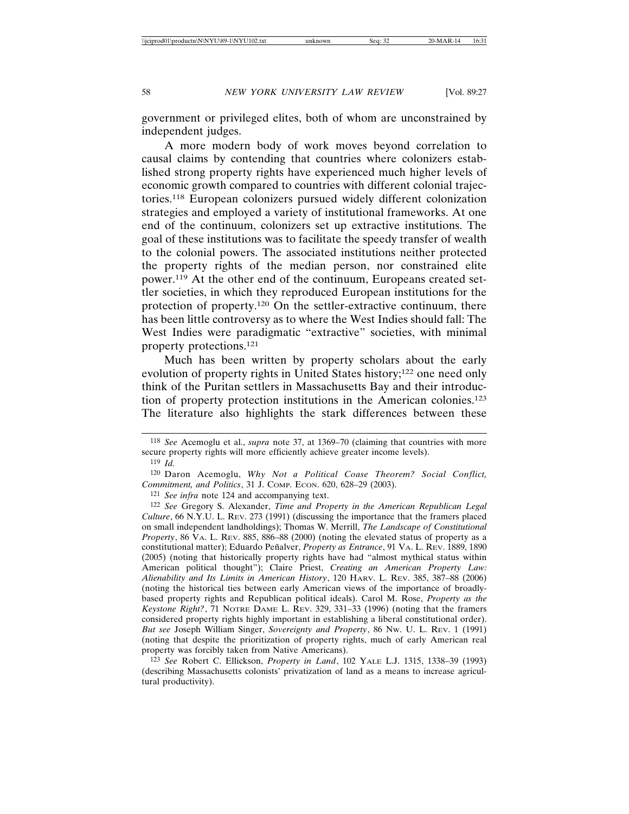government or privileged elites, both of whom are unconstrained by independent judges.

A more modern body of work moves beyond correlation to causal claims by contending that countries where colonizers established strong property rights have experienced much higher levels of economic growth compared to countries with different colonial trajectories.118 European colonizers pursued widely different colonization strategies and employed a variety of institutional frameworks. At one end of the continuum, colonizers set up extractive institutions. The goal of these institutions was to facilitate the speedy transfer of wealth to the colonial powers. The associated institutions neither protected the property rights of the median person, nor constrained elite power.119 At the other end of the continuum, Europeans created settler societies, in which they reproduced European institutions for the protection of property.120 On the settler-extractive continuum, there has been little controversy as to where the West Indies should fall: The West Indies were paradigmatic "extractive" societies, with minimal property protections.121

Much has been written by property scholars about the early evolution of property rights in United States history;122 one need only think of the Puritan settlers in Massachusetts Bay and their introduction of property protection institutions in the American colonies.123 The literature also highlights the stark differences between these

120 Daron Acemoglu, *Why Not a Political Coase Theorem? Social Conflict, Commitment, and Politics*, 31 J. COMP. ECON. 620, 628–29 (2003).

121 *See infra* note 124 and accompanying text.

123 *See* Robert C. Ellickson, *Property in Land*, 102 YALE L.J. 1315, 1338–39 (1993) (describing Massachusetts colonists' privatization of land as a means to increase agricultural productivity).

<sup>118</sup> *See* Acemoglu et al., *supra* note 37, at 1369–70 (claiming that countries with more secure property rights will more efficiently achieve greater income levels).

<sup>119</sup> *Id.*

<sup>122</sup> *See* Gregory S. Alexander, *Time and Property in the American Republican Legal Culture*, 66 N.Y.U. L. REV. 273 (1991) (discussing the importance that the framers placed on small independent landholdings); Thomas W. Merrill, *The Landscape of Constitutional Property*, 86 VA. L. REV. 885, 886–88 (2000) (noting the elevated status of property as a constitutional matter); Eduardo Peñalver, *Property as Entrance*, 91 VA. L. Rev. 1889, 1890 (2005) (noting that historically property rights have had "almost mythical status within American political thought"); Claire Priest, *Creating an American Property Law: Alienability and Its Limits in American History*, 120 HARV. L. REV. 385, 387–88 (2006) (noting the historical ties between early American views of the importance of broadlybased property rights and Republican political ideals). Carol M. Rose, *Property as the Keystone Right?*, 71 NOTRE DAME L. REV. 329, 331–33 (1996) (noting that the framers considered property rights highly important in establishing a liberal constitutional order). *But see* Joseph William Singer, *Sovereignty and Property*, 86 NW. U. L. REV. 1 (1991) (noting that despite the prioritization of property rights, much of early American real property was forcibly taken from Native Americans).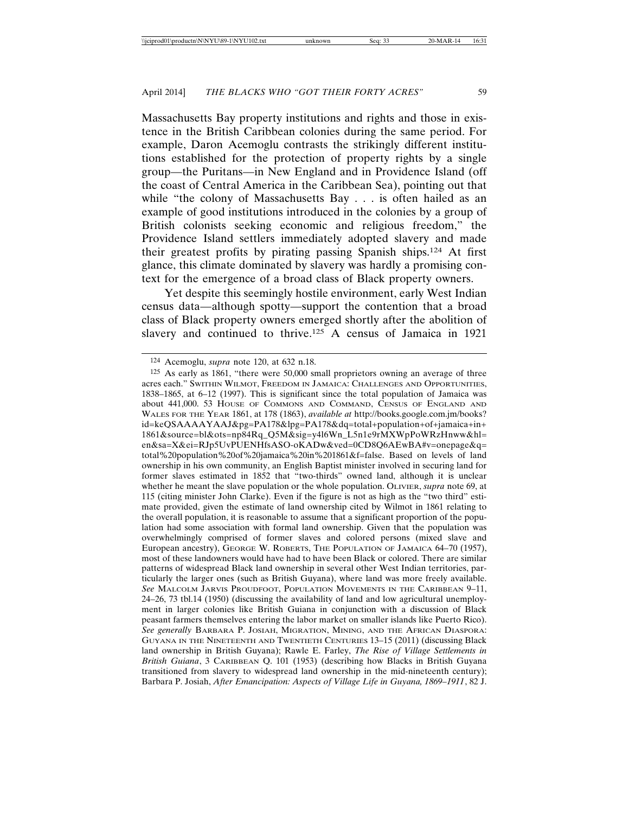Massachusetts Bay property institutions and rights and those in existence in the British Caribbean colonies during the same period. For example, Daron Acemoglu contrasts the strikingly different institutions established for the protection of property rights by a single group—the Puritans—in New England and in Providence Island (off the coast of Central America in the Caribbean Sea), pointing out that while "the colony of Massachusetts Bay . . . is often hailed as an example of good institutions introduced in the colonies by a group of British colonists seeking economic and religious freedom," the Providence Island settlers immediately adopted slavery and made their greatest profits by pirating passing Spanish ships.124 At first glance, this climate dominated by slavery was hardly a promising context for the emergence of a broad class of Black property owners.

Yet despite this seemingly hostile environment, early West Indian census data—although spotty—support the contention that a broad class of Black property owners emerged shortly after the abolition of slavery and continued to thrive.<sup>125</sup> A census of Jamaica in 1921

<sup>124</sup> Acemoglu, *supra* note 120, at 632 n.18.

<sup>125</sup> As early as 1861, "there were 50,000 small proprietors owning an average of three acres each." SWITHIN WILMOT, FREEDOM IN JAMAICA: CHALLENGES AND OPPORTUNITIES, 1838–1865, at 6–12 (1997). This is significant since the total population of Jamaica was about 441,000. 53 HOUSE OF COMMONS AND COMMAND, CENSUS OF ENGLAND AND WALES FOR THE YEAR 1861, at 178 (1863), *available at* http://books.google.com.jm/books? id=keQSAAAAYAAJ&pg=PA178&lpg=PA178&dq=total+population+of+jamaica+in+ 1861&source=bl&ots=np84Rq\_Q5M&sig=y4l6Wn\_L5n1e9rMXWpPoWRzHnww&hl= en&sa=X&ei=RJp5UvPUENHfsASO-oKADw&ved=0CD8Q6AEwBA#v=onepage&q= total%20population%20of%20jamaica%20in%201861&f=false. Based on levels of land ownership in his own community, an English Baptist minister involved in securing land for former slaves estimated in 1852 that "two-thirds" owned land, although it is unclear whether he meant the slave population or the whole population. OLIVIER, *supra* note 69, at 115 (citing minister John Clarke). Even if the figure is not as high as the "two third" estimate provided, given the estimate of land ownership cited by Wilmot in 1861 relating to the overall population, it is reasonable to assume that a significant proportion of the population had some association with formal land ownership. Given that the population was overwhelmingly comprised of former slaves and colored persons (mixed slave and European ancestry), GEORGE W. ROBERTS, THE POPULATION OF JAMAICA 64–70 (1957), most of these landowners would have had to have been Black or colored. There are similar patterns of widespread Black land ownership in several other West Indian territories, particularly the larger ones (such as British Guyana), where land was more freely available. *See* MALCOLM JARVIS PROUDFOOT, POPULATION MOVEMENTS IN THE CARIBBEAN 9–11, 24–26, 73 tbl.14 (1950) (discussing the availability of land and low agricultural unemployment in larger colonies like British Guiana in conjunction with a discussion of Black peasant farmers themselves entering the labor market on smaller islands like Puerto Rico). *See generally* BARBARA P. JOSIAH, MIGRATION, MINING, AND THE AFRICAN DIASPORA: GUYANA IN THE NINETEENTH AND TWENTIETH CENTURIES 13–15 (2011) (discussing Black land ownership in British Guyana); Rawle E. Farley, *The Rise of Village Settlements in British Guiana*, 3 CARIBBEAN Q. 101 (1953) (describing how Blacks in British Guyana transitioned from slavery to widespread land ownership in the mid-nineteenth century); Barbara P. Josiah, *After Emancipation: Aspects of Village Life in Guyana, 1869–1911*, 82 J.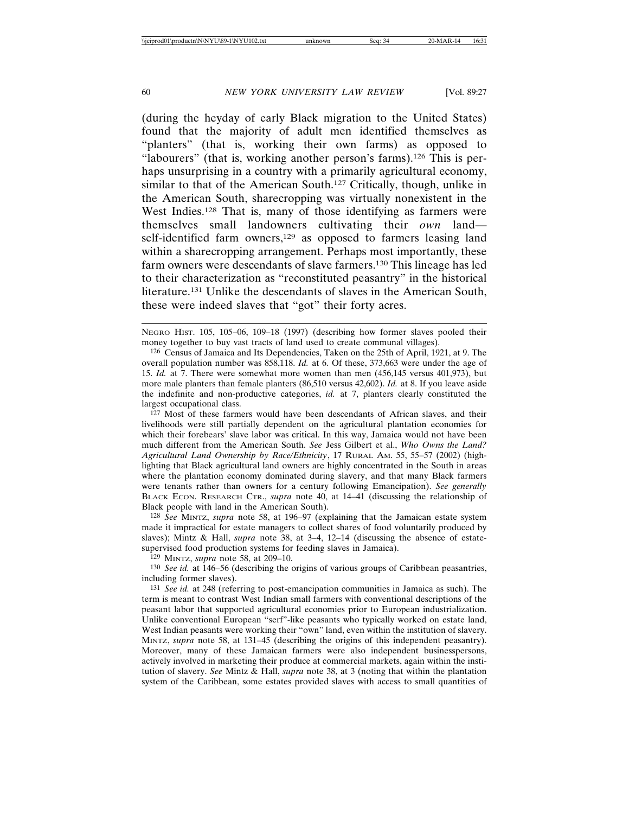(during the heyday of early Black migration to the United States) found that the majority of adult men identified themselves as "planters" (that is, working their own farms) as opposed to "labourers" (that is, working another person's farms).<sup>126</sup> This is perhaps unsurprising in a country with a primarily agricultural economy, similar to that of the American South.<sup>127</sup> Critically, though, unlike in the American South, sharecropping was virtually nonexistent in the West Indies.<sup>128</sup> That is, many of those identifying as farmers were themselves small landowners cultivating their *own* land self-identified farm owners,<sup>129</sup> as opposed to farmers leasing land within a sharecropping arrangement. Perhaps most importantly, these farm owners were descendants of slave farmers.130 This lineage has led to their characterization as "reconstituted peasantry" in the historical literature.131 Unlike the descendants of slaves in the American South, these were indeed slaves that "got" their forty acres.

NEGRO HIST. 105, 105–06, 109–18 (1997) (describing how former slaves pooled their money together to buy vast tracts of land used to create communal villages).

126 Census of Jamaica and Its Dependencies, Taken on the 25th of April, 1921, at 9. The overall population number was 858,118. *Id.* at 6. Of these, 373,663 were under the age of 15. *Id.* at 7. There were somewhat more women than men (456,145 versus 401,973), but more male planters than female planters (86,510 versus 42,602). *Id.* at 8. If you leave aside the indefinite and non-productive categories, *id.* at 7, planters clearly constituted the largest occupational class.

127 Most of these farmers would have been descendants of African slaves, and their livelihoods were still partially dependent on the agricultural plantation economies for which their forebears' slave labor was critical. In this way, Jamaica would not have been much different from the American South. *See* Jess Gilbert et al., *Who Owns the Land? Agricultural Land Ownership by Race/Ethnicity*, 17 RURAL AM. 55, 55–57 (2002) (highlighting that Black agricultural land owners are highly concentrated in the South in areas where the plantation economy dominated during slavery, and that many Black farmers were tenants rather than owners for a century following Emancipation). *See generally* BLACK ECON. RESEARCH CTR., *supra* note 40, at 14–41 (discussing the relationship of Black people with land in the American South).

128 *See* MINTZ, *supra* note 58, at 196–97 (explaining that the Jamaican estate system made it impractical for estate managers to collect shares of food voluntarily produced by slaves); Mintz & Hall, *supra* note 38, at 3–4, 12–14 (discussing the absence of estatesupervised food production systems for feeding slaves in Jamaica).

129 MINTZ, *supra* note 58, at 209–10.

130 *See id.* at 146–56 (describing the origins of various groups of Caribbean peasantries, including former slaves).

131 *See id.* at 248 (referring to post-emancipation communities in Jamaica as such). The term is meant to contrast West Indian small farmers with conventional descriptions of the peasant labor that supported agricultural economies prior to European industrialization. Unlike conventional European "serf"-like peasants who typically worked on estate land, West Indian peasants were working their "own" land, even within the institution of slavery. MINTZ, *supra* note 58, at 131–45 (describing the origins of this independent peasantry). Moreover, many of these Jamaican farmers were also independent businesspersons, actively involved in marketing their produce at commercial markets, again within the institution of slavery. *See* Mintz & Hall, *supra* note 38, at 3 (noting that within the plantation system of the Caribbean, some estates provided slaves with access to small quantities of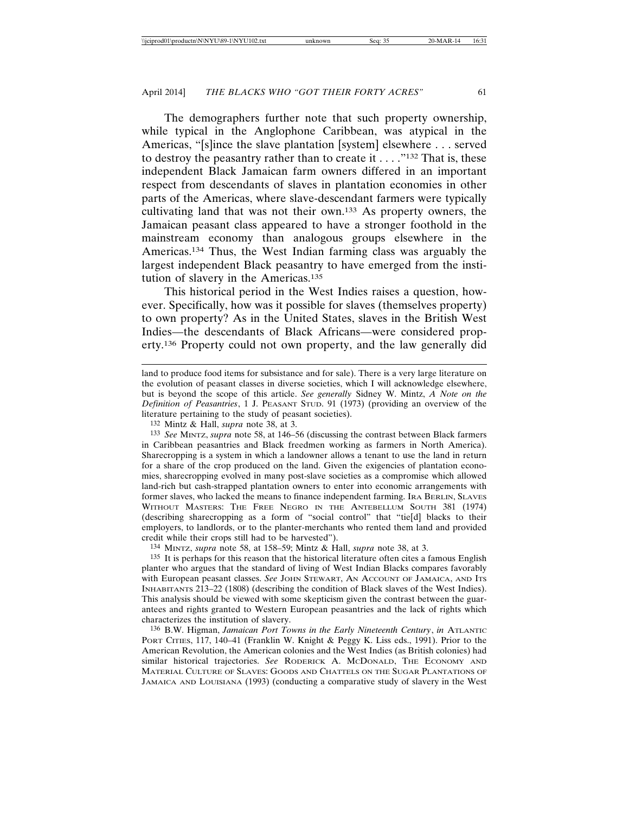The demographers further note that such property ownership, while typical in the Anglophone Caribbean, was atypical in the Americas, "[s]ince the slave plantation [system] elsewhere . . . served to destroy the peasantry rather than to create it  $\dots$  ."<sup>132</sup> That is, these independent Black Jamaican farm owners differed in an important respect from descendants of slaves in plantation economies in other parts of the Americas, where slave-descendant farmers were typically cultivating land that was not their own.133 As property owners, the Jamaican peasant class appeared to have a stronger foothold in the mainstream economy than analogous groups elsewhere in the Americas.134 Thus, the West Indian farming class was arguably the largest independent Black peasantry to have emerged from the institution of slavery in the Americas.<sup>135</sup>

This historical period in the West Indies raises a question, however. Specifically, how was it possible for slaves (themselves property) to own property? As in the United States, slaves in the British West Indies—the descendants of Black Africans—were considered property.136 Property could not own property, and the law generally did

132 Mintz & Hall, *supra* note 38, at 3.

133 *See* MINTZ, *supra* note 58, at 146–56 (discussing the contrast between Black farmers in Caribbean peasantries and Black freedmen working as farmers in North America). Sharecropping is a system in which a landowner allows a tenant to use the land in return for a share of the crop produced on the land. Given the exigencies of plantation economies, sharecropping evolved in many post-slave societies as a compromise which allowed land-rich but cash-strapped plantation owners to enter into economic arrangements with former slaves, who lacked the means to finance independent farming. IRA BERLIN, SLAVES WITHOUT MASTERS: THE FREE NEGRO IN THE ANTEBELLUM SOUTH 381 (1974) (describing sharecropping as a form of "social control" that "tie[d] blacks to their employers, to landlords, or to the planter-merchants who rented them land and provided credit while their crops still had to be harvested").

134 MINTZ, *supra* note 58, at 158–59; Mintz & Hall, *supra* note 38, at 3.

135 It is perhaps for this reason that the historical literature often cites a famous English planter who argues that the standard of living of West Indian Blacks compares favorably with European peasant classes. *See* JOHN STEWART, AN ACCOUNT OF JAMAICA, AND ITS INHABITANTS 213–22 (1808) (describing the condition of Black slaves of the West Indies). This analysis should be viewed with some skepticism given the contrast between the guarantees and rights granted to Western European peasantries and the lack of rights which characterizes the institution of slavery.

136 B.W. Higman, *Jamaican Port Towns in the Early Nineteenth Century*, *in* ATLANTIC PORT CITIES, 117, 140–41 (Franklin W. Knight & Peggy K. Liss eds., 1991). Prior to the American Revolution, the American colonies and the West Indies (as British colonies) had similar historical trajectories. *See* RODERICK A. MCDONALD, THE ECONOMY AND MATERIAL CULTURE OF SLAVES: GOODS AND CHATTELS ON THE SUGAR PLANTATIONS OF JAMAICA AND LOUISIANA (1993) (conducting a comparative study of slavery in the West

land to produce food items for subsistance and for sale). There is a very large literature on the evolution of peasant classes in diverse societies, which I will acknowledge elsewhere, but is beyond the scope of this article. *See generally* Sidney W. Mintz, *A Note on the Definition of Peasantries*, 1 J. PEASANT STUD. 91 (1973) (providing an overview of the literature pertaining to the study of peasant societies).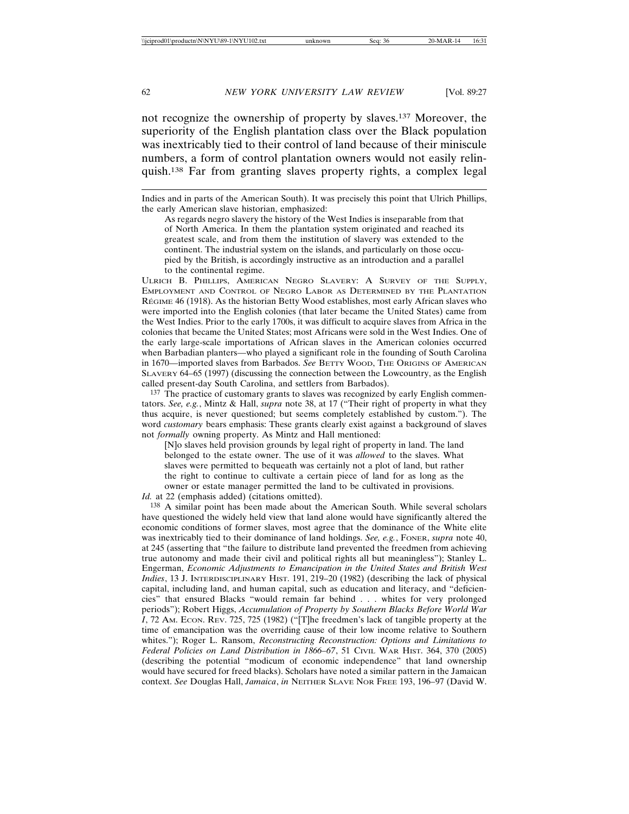not recognize the ownership of property by slaves.137 Moreover, the superiority of the English plantation class over the Black population was inextricably tied to their control of land because of their miniscule numbers, a form of control plantation owners would not easily relinquish.138 Far from granting slaves property rights, a complex legal

Indies and in parts of the American South). It was precisely this point that Ulrich Phillips, the early American slave historian, emphasized:

As regards negro slavery the history of the West Indies is inseparable from that of North America. In them the plantation system originated and reached its greatest scale, and from them the institution of slavery was extended to the continent. The industrial system on the islands, and particularly on those occupied by the British, is accordingly instructive as an introduction and a parallel to the continental regime.

ULRICH B. PHILLIPS, AMERICAN NEGRO SLAVERY: A SURVEY OF THE SUPPLY, EMPLOYMENT AND CONTROL OF NEGRO LABOR AS DETERMINED BY THE PLANTATION RÉGIME 46 (1918). As the historian Betty Wood establishes, most early African slaves who were imported into the English colonies (that later became the United States) came from the West Indies. Prior to the early 1700s, it was difficult to acquire slaves from Africa in the colonies that became the United States; most Africans were sold in the West Indies. One of the early large-scale importations of African slaves in the American colonies occurred when Barbadian planters—who played a significant role in the founding of South Carolina in 1670—imported slaves from Barbados. *See* BETTY WOOD, THE ORIGINS OF AMERICAN SLAVERY 64–65 (1997) (discussing the connection between the Lowcountry, as the English called present-day South Carolina, and settlers from Barbados).

137 The practice of customary grants to slaves was recognized by early English commentators. *See, e.g.*, Mintz & Hall, *supra* note 38, at 17 ("Their right of property in what they thus acquire, is never questioned; but seems completely established by custom."). The word *customary* bears emphasis: These grants clearly exist against a background of slaves not *formally* owning property. As Mintz and Hall mentioned:

[N]o slaves held provision grounds by legal right of property in land. The land belonged to the estate owner. The use of it was *allowed* to the slaves. What slaves were permitted to bequeath was certainly not a plot of land, but rather the right to continue to cultivate a certain piece of land for as long as the owner or estate manager permitted the land to be cultivated in provisions.

*Id.* at 22 (emphasis added) (citations omitted).

138 A similar point has been made about the American South. While several scholars have questioned the widely held view that land alone would have significantly altered the economic conditions of former slaves, most agree that the dominance of the White elite was inextricably tied to their dominance of land holdings. *See, e.g.*, FONER, *supra* note 40, at 245 (asserting that "the failure to distribute land prevented the freedmen from achieving true autonomy and made their civil and political rights all but meaningless"); Stanley L. Engerman, *Economic Adjustments to Emancipation in the United States and British West Indies*, 13 J. INTERDISCIPLINARY HIST. 191, 219–20 (1982) (describing the lack of physical capital, including land, and human capital, such as education and literacy, and "deficiencies" that ensured Blacks "would remain far behind . . . whites for very prolonged periods"); Robert Higgs, *Accumulation of Property by Southern Blacks Before World War I*, 72 AM. ECON. REV. 725, 725 (1982) ("[T]he freedmen's lack of tangible property at the time of emancipation was the overriding cause of their low income relative to Southern whites."); Roger L. Ransom, *Reconstructing Reconstruction: Options and Limitations to Federal Policies on Land Distribution in 1866–67*, 51 CIVIL WAR HIST. 364, 370 (2005) (describing the potential "modicum of economic independence" that land ownership would have secured for freed blacks). Scholars have noted a similar pattern in the Jamaican context. *See* Douglas Hall, *Jamaica*, *in* NEITHER SLAVE NOR FREE 193, 196–97 (David W.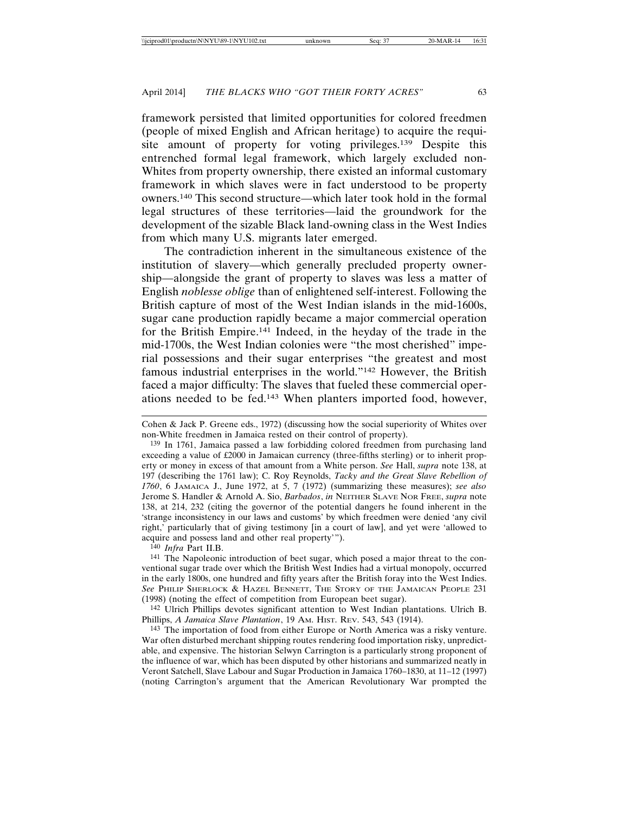framework persisted that limited opportunities for colored freedmen (people of mixed English and African heritage) to acquire the requisite amount of property for voting privileges.139 Despite this entrenched formal legal framework, which largely excluded non-Whites from property ownership, there existed an informal customary framework in which slaves were in fact understood to be property owners.140 This second structure—which later took hold in the formal legal structures of these territories—laid the groundwork for the development of the sizable Black land-owning class in the West Indies from which many U.S. migrants later emerged.

The contradiction inherent in the simultaneous existence of the institution of slavery—which generally precluded property ownership—alongside the grant of property to slaves was less a matter of English *noblesse oblige* than of enlightened self-interest. Following the British capture of most of the West Indian islands in the mid-1600s, sugar cane production rapidly became a major commercial operation for the British Empire.141 Indeed, in the heyday of the trade in the mid-1700s, the West Indian colonies were "the most cherished" imperial possessions and their sugar enterprises "the greatest and most famous industrial enterprises in the world."142 However, the British faced a major difficulty: The slaves that fueled these commercial operations needed to be fed.143 When planters imported food, however,

140 *Infra* Part II.B.

141 The Napoleonic introduction of beet sugar, which posed a major threat to the conventional sugar trade over which the British West Indies had a virtual monopoly, occurred in the early 1800s, one hundred and fifty years after the British foray into the West Indies. *See* PHILIP SHERLOCK & HAZEL BENNETT, THE STORY OF THE JAMAICAN PEOPLE 231 (1998) (noting the effect of competition from European beet sugar).

142 Ulrich Phillips devotes significant attention to West Indian plantations. Ulrich B. Phillips, *A Jamaica Slave Plantation*, 19 AM. HIST. REV. 543, 543 (1914).

143 The importation of food from either Europe or North America was a risky venture. War often disturbed merchant shipping routes rendering food importation risky, unpredictable, and expensive. The historian Selwyn Carrington is a particularly strong proponent of the influence of war, which has been disputed by other historians and summarized neatly in Veront Satchell, Slave Labour and Sugar Production in Jamaica 1760–1830, at 11–12 (1997) (noting Carrington's argument that the American Revolutionary War prompted the

Cohen & Jack P. Greene eds., 1972) (discussing how the social superiority of Whites over non-White freedmen in Jamaica rested on their control of property).

<sup>139</sup> In 1761, Jamaica passed a law forbidding colored freedmen from purchasing land exceeding a value of £2000 in Jamaican currency (three-fifths sterling) or to inherit property or money in excess of that amount from a White person. *See* Hall, *supra* note 138, at 197 (describing the 1761 law); C. Roy Reynolds, *Tacky and the Great Slave Rebellion of 1760*, 6 JAMAICA J., June 1972, at 5, 7 (1972) (summarizing these measures); *see also* Jerome S. Handler & Arnold A. Sio, *Barbados*, *in* NEITHER SLAVE NOR FREE, *supra* note 138, at 214, 232 (citing the governor of the potential dangers he found inherent in the 'strange inconsistency in our laws and customs' by which freedmen were denied 'any civil right,' particularly that of giving testimony [in a court of law], and yet were 'allowed to acquire and possess land and other real property'").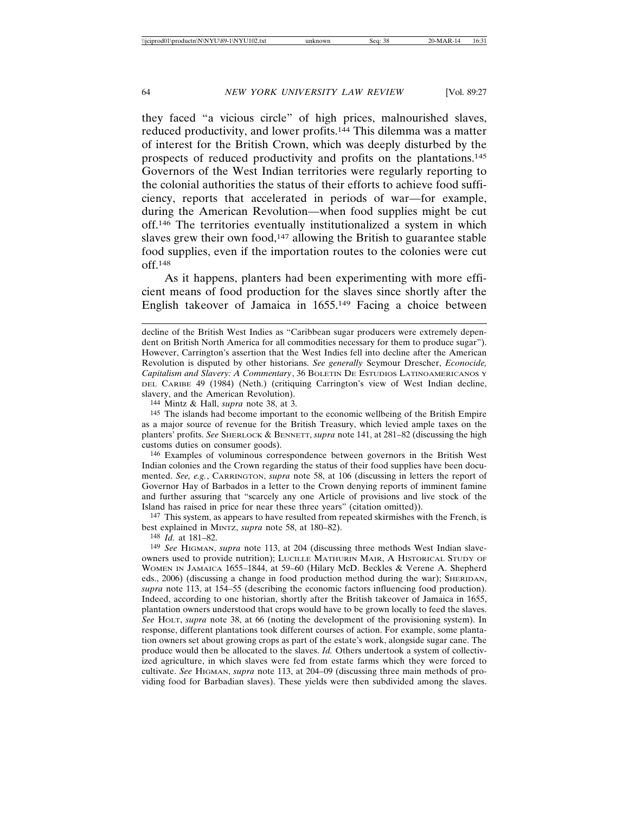they faced "a vicious circle" of high prices, malnourished slaves, reduced productivity, and lower profits.144 This dilemma was a matter of interest for the British Crown, which was deeply disturbed by the prospects of reduced productivity and profits on the plantations.145 Governors of the West Indian territories were regularly reporting to the colonial authorities the status of their efforts to achieve food sufficiency, reports that accelerated in periods of war—for example, during the American Revolution—when food supplies might be cut off.146 The territories eventually institutionalized a system in which slaves grew their own food, $147$  allowing the British to guarantee stable food supplies, even if the importation routes to the colonies were cut off.148

As it happens, planters had been experimenting with more efficient means of food production for the slaves since shortly after the English takeover of Jamaica in 1655.149 Facing a choice between

144 Mintz & Hall, *supra* note 38, at 3.

145 The islands had become important to the economic wellbeing of the British Empire as a major source of revenue for the British Treasury, which levied ample taxes on the planters' profits. *See* SHERLOCK & BENNETT, *supra* note 141, at 281–82 (discussing the high customs duties on consumer goods).

146 Examples of voluminous correspondence between governors in the British West Indian colonies and the Crown regarding the status of their food supplies have been documented. *See, e.g.*, CARRINGTON, *supra* note 58, at 106 (discussing in letters the report of Governor Hay of Barbados in a letter to the Crown denying reports of imminent famine and further assuring that "scarcely any one Article of provisions and live stock of the Island has raised in price for near these three years" (citation omitted)).

147 This system, as appears to have resulted from repeated skirmishes with the French, is best explained in MINTZ, *supra* note 58, at 180–82).

148 *Id.* at 181–82.

149 *See* HIGMAN, *supra* note 113, at 204 (discussing three methods West Indian slaveowners used to provide nutrition); LUCILLE MATHURIN MAIR, A HISTORICAL STUDY OF WOMEN IN JAMAICA 1655–1844, at 59–60 (Hilary McD. Beckles & Verene A. Shepherd eds., 2006) (discussing a change in food production method during the war); SHERIDAN, *supra* note 113, at 154–55 (describing the economic factors influencing food production). Indeed, according to one historian, shortly after the British takeover of Jamaica in 1655, plantation owners understood that crops would have to be grown locally to feed the slaves. *See* HOLT, *supra* note 38, at 66 (noting the development of the provisioning system). In response, different plantations took different courses of action. For example, some plantation owners set about growing crops as part of the estate's work, alongside sugar cane. The produce would then be allocated to the slaves. *Id.* Others undertook a system of collectivized agriculture, in which slaves were fed from estate farms which they were forced to cultivate. *See* HIGMAN, *supra* note 113, at 204–09 (discussing three main methods of providing food for Barbadian slaves). These yields were then subdivided among the slaves.

decline of the British West Indies as "Caribbean sugar producers were extremely dependent on British North America for all commodities necessary for them to produce sugar"). However, Carrington's assertion that the West Indies fell into decline after the American Revolution is disputed by other historians. *See generally* Seymour Drescher, *Econocide, Capitalism and Slavery: A Commentary*, 36 BOLETIN DE ESTUDIOS LATINOAMERICANOS Y DEL CARIBE 49 (1984) (Neth.) (critiquing Carrington's view of West Indian decline, slavery, and the American Revolution).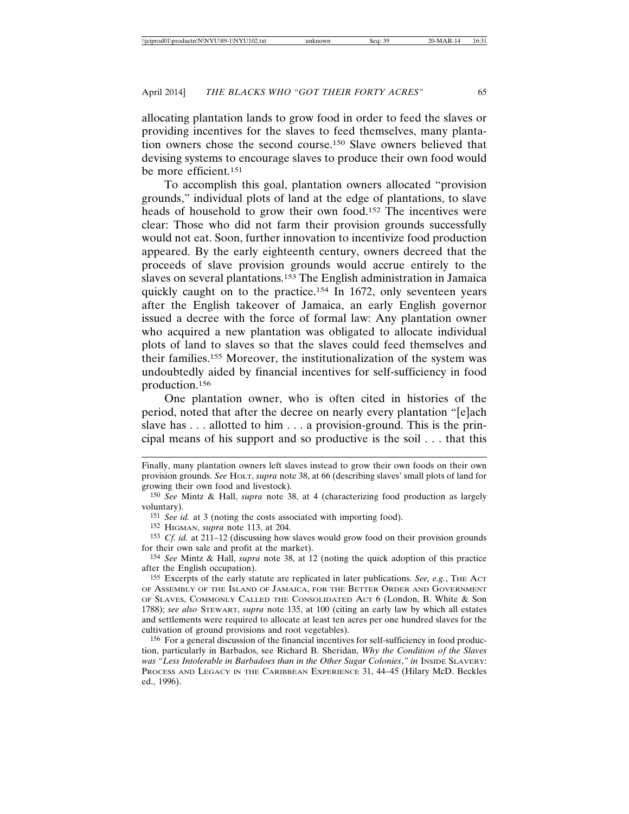allocating plantation lands to grow food in order to feed the slaves or providing incentives for the slaves to feed themselves, many plantation owners chose the second course.150 Slave owners believed that devising systems to encourage slaves to produce their own food would be more efficient.151

To accomplish this goal, plantation owners allocated "provision grounds," individual plots of land at the edge of plantations, to slave heads of household to grow their own food.152 The incentives were clear: Those who did not farm their provision grounds successfully would not eat. Soon, further innovation to incentivize food production appeared. By the early eighteenth century, owners decreed that the proceeds of slave provision grounds would accrue entirely to the slaves on several plantations.153 The English administration in Jamaica quickly caught on to the practice.<sup>154</sup> In 1672, only seventeen years after the English takeover of Jamaica, an early English governor issued a decree with the force of formal law: Any plantation owner who acquired a new plantation was obligated to allocate individual plots of land to slaves so that the slaves could feed themselves and their families.155 Moreover, the institutionalization of the system was undoubtedly aided by financial incentives for self-sufficiency in food production.156

One plantation owner, who is often cited in histories of the period, noted that after the decree on nearly every plantation "[e]ach slave has . . . allotted to him . . . a provision-ground. This is the principal means of his support and so productive is the soil . . . that this

Finally, many plantation owners left slaves instead to grow their own foods on their own provision grounds. *See* HOLT, *supra* note 38, at 66 (describing slaves' small plots of land for growing their own food and livestock)*.*

<sup>150</sup> *See* Mintz & Hall, *supra* note 38, at 4 (characterizing food production as largely voluntary).

<sup>151</sup> *See id.* at 3 (noting the costs associated with importing food).

<sup>152</sup> HIGMAN, *supra* note 113, at 204.

<sup>153</sup> *Cf. id.* at 211–12 (discussing how slaves would grow food on their provision grounds for their own sale and profit at the market).

<sup>154</sup> *See* Mintz & Hall, *supra* note 38, at 12 (noting the quick adoption of this practice after the English occupation).

<sup>155</sup> Excerpts of the early statute are replicated in later publications. *See, e.g.*, THE ACT OF ASSEMBLY OF THE ISLAND OF JAMAICA, FOR THE BETTER ORDER AND GOVERNMENT OF SLAVES, COMMONLY CALLED THE CONSOLIDATED ACT 6 (London, B. White & Son 1788); *see also* STEWART, *supra* note 135, at 100 (citing an early law by which all estates and settlements were required to allocate at least ten acres per one hundred slaves for the cultivation of ground provisions and root vegetables).

<sup>156</sup> For a general discussion of the financial incentives for self-sufficiency in food production, particularly in Barbados, see Richard B. Sheridan, *Why the Condition of the Slaves was "Less Intolerable in Barbadoes than in the Other Sugar Colonies*,*" in* INSIDE SLAVERY: PROCESS AND LEGACY IN THE CARIBBEAN EXPERIENCE 31, 44–45 (Hilary McD. Beckles ed., 1996).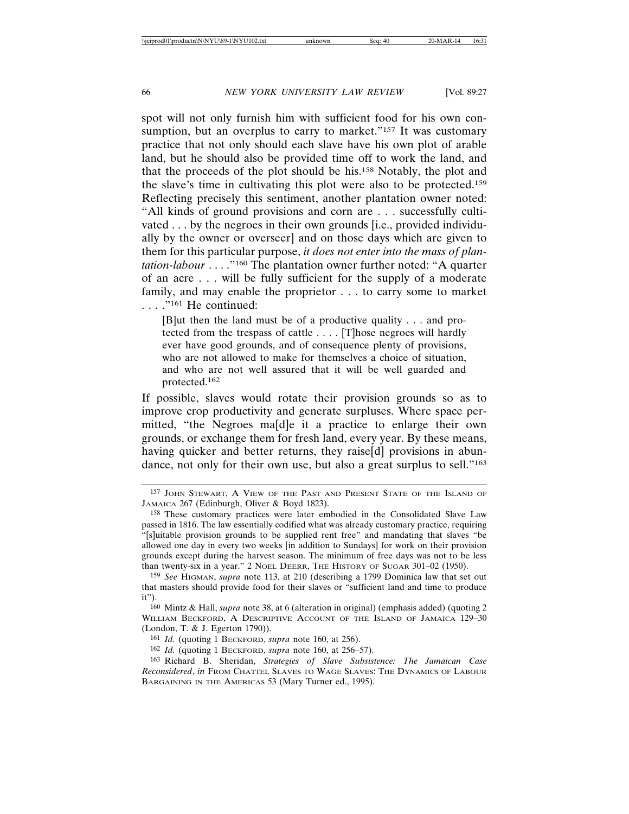spot will not only furnish him with sufficient food for his own consumption, but an overplus to carry to market."<sup>157</sup> It was customary practice that not only should each slave have his own plot of arable land, but he should also be provided time off to work the land, and that the proceeds of the plot should be his.158 Notably, the plot and the slave's time in cultivating this plot were also to be protected.159 Reflecting precisely this sentiment, another plantation owner noted: "All kinds of ground provisions and corn are . . . successfully cultivated . . . by the negroes in their own grounds [i.e., provided individually by the owner or overseer] and on those days which are given to them for this particular purpose, *it does not enter into the mass of plantation-labour* . . . ."160 The plantation owner further noted: "A quarter of an acre . . . will be fully sufficient for the supply of a moderate family, and may enable the proprietor . . . to carry some to market . . . ."161 He continued:

[B]ut then the land must be of a productive quality . . . and protected from the trespass of cattle . . . . [T]hose negroes will hardly ever have good grounds, and of consequence plenty of provisions, who are not allowed to make for themselves a choice of situation, and who are not well assured that it will be well guarded and protected.<sup>162</sup>

If possible, slaves would rotate their provision grounds so as to improve crop productivity and generate surpluses. Where space permitted, "the Negroes ma[d]e it a practice to enlarge their own grounds, or exchange them for fresh land, every year. By these means, having quicker and better returns, they raise[d] provisions in abundance, not only for their own use, but also a great surplus to sell."163

<sup>157</sup> JOHN STEWART, A VIEW OF THE PAST AND PRESENT STATE OF THE ISLAND OF JAMAICA 267 (Edinburgh, Oliver & Boyd 1823).

<sup>158</sup> These customary practices were later embodied in the Consolidated Slave Law passed in 1816. The law essentially codified what was already customary practice, requiring "[s]uitable provision grounds to be supplied rent free" and mandating that slaves "be allowed one day in every two weeks [in addition to Sundays] for work on their provision grounds except during the harvest season. The minimum of free days was not to be less than twenty-six in a year." 2 NOEL DEERR, THE HISTORY OF SUGAR 301-02 (1950).

<sup>159</sup> *See* HIGMAN, *supra* note 113, at 210 (describing a 1799 Dominica law that set out that masters should provide food for their slaves or "sufficient land and time to produce it").

<sup>160</sup> Mintz & Hall, *supra* note 38, at 6 (alteration in original) (emphasis added) (quoting 2 WILLIAM BECKFORD, A DESCRIPTIVE ACCOUNT OF THE ISLAND OF JAMAICA 129–30 (London, T. & J. Egerton 1790)).

<sup>161</sup> *Id.* (quoting 1 BECKFORD, *supra* note 160, at 256).

<sup>162</sup> *Id.* (quoting 1 BECKFORD, *supra* note 160, at 256–57).

<sup>163</sup> Richard B. Sheridan, *Strategies of Slave Subsistence: The Jamaican Case Reconsidered*, *in* FROM CHATTEL SLAVES TO WAGE SLAVES: THE DYNAMICS OF LABOUR BARGAINING IN THE AMERICAS 53 (Mary Turner ed., 1995).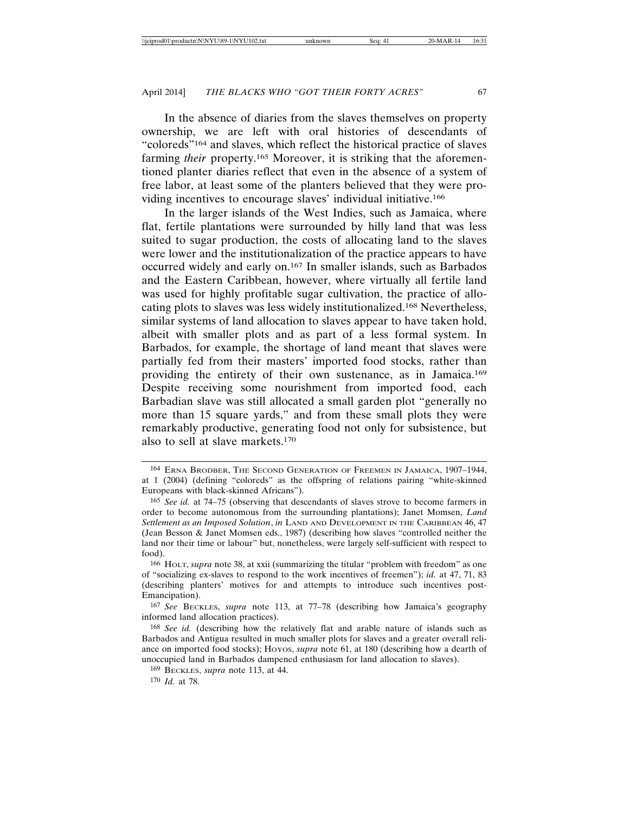In the absence of diaries from the slaves themselves on property ownership, we are left with oral histories of descendants of "coloreds"164 and slaves, which reflect the historical practice of slaves farming *their* property.<sup>165</sup> Moreover, it is striking that the aforementioned planter diaries reflect that even in the absence of a system of free labor, at least some of the planters believed that they were providing incentives to encourage slaves' individual initiative.166

In the larger islands of the West Indies, such as Jamaica, where flat, fertile plantations were surrounded by hilly land that was less suited to sugar production, the costs of allocating land to the slaves were lower and the institutionalization of the practice appears to have occurred widely and early on.167 In smaller islands, such as Barbados and the Eastern Caribbean, however, where virtually all fertile land was used for highly profitable sugar cultivation, the practice of allocating plots to slaves was less widely institutionalized.168 Nevertheless, similar systems of land allocation to slaves appear to have taken hold, albeit with smaller plots and as part of a less formal system. In Barbados, for example, the shortage of land meant that slaves were partially fed from their masters' imported food stocks, rather than providing the entirety of their own sustenance, as in Jamaica.169 Despite receiving some nourishment from imported food, each Barbadian slave was still allocated a small garden plot "generally no more than 15 square yards," and from these small plots they were remarkably productive, generating food not only for subsistence, but also to sell at slave markets.170

<sup>164</sup> ERNA BRODBER, THE SECOND GENERATION OF FREEMEN IN JAMAICA, 1907–1944, at 1 (2004) (defining "coloreds" as the offspring of relations pairing "white-skinned Europeans with black-skinned Africans").

<sup>165</sup> *See id.* at 74–75 (observing that descendants of slaves strove to become farmers in order to become autonomous from the surrounding plantations); Janet Momsen, *Land Settlement as an Imposed Solution*, *in* LAND AND DEVELOPMENT IN THE CARIBBEAN 46, 47 (Jean Besson & Janet Momsen eds., 1987) (describing how slaves "controlled neither the land nor their time or labour" but, nonetheless, were largely self-sufficient with respect to food).

<sup>166</sup> HOLT, *supra* note 38, at xxii (summarizing the titular "problem with freedom" as one of "socializing ex-slaves to respond to the work incentives of freemen"); *id.* at 47, 71, 83 (describing planters' motives for and attempts to introduce such incentives post-Emancipation).

<sup>167</sup> *See* BECKLES, *supra* note 113, at 77–78 (describing how Jamaica's geography informed land allocation practices).

<sup>168</sup> *See id.* (describing how the relatively flat and arable nature of islands such as Barbados and Antigua resulted in much smaller plots for slaves and a greater overall reliance on imported food stocks); HOYOS, *supra* note 61, at 180 (describing how a dearth of unoccupied land in Barbados dampened enthusiasm for land allocation to slaves).

<sup>169</sup> BECKLES, *supra* note 113, at 44.

<sup>170</sup> *Id.* at 78.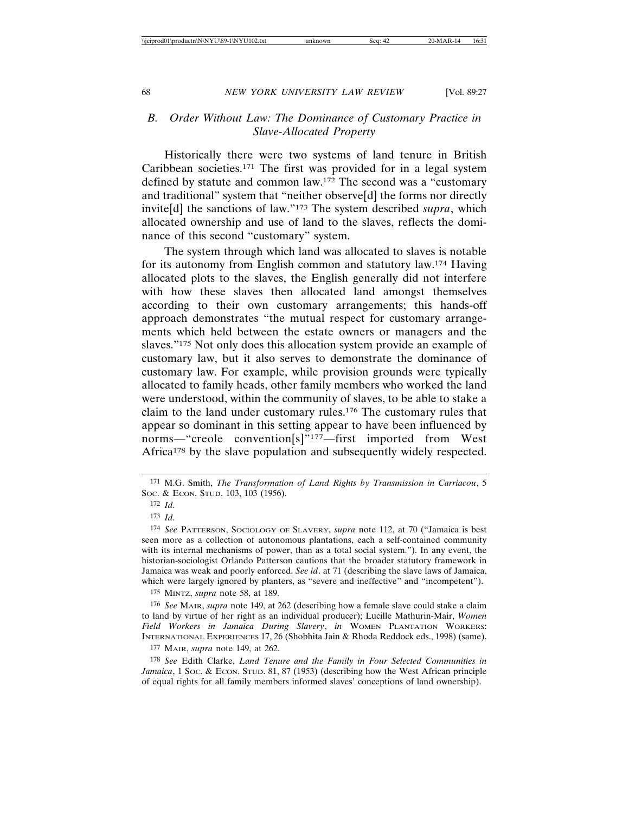## *B. Order Without Law: The Dominance of Customary Practice in Slave-Allocated Property*

Historically there were two systems of land tenure in British Caribbean societies.171 The first was provided for in a legal system defined by statute and common law.172 The second was a "customary and traditional" system that "neither observe[d] the forms nor directly invite[d] the sanctions of law."173 The system described *supra*, which allocated ownership and use of land to the slaves, reflects the dominance of this second "customary" system.

The system through which land was allocated to slaves is notable for its autonomy from English common and statutory law.174 Having allocated plots to the slaves, the English generally did not interfere with how these slaves then allocated land amongst themselves according to their own customary arrangements; this hands-off approach demonstrates "the mutual respect for customary arrangements which held between the estate owners or managers and the slaves."175 Not only does this allocation system provide an example of customary law, but it also serves to demonstrate the dominance of customary law. For example, while provision grounds were typically allocated to family heads, other family members who worked the land were understood, within the community of slaves, to be able to stake a claim to the land under customary rules.176 The customary rules that appear so dominant in this setting appear to have been influenced by norms—"creole convention[s]"177—first imported from West Africa<sup>178</sup> by the slave population and subsequently widely respected.

174 *See* PATTERSON, SOCIOLOGY OF SLAVERY, *supra* note 112, at 70 ("Jamaica is best seen more as a collection of autonomous plantations, each a self-contained community with its internal mechanisms of power, than as a total social system."). In any event, the historian-sociologist Orlando Patterson cautions that the broader statutory framework in Jamaica was weak and poorly enforced. *See id*. at 71 (describing the slave laws of Jamaica, which were largely ignored by planters, as "severe and ineffective" and "incompetent").

175 MINTZ, *supra* note 58, at 189.

176 *See* MAIR, *supra* note 149, at 262 (describing how a female slave could stake a claim to land by virtue of her right as an individual producer); Lucille Mathurin-Mair, *Women Field Workers in Jamaica During Slavery*, *in* WOMEN PLANTATION WORKERS: INTERNATIONAL EXPERIENCES 17, 26 (Shobhita Jain & Rhoda Reddock eds., 1998) (same).

177 MAIR, *supra* note 149, at 262.

178 *See* Edith Clarke, *Land Tenure and the Family in Four Selected Communities in Jamaica*, 1 Soc. & Econ. STUD. 81, 87 (1953) (describing how the West African principle of equal rights for all family members informed slaves' conceptions of land ownership).

<sup>171</sup> M.G. Smith, *The Transformation of Land Rights by Transmission in Carriacou*, 5 SOC. & ECON. STUD. 103, 103 (1956).

<sup>172</sup> *Id.*

<sup>173</sup> *Id.*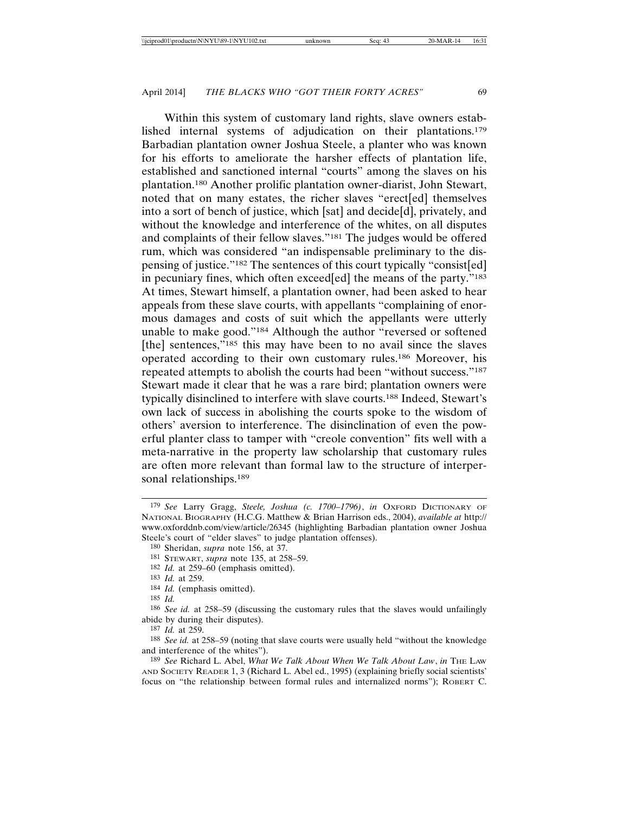Within this system of customary land rights, slave owners estab-

lished internal systems of adjudication on their plantations.179 Barbadian plantation owner Joshua Steele, a planter who was known for his efforts to ameliorate the harsher effects of plantation life, established and sanctioned internal "courts" among the slaves on his plantation.180 Another prolific plantation owner-diarist, John Stewart, noted that on many estates, the richer slaves "erect[ed] themselves into a sort of bench of justice, which [sat] and decide[d], privately, and without the knowledge and interference of the whites, on all disputes and complaints of their fellow slaves."181 The judges would be offered rum, which was considered "an indispensable preliminary to the dispensing of justice."182 The sentences of this court typically "consist[ed] in pecuniary fines, which often exceed[ed] the means of the party."183 At times, Stewart himself, a plantation owner, had been asked to hear appeals from these slave courts, with appellants "complaining of enormous damages and costs of suit which the appellants were utterly unable to make good."184 Although the author "reversed or softened [the] sentences,"<sup>185</sup> this may have been to no avail since the slaves operated according to their own customary rules.186 Moreover, his repeated attempts to abolish the courts had been "without success."187 Stewart made it clear that he was a rare bird; plantation owners were typically disinclined to interfere with slave courts.188 Indeed, Stewart's own lack of success in abolishing the courts spoke to the wisdom of others' aversion to interference. The disinclination of even the powerful planter class to tamper with "creole convention" fits well with a meta-narrative in the property law scholarship that customary rules are often more relevant than formal law to the structure of interpersonal relationships.<sup>189</sup>

182 *Id.* at 259–60 (emphasis omitted).

184 *Id.* (emphasis omitted).

189 *See* Richard L. Abel, *What We Talk About When We Talk About Law*, *in* THE LAW AND SOCIETY READER 1, 3 (Richard L. Abel ed., 1995) (explaining briefly social scientists' focus on "the relationship between formal rules and internalized norms"); ROBERT C.

<sup>179</sup> *See* Larry Gragg, *Steele, Joshua (c. 1700–1796)*, *in* OXFORD DICTIONARY OF NATIONAL BIOGRAPHY (H.C.G. Matthew & Brian Harrison eds., 2004), *available at* http:// www.oxforddnb.com/view/article/26345 (highlighting Barbadian plantation owner Joshua Steele's court of "elder slaves" to judge plantation offenses).

<sup>180</sup> Sheridan, *supra* note 156, at 37.

<sup>181</sup> STEWART, *supra* note 135, at 258–59.

<sup>183</sup> *Id.* at 259.

<sup>185</sup> *Id.*

<sup>186</sup> *See id.* at 258–59 (discussing the customary rules that the slaves would unfailingly abide by during their disputes).

<sup>187</sup> *Id.* at 259.

<sup>188</sup> *See id.* at 258–59 (noting that slave courts were usually held "without the knowledge and interference of the whites").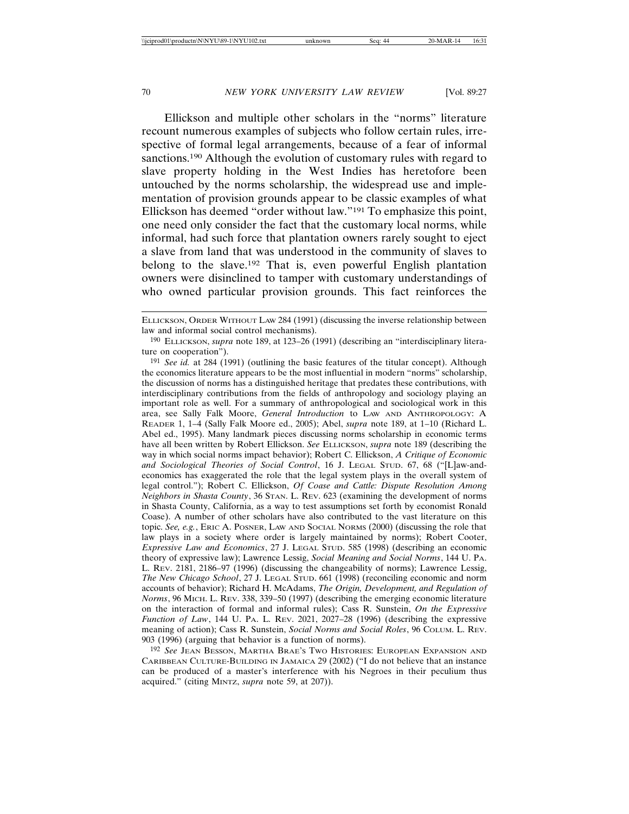Ellickson and multiple other scholars in the "norms" literature recount numerous examples of subjects who follow certain rules, irrespective of formal legal arrangements, because of a fear of informal sanctions.190 Although the evolution of customary rules with regard to slave property holding in the West Indies has heretofore been untouched by the norms scholarship, the widespread use and implementation of provision grounds appear to be classic examples of what Ellickson has deemed "order without law."191 To emphasize this point, one need only consider the fact that the customary local norms, while informal, had such force that plantation owners rarely sought to eject a slave from land that was understood in the community of slaves to belong to the slave.192 That is, even powerful English plantation owners were disinclined to tamper with customary understandings of who owned particular provision grounds. This fact reinforces the

ELLICKSON, ORDER WITHOUT LAW 284 (1991) (discussing the inverse relationship between law and informal social control mechanisms).

<sup>190</sup> ELLICKSON, *supra* note 189, at 123–26 (1991) (describing an "interdisciplinary literature on cooperation").

<sup>191</sup> *See id.* at 284 (1991) (outlining the basic features of the titular concept). Although the economics literature appears to be the most influential in modern "norms" scholarship, the discussion of norms has a distinguished heritage that predates these contributions, with interdisciplinary contributions from the fields of anthropology and sociology playing an important role as well. For a summary of anthropological and sociological work in this area, see Sally Falk Moore, *General Introduction* to LAW AND ANTHROPOLOGY: A READER 1, 1–4 (Sally Falk Moore ed., 2005); Abel, *supra* note 189, at 1–10 (Richard L. Abel ed., 1995). Many landmark pieces discussing norms scholarship in economic terms have all been written by Robert Ellickson. *See* ELLICKSON, *supra* note 189 (describing the way in which social norms impact behavior); Robert C. Ellickson, *A Critique of Economic and Sociological Theories of Social Control*, 16 J. LEGAL STUD. 67, 68 ("[L]aw-andeconomics has exaggerated the role that the legal system plays in the overall system of legal control."); Robert C. Ellickson, *Of Coase and Cattle: Dispute Resolution Among Neighbors in Shasta County*, 36 STAN. L. REV. 623 (examining the development of norms in Shasta County, California, as a way to test assumptions set forth by economist Ronald Coase). A number of other scholars have also contributed to the vast literature on this topic. *See, e.g.*, ERIC A. POSNER, LAW AND SOCIAL NORMS (2000) (discussing the role that law plays in a society where order is largely maintained by norms); Robert Cooter, *Expressive Law and Economics*, 27 J. LEGAL STUD. 585 (1998) (describing an economic theory of expressive law); Lawrence Lessig, *Social Meaning and Social Norms*, 144 U. PA. L. REV. 2181, 2186–97 (1996) (discussing the changeability of norms); Lawrence Lessig, *The New Chicago School*, 27 J. LEGAL STUD. 661 (1998) (reconciling economic and norm accounts of behavior); Richard H. McAdams, *The Origin, Development, and Regulation of Norms*, 96 MICH. L. REV. 338, 339–50 (1997) (describing the emerging economic literature on the interaction of formal and informal rules); Cass R. Sunstein, *On the Expressive Function of Law*, 144 U. PA. L. REV. 2021, 2027–28 (1996) (describing the expressive meaning of action); Cass R. Sunstein, *Social Norms and Social Roles*, 96 COLUM. L. REV. 903 (1996) (arguing that behavior is a function of norms).

<sup>192</sup> *See* JEAN BESSON, MARTHA BRAE'S TWO HISTORIES: EUROPEAN EXPANSION AND CARIBBEAN CULTURE-BUILDING IN JAMAICA 29 (2002) ("I do not believe that an instance can be produced of a master's interference with his Negroes in their peculium thus acquired." (citing MINTZ, *supra* note 59, at 207)).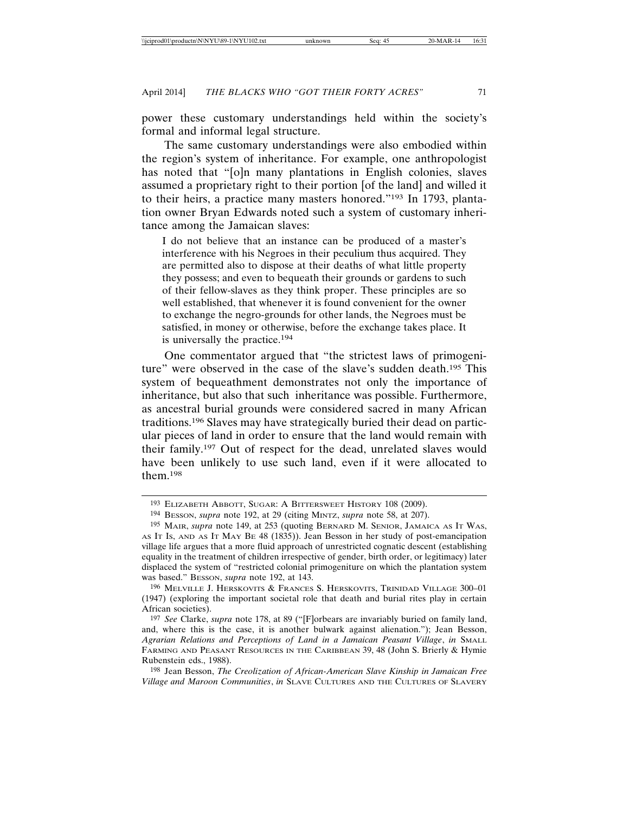power these customary understandings held within the society's formal and informal legal structure.

The same customary understandings were also embodied within the region's system of inheritance. For example, one anthropologist has noted that "[o]n many plantations in English colonies, slaves assumed a proprietary right to their portion [of the land] and willed it to their heirs, a practice many masters honored."193 In 1793, plantation owner Bryan Edwards noted such a system of customary inheritance among the Jamaican slaves:

I do not believe that an instance can be produced of a master's interference with his Negroes in their peculium thus acquired. They are permitted also to dispose at their deaths of what little property they possess; and even to bequeath their grounds or gardens to such of their fellow-slaves as they think proper. These principles are so well established, that whenever it is found convenient for the owner to exchange the negro-grounds for other lands, the Negroes must be satisfied, in money or otherwise, before the exchange takes place. It is universally the practice.194

One commentator argued that "the strictest laws of primogeniture" were observed in the case of the slave's sudden death.<sup>195</sup> This system of bequeathment demonstrates not only the importance of inheritance, but also that such inheritance was possible. Furthermore, as ancestral burial grounds were considered sacred in many African traditions.196 Slaves may have strategically buried their dead on particular pieces of land in order to ensure that the land would remain with their family.197 Out of respect for the dead, unrelated slaves would have been unlikely to use such land, even if it were allocated to them.198

196 MELVILLE J. HERSKOVITS & FRANCES S. HERSKOVITS, TRINIDAD VILLAGE 300–01 (1947) (exploring the important societal role that death and burial rites play in certain African societies).

198 Jean Besson, *The Creolization of African-American Slave Kinship in Jamaican Free Village and Maroon Communities*, *in* SLAVE CULTURES AND THE CULTURES OF SLAVERY

<sup>193</sup> ELIZABETH ABBOTT, SUGAR: A BITTERSWEET HISTORY 108 (2009).

<sup>194</sup> BESSON, *supra* note 192, at 29 (citing MINTZ, *supra* note 58, at 207).

<sup>195</sup> MAIR, *supra* note 149, at 253 (quoting BERNARD M. SENIOR, JAMAICA AS IT WAS, AS IT IS, AND AS IT MAY BE 48 (1835)). Jean Besson in her study of post-emancipation village life argues that a more fluid approach of unrestricted cognatic descent (establishing equality in the treatment of children irrespective of gender, birth order, or legitimacy) later displaced the system of "restricted colonial primogeniture on which the plantation system was based." BESSON, *supra* note 192, at 143.

<sup>197</sup> *See* Clarke, *supra* note 178, at 89 ("[F]orbears are invariably buried on family land, and, where this is the case, it is another bulwark against alienation."); Jean Besson, *Agrarian Relations and Perceptions of Land in a Jamaican Peasant Village*, *in* SMALL FARMING AND PEASANT RESOURCES IN THE CARIBBEAN 39, 48 (John S. Brierly & Hymie Rubenstein eds., 1988).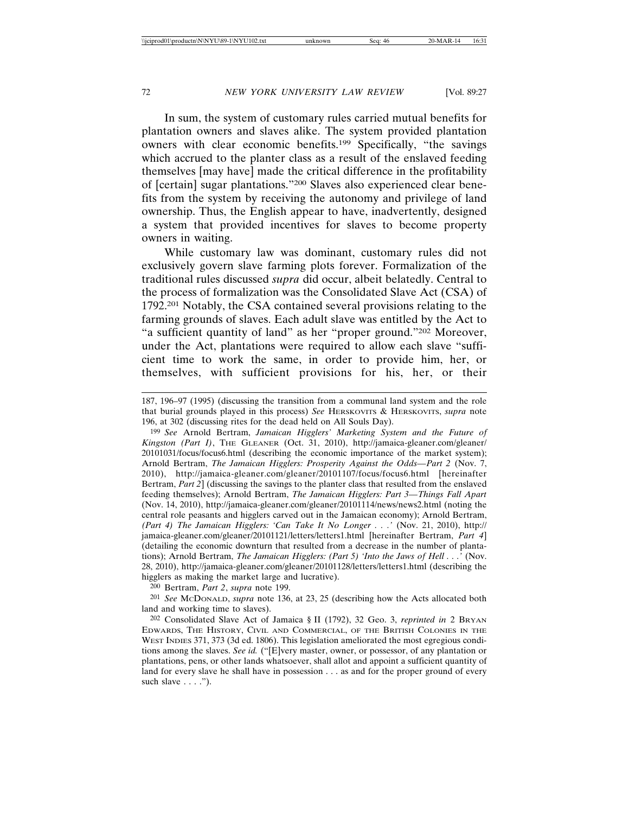In sum, the system of customary rules carried mutual benefits for plantation owners and slaves alike. The system provided plantation owners with clear economic benefits.199 Specifically, "the savings which accrued to the planter class as a result of the enslaved feeding themselves [may have] made the critical difference in the profitability of [certain] sugar plantations."200 Slaves also experienced clear benefits from the system by receiving the autonomy and privilege of land ownership. Thus, the English appear to have, inadvertently, designed a system that provided incentives for slaves to become property owners in waiting.

While customary law was dominant, customary rules did not exclusively govern slave farming plots forever. Formalization of the traditional rules discussed *supra* did occur, albeit belatedly. Central to the process of formalization was the Consolidated Slave Act (CSA) of 1792.201 Notably, the CSA contained several provisions relating to the farming grounds of slaves. Each adult slave was entitled by the Act to "a sufficient quantity of land" as her "proper ground."202 Moreover, under the Act, plantations were required to allow each slave "sufficient time to work the same, in order to provide him, her, or themselves, with sufficient provisions for his, her, or their

199 *See* Arnold Bertram, *Jamaican Higglers' Marketing System and the Future of Kingston (Part I)*, THE GLEANER (Oct. 31, 2010), http://jamaica-gleaner.com/gleaner/ 20101031/focus/focus6.html (describing the economic importance of the market system); Arnold Bertram, *The Jamaican Higglers: Prosperity Against the Odds—Part 2* (Nov. 7, 2010), http://jamaica-gleaner.com/gleaner/20101107/focus/focus6.html [hereinafter Bertram, *Part 2*] (discussing the savings to the planter class that resulted from the enslaved feeding themselves); Arnold Bertram, *The Jamaican Higglers: Part 3—Things Fall Apart* (Nov. 14, 2010), http://jamaica-gleaner.com/gleaner/20101114/news/news2.html (noting the central role peasants and higglers carved out in the Jamaican economy); Arnold Bertram, *(Part 4) The Jamaican Higglers: 'Can Take It No Longer . . .'* (Nov. 21, 2010), http:// jamaica-gleaner.com/gleaner/20101121/letters/letters1.html [hereinafter Bertram, *Part 4*] (detailing the economic downturn that resulted from a decrease in the number of plantations); Arnold Bertram, *The Jamaican Higglers: (Part 5) 'Into the Jaws of Hell . . .'* (Nov. 28, 2010), http://jamaica-gleaner.com/gleaner/20101128/letters/letters1.html (describing the higglers as making the market large and lucrative).

200 Bertram, *Part 2*, *supra* note 199.

201 *See* MCDONALD, *supra* note 136, at 23, 25 (describing how the Acts allocated both land and working time to slaves).

202 Consolidated Slave Act of Jamaica § II (1792), 32 Geo. 3, *reprinted in* 2 BRYAN EDWARDS, THE HISTORY, CIVIL AND COMMERCIAL, OF THE BRITISH COLONIES IN THE WEST INDIES 371, 373 (3d ed. 1806). This legislation ameliorated the most egregious conditions among the slaves. *See id.* ("[E]very master, owner, or possessor, of any plantation or plantations, pens, or other lands whatsoever, shall allot and appoint a sufficient quantity of land for every slave he shall have in possession . . . as and for the proper ground of every such slave  $\dots$ .").

<sup>187, 196–97 (1995) (</sup>discussing the transition from a communal land system and the role that burial grounds played in this process) *See* HERSKOVITS & HERSKOVITS, *supra* note 196, at 302 (discussing rites for the dead held on All Souls Day).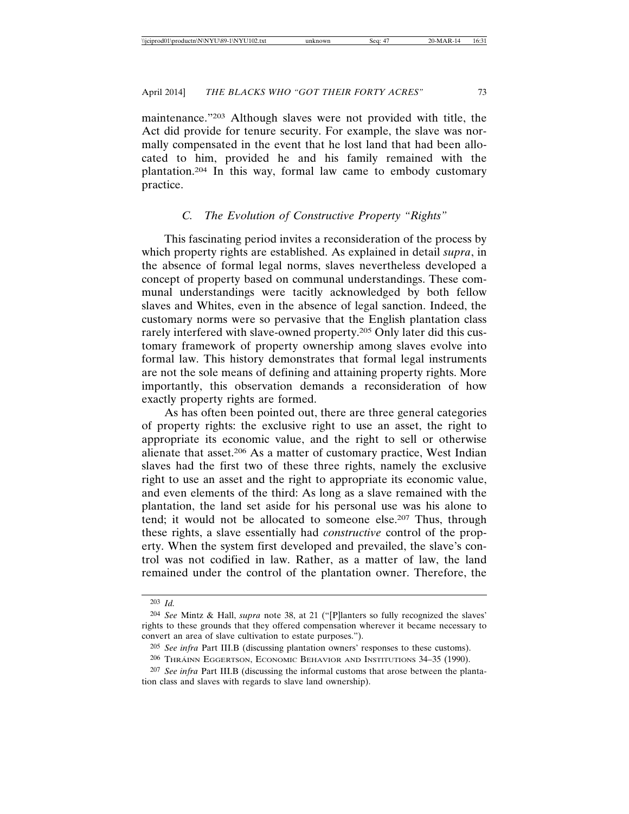maintenance."203 Although slaves were not provided with title, the Act did provide for tenure security. For example, the slave was normally compensated in the event that he lost land that had been allocated to him, provided he and his family remained with the plantation.204 In this way, formal law came to embody customary practice.

### *C. The Evolution of Constructive Property "Rights"*

This fascinating period invites a reconsideration of the process by which property rights are established. As explained in detail *supra*, in the absence of formal legal norms, slaves nevertheless developed a concept of property based on communal understandings. These communal understandings were tacitly acknowledged by both fellow slaves and Whites, even in the absence of legal sanction. Indeed, the customary norms were so pervasive that the English plantation class rarely interfered with slave-owned property.205 Only later did this customary framework of property ownership among slaves evolve into formal law. This history demonstrates that formal legal instruments are not the sole means of defining and attaining property rights. More importantly, this observation demands a reconsideration of how exactly property rights are formed.

As has often been pointed out, there are three general categories of property rights: the exclusive right to use an asset, the right to appropriate its economic value, and the right to sell or otherwise alienate that asset.206 As a matter of customary practice, West Indian slaves had the first two of these three rights, namely the exclusive right to use an asset and the right to appropriate its economic value, and even elements of the third: As long as a slave remained with the plantation, the land set aside for his personal use was his alone to tend; it would not be allocated to someone else.207 Thus, through these rights, a slave essentially had *constructive* control of the property. When the system first developed and prevailed, the slave's control was not codified in law. Rather, as a matter of law, the land remained under the control of the plantation owner. Therefore, the

<sup>203</sup> *Id.*

<sup>204</sup> *See* Mintz & Hall, *supra* note 38, at 21 ("[P]lanters so fully recognized the slaves' rights to these grounds that they offered compensation wherever it became necessary to convert an area of slave cultivation to estate purposes.").

<sup>205</sup> *See infra* Part III.B (discussing plantation owners' responses to these customs).

<sup>&</sup>lt;sup>206</sup> THRÁINN EGGERTSON, ECONOMIC BEHAVIOR AND INSTITUTIONS 34–35 (1990).

<sup>207</sup> *See infra* Part III.B (discussing the informal customs that arose between the plantation class and slaves with regards to slave land ownership).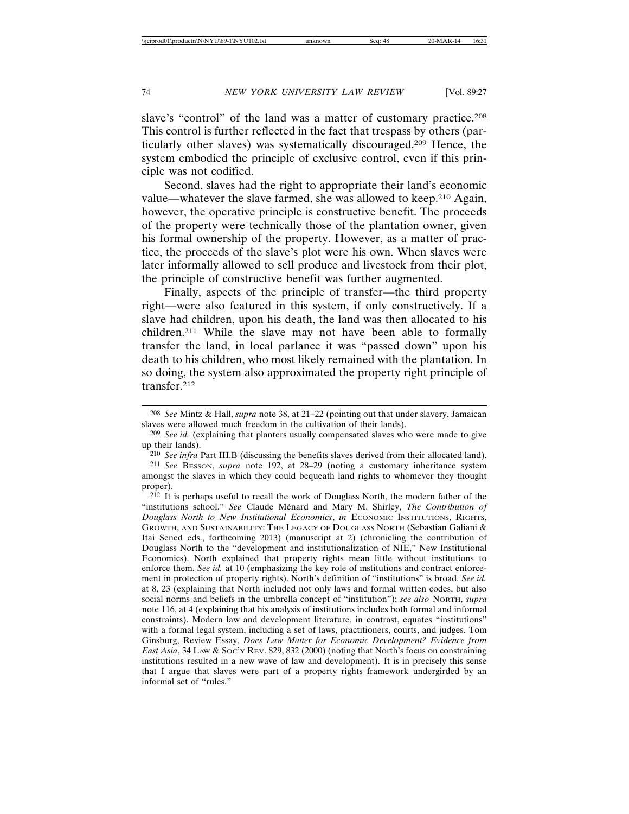slave's "control" of the land was a matter of customary practice.<sup>208</sup> This control is further reflected in the fact that trespass by others (particularly other slaves) was systematically discouraged.209 Hence, the system embodied the principle of exclusive control, even if this principle was not codified.

Second, slaves had the right to appropriate their land's economic value—whatever the slave farmed, she was allowed to keep.210 Again, however, the operative principle is constructive benefit. The proceeds of the property were technically those of the plantation owner, given his formal ownership of the property. However, as a matter of practice, the proceeds of the slave's plot were his own. When slaves were later informally allowed to sell produce and livestock from their plot, the principle of constructive benefit was further augmented.

Finally, aspects of the principle of transfer—the third property right—were also featured in this system, if only constructively. If a slave had children, upon his death, the land was then allocated to his children.211 While the slave may not have been able to formally transfer the land, in local parlance it was "passed down" upon his death to his children, who most likely remained with the plantation. In so doing, the system also approximated the property right principle of transfer.212

<sup>208</sup> *See* Mintz & Hall, *supra* note 38, at 21–22 (pointing out that under slavery, Jamaican slaves were allowed much freedom in the cultivation of their lands).

<sup>209</sup> *See id.* (explaining that planters usually compensated slaves who were made to give up their lands).

<sup>210</sup> *See infra* Part III.B (discussing the benefits slaves derived from their allocated land).

<sup>211</sup> *See* BESSON, *supra* note 192, at 28–29 (noting a customary inheritance system amongst the slaves in which they could bequeath land rights to whomever they thought proper).

<sup>212</sup> It is perhaps useful to recall the work of Douglass North, the modern father of the "institutions school." See Claude Ménard and Mary M. Shirley, *The Contribution of Douglass North to New Institutional Economics*, *in* ECONOMIC INSTITUTIONS, RIGHTS, GROWTH, AND SUSTAINABILITY: THE LEGACY OF DOUGLASS NORTH (Sebastian Galiani & Itai Sened eds., forthcoming 2013) (manuscript at 2) (chronicling the contribution of Douglass North to the "development and institutionalization of NIE," New Institutional Economics). North explained that property rights mean little without institutions to enforce them. *See id.* at 10 (emphasizing the key role of institutions and contract enforcement in protection of property rights). North's definition of "institutions" is broad. *See id.* at 8, 23 (explaining that North included not only laws and formal written codes, but also social norms and beliefs in the umbrella concept of "institution"); *see also* NORTH, *supra* note 116, at 4 (explaining that his analysis of institutions includes both formal and informal constraints). Modern law and development literature, in contrast, equates "institutions" with a formal legal system, including a set of laws, practitioners, courts, and judges. Tom Ginsburg, Review Essay, *Does Law Matter for Economic Development? Evidence from East Asia*, 34 LAW & SOC'Y REV. 829, 832 (2000) (noting that North's focus on constraining institutions resulted in a new wave of law and development). It is in precisely this sense that I argue that slaves were part of a property rights framework undergirded by an informal set of "rules."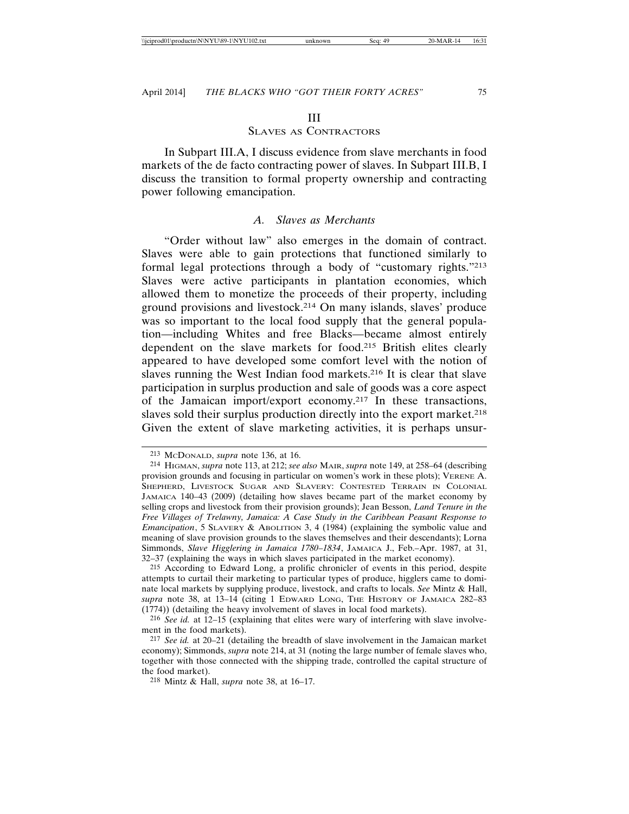#### III

# SLAVES AS CONTRACTORS

In Subpart III.A, I discuss evidence from slave merchants in food markets of the de facto contracting power of slaves. In Subpart III.B, I discuss the transition to formal property ownership and contracting power following emancipation.

# *A. Slaves as Merchants*

"Order without law" also emerges in the domain of contract. Slaves were able to gain protections that functioned similarly to formal legal protections through a body of "customary rights."213 Slaves were active participants in plantation economies, which allowed them to monetize the proceeds of their property, including ground provisions and livestock.214 On many islands, slaves' produce was so important to the local food supply that the general population—including Whites and free Blacks—became almost entirely dependent on the slave markets for food.215 British elites clearly appeared to have developed some comfort level with the notion of slaves running the West Indian food markets.216 It is clear that slave participation in surplus production and sale of goods was a core aspect of the Jamaican import/export economy.217 In these transactions, slaves sold their surplus production directly into the export market.<sup>218</sup> Given the extent of slave marketing activities, it is perhaps unsur-

<sup>213</sup> MCDONALD, *supra* note 136, at 16.

<sup>214</sup> HIGMAN, *supra* note 113, at 212; *see also* MAIR, *supra* note 149, at 258–64 (describing provision grounds and focusing in particular on women's work in these plots); VERENE A. SHEPHERD, LIVESTOCK SUGAR AND SLAVERY: CONTESTED TERRAIN IN COLONIAL JAMAICA 140–43 (2009) (detailing how slaves became part of the market economy by selling crops and livestock from their provision grounds); Jean Besson, *Land Tenure in the Free Villages of Trelawny, Jamaica: A Case Study in the Caribbean Peasant Response to Emancipation*, 5 SLAVERY & ABOLITION 3, 4 (1984) (explaining the symbolic value and meaning of slave provision grounds to the slaves themselves and their descendants); Lorna Simmonds, *Slave Higglering in Jamaica 1780–1834*, JAMAICA J., Feb.–Apr. 1987, at 31, 32–37 (explaining the ways in which slaves participated in the market economy).

<sup>215</sup> According to Edward Long, a prolific chronicler of events in this period, despite attempts to curtail their marketing to particular types of produce, higglers came to dominate local markets by supplying produce, livestock, and crafts to locals. *See* Mintz & Hall, *supra* note 38, at 13–14 (citing 1 EDWARD LONG, THE HISTORY OF JAMAICA 282–83 (1774)) (detailing the heavy involvement of slaves in local food markets).

<sup>216</sup> *See id.* at 12–15 (explaining that elites were wary of interfering with slave involvement in the food markets).

<sup>217</sup> *See id.* at 20–21 (detailing the breadth of slave involvement in the Jamaican market economy); Simmonds, *supra* note 214, at 31 (noting the large number of female slaves who, together with those connected with the shipping trade, controlled the capital structure of the food market).

<sup>218</sup> Mintz & Hall, *supra* note 38, at 16–17.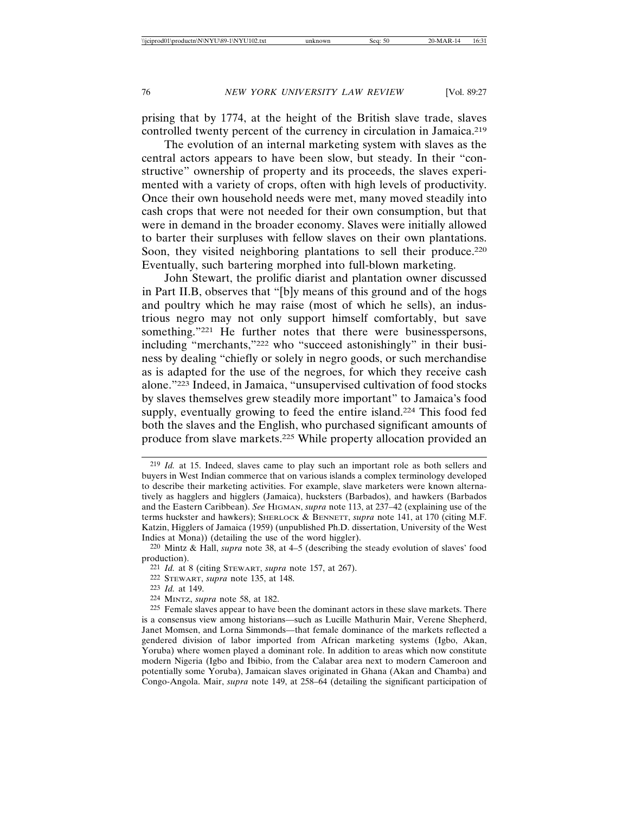prising that by 1774, at the height of the British slave trade, slaves controlled twenty percent of the currency in circulation in Jamaica.<sup>219</sup>

The evolution of an internal marketing system with slaves as the central actors appears to have been slow, but steady. In their "constructive" ownership of property and its proceeds, the slaves experimented with a variety of crops, often with high levels of productivity. Once their own household needs were met, many moved steadily into cash crops that were not needed for their own consumption, but that were in demand in the broader economy. Slaves were initially allowed to barter their surpluses with fellow slaves on their own plantations. Soon, they visited neighboring plantations to sell their produce.<sup>220</sup> Eventually, such bartering morphed into full-blown marketing.

John Stewart, the prolific diarist and plantation owner discussed in Part II.B, observes that "[b]y means of this ground and of the hogs and poultry which he may raise (most of which he sells), an industrious negro may not only support himself comfortably, but save something."<sup>221</sup> He further notes that there were businesspersons, including "merchants,"222 who "succeed astonishingly" in their business by dealing "chiefly or solely in negro goods, or such merchandise as is adapted for the use of the negroes, for which they receive cash alone."223 Indeed, in Jamaica, "unsupervised cultivation of food stocks by slaves themselves grew steadily more important" to Jamaica's food supply, eventually growing to feed the entire island.<sup>224</sup> This food fed both the slaves and the English, who purchased significant amounts of produce from slave markets.225 While property allocation provided an

<sup>219</sup> *Id.* at 15. Indeed, slaves came to play such an important role as both sellers and buyers in West Indian commerce that on various islands a complex terminology developed to describe their marketing activities. For example, slave marketers were known alternatively as hagglers and higglers (Jamaica), hucksters (Barbados), and hawkers (Barbados and the Eastern Caribbean). *See* HIGMAN, *supra* note 113, at 237–42 (explaining use of the terms huckster and hawkers); SHERLOCK & BENNETT, *supra* note 141, at 170 (citing M.F. Katzin, Higglers of Jamaica (1959) (unpublished Ph.D. dissertation, University of the West Indies at Mona)) (detailing the use of the word higgler).

<sup>220</sup> Mintz & Hall, *supra* note 38, at 4–5 (describing the steady evolution of slaves' food production).

<sup>221</sup> *Id.* at 8 (citing STEWART, *supra* note 157, at 267).

<sup>222</sup> STEWART, *supra* note 135, at 148.

<sup>223</sup> *Id.* at 149.

<sup>224</sup> MINTZ, *supra* note 58, at 182.

<sup>225</sup> Female slaves appear to have been the dominant actors in these slave markets. There is a consensus view among historians—such as Lucille Mathurin Mair, Verene Shepherd, Janet Momsen, and Lorna Simmonds—that female dominance of the markets reflected a gendered division of labor imported from African marketing systems (Igbo, Akan, Yoruba) where women played a dominant role. In addition to areas which now constitute modern Nigeria (Igbo and Ibibio, from the Calabar area next to modern Cameroon and potentially some Yoruba), Jamaican slaves originated in Ghana (Akan and Chamba) and Congo-Angola. Mair, *supra* note 149, at 258–64 (detailing the significant participation of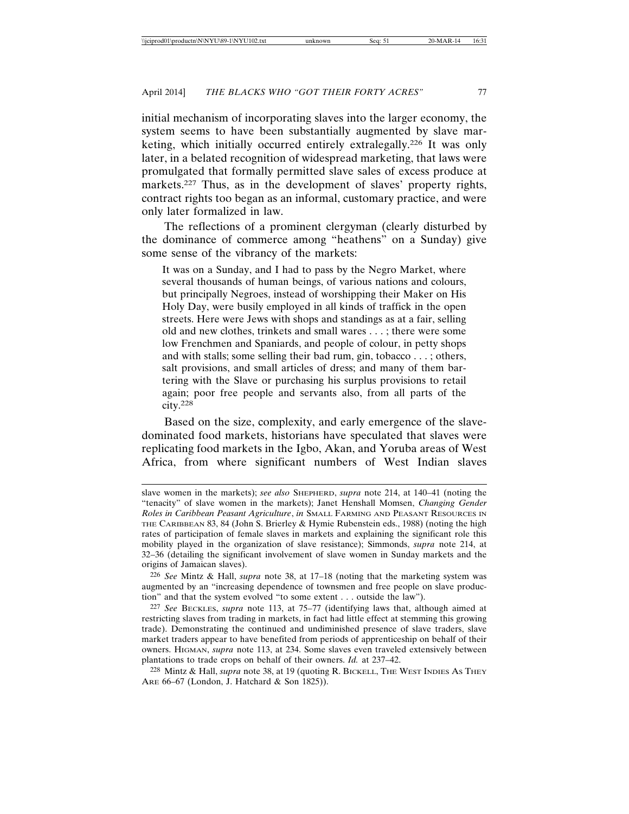initial mechanism of incorporating slaves into the larger economy, the system seems to have been substantially augmented by slave marketing, which initially occurred entirely extralegally.226 It was only later, in a belated recognition of widespread marketing, that laws were promulgated that formally permitted slave sales of excess produce at markets.227 Thus, as in the development of slaves' property rights, contract rights too began as an informal, customary practice, and were only later formalized in law.

The reflections of a prominent clergyman (clearly disturbed by the dominance of commerce among "heathens" on a Sunday) give some sense of the vibrancy of the markets:

It was on a Sunday, and I had to pass by the Negro Market, where several thousands of human beings, of various nations and colours, but principally Negroes, instead of worshipping their Maker on His Holy Day, were busily employed in all kinds of traffick in the open streets. Here were Jews with shops and standings as at a fair, selling old and new clothes, trinkets and small wares . . . ; there were some low Frenchmen and Spaniards, and people of colour, in petty shops and with stalls; some selling their bad rum, gin, tobacco . . . ; others, salt provisions, and small articles of dress; and many of them bartering with the Slave or purchasing his surplus provisions to retail again; poor free people and servants also, from all parts of the city.<sup>228</sup>

Based on the size, complexity, and early emergence of the slavedominated food markets, historians have speculated that slaves were replicating food markets in the Igbo, Akan, and Yoruba areas of West Africa, from where significant numbers of West Indian slaves

226 *See* Mintz & Hall, *supra* note 38, at 17–18 (noting that the marketing system was augmented by an "increasing dependence of townsmen and free people on slave production" and that the system evolved "to some extent . . . outside the law").

slave women in the markets); *see also* SHEPHERD, *supra* note 214, at 140–41 (noting the "tenacity" of slave women in the markets); Janet Henshall Momsen, *Changing Gender Roles in Caribbean Peasant Agriculture*, *in* SMALL FARMING AND PEASANT RESOURCES IN THE CARIBBEAN 83, 84 (John S. Brierley & Hymie Rubenstein eds., 1988) (noting the high rates of participation of female slaves in markets and explaining the significant role this mobility played in the organization of slave resistance); Simmonds, *supra* note 214, at 32–36 (detailing the significant involvement of slave women in Sunday markets and the origins of Jamaican slaves).

<sup>227</sup> *See* BECKLES, *supra* note 113, at 75–77 (identifying laws that, although aimed at restricting slaves from trading in markets, in fact had little effect at stemming this growing trade). Demonstrating the continued and undiminished presence of slave traders, slave market traders appear to have benefited from periods of apprenticeship on behalf of their owners. HIGMAN, *supra* note 113, at 234. Some slaves even traveled extensively between plantations to trade crops on behalf of their owners. *Id.* at 237–42.

<sup>228</sup> Mintz & Hall, *supra* note 38, at 19 (quoting R. BICKELL, THE WEST INDIES AS THEY ARE 66–67 (London, J. Hatchard & Son 1825)).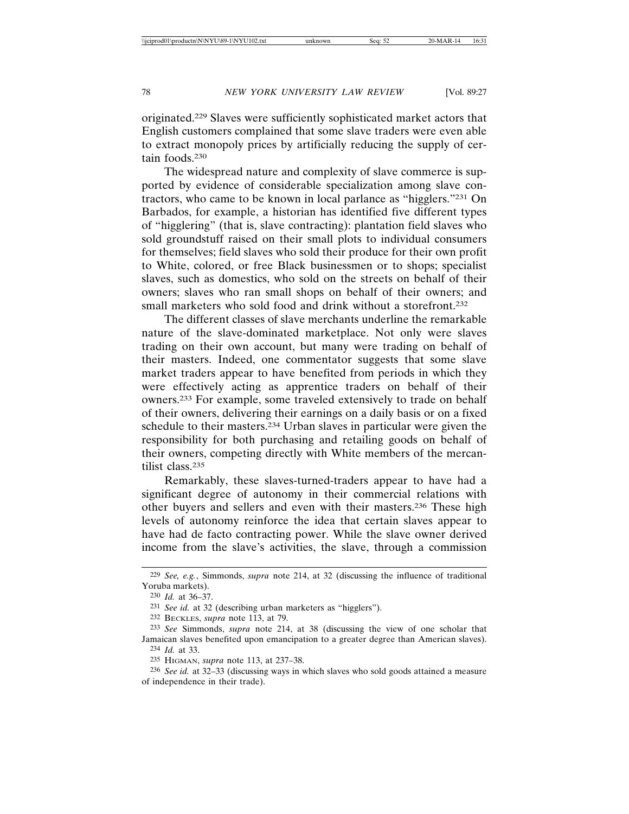originated.229 Slaves were sufficiently sophisticated market actors that English customers complained that some slave traders were even able to extract monopoly prices by artificially reducing the supply of certain foods.230

The widespread nature and complexity of slave commerce is supported by evidence of considerable specialization among slave contractors, who came to be known in local parlance as "higglers."231 On Barbados, for example, a historian has identified five different types of "higglering" (that is, slave contracting): plantation field slaves who sold groundstuff raised on their small plots to individual consumers for themselves; field slaves who sold their produce for their own profit to White, colored, or free Black businessmen or to shops; specialist slaves, such as domestics, who sold on the streets on behalf of their owners; slaves who ran small shops on behalf of their owners; and small marketers who sold food and drink without a storefront.232

The different classes of slave merchants underline the remarkable nature of the slave-dominated marketplace. Not only were slaves trading on their own account, but many were trading on behalf of their masters. Indeed, one commentator suggests that some slave market traders appear to have benefited from periods in which they were effectively acting as apprentice traders on behalf of their owners.233 For example, some traveled extensively to trade on behalf of their owners, delivering their earnings on a daily basis or on a fixed schedule to their masters.234 Urban slaves in particular were given the responsibility for both purchasing and retailing goods on behalf of their owners, competing directly with White members of the mercantilist class.235

Remarkably, these slaves-turned-traders appear to have had a significant degree of autonomy in their commercial relations with other buyers and sellers and even with their masters.236 These high levels of autonomy reinforce the idea that certain slaves appear to have had de facto contracting power. While the slave owner derived income from the slave's activities, the slave, through a commission

<sup>229</sup> *See, e.g.*, Simmonds, *supra* note 214, at 32 (discussing the influence of traditional Yoruba markets).

<sup>230</sup> *Id.* at 36–37.

<sup>231</sup> *See id.* at 32 (describing urban marketers as "higglers").

<sup>232</sup> BECKLES, *supra* note 113, at 79.

<sup>233</sup> *See* Simmonds, *supra* note 214, at 38 (discussing the view of one scholar that Jamaican slaves benefited upon emancipation to a greater degree than American slaves). 234 *Id.* at 33.

<sup>235</sup> HIGMAN, *supra* note 113, at 237–38.

<sup>236</sup> *See id.* at 32–33 (discussing ways in which slaves who sold goods attained a measure of independence in their trade).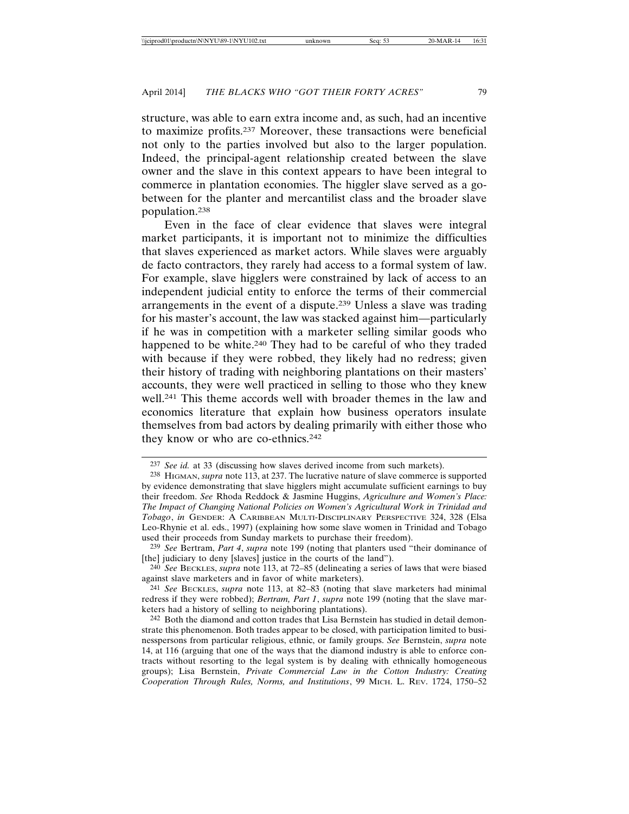structure, was able to earn extra income and, as such, had an incentive to maximize profits.237 Moreover, these transactions were beneficial not only to the parties involved but also to the larger population. Indeed, the principal-agent relationship created between the slave owner and the slave in this context appears to have been integral to commerce in plantation economies. The higgler slave served as a gobetween for the planter and mercantilist class and the broader slave population.238

Even in the face of clear evidence that slaves were integral market participants, it is important not to minimize the difficulties that slaves experienced as market actors. While slaves were arguably de facto contractors, they rarely had access to a formal system of law. For example, slave higglers were constrained by lack of access to an independent judicial entity to enforce the terms of their commercial arrangements in the event of a dispute.239 Unless a slave was trading for his master's account, the law was stacked against him—particularly if he was in competition with a marketer selling similar goods who happened to be white.<sup>240</sup> They had to be careful of who they traded with because if they were robbed, they likely had no redress; given their history of trading with neighboring plantations on their masters' accounts, they were well practiced in selling to those who they knew well.241 This theme accords well with broader themes in the law and economics literature that explain how business operators insulate themselves from bad actors by dealing primarily with either those who they know or who are co-ethnics.<sup>242</sup>

<sup>237</sup> *See id.* at 33 (discussing how slaves derived income from such markets).

<sup>238</sup> HIGMAN, *supra* note 113, at 237. The lucrative nature of slave commerce is supported by evidence demonstrating that slave higglers might accumulate sufficient earnings to buy their freedom. *See* Rhoda Reddock & Jasmine Huggins, *Agriculture and Women's Place: The Impact of Changing National Policies on Women's Agricultural Work in Trinidad and Tobago*, *in* GENDER: A CARIBBEAN MULTI-DISCIPLINARY PERSPECTIVE 324, 328 (Elsa Leo-Rhynie et al. eds., 1997) (explaining how some slave women in Trinidad and Tobago used their proceeds from Sunday markets to purchase their freedom).

<sup>239</sup> *See* Bertram, *Part 4*, *supra* note 199 (noting that planters used "their dominance of [the] judiciary to deny [slaves] justice in the courts of the land").

<sup>240</sup> *See* BECKLES, *supra* note 113, at 72–85 (delineating a series of laws that were biased against slave marketers and in favor of white marketers).

<sup>241</sup> *See* BECKLES, *supra* note 113, at 82–83 (noting that slave marketers had minimal redress if they were robbed); *Bertram, Part 1*, *supra* note 199 (noting that the slave marketers had a history of selling to neighboring plantations).

<sup>242</sup> Both the diamond and cotton trades that Lisa Bernstein has studied in detail demonstrate this phenomenon. Both trades appear to be closed, with participation limited to businesspersons from particular religious, ethnic, or family groups. *See* Bernstein, *supra* note 14, at 116 (arguing that one of the ways that the diamond industry is able to enforce contracts without resorting to the legal system is by dealing with ethnically homogeneous groups); Lisa Bernstein, *Private Commercial Law in the Cotton Industry: Creating Cooperation Through Rules, Norms, and Institutions*, 99 MICH. L. REV. 1724, 1750–52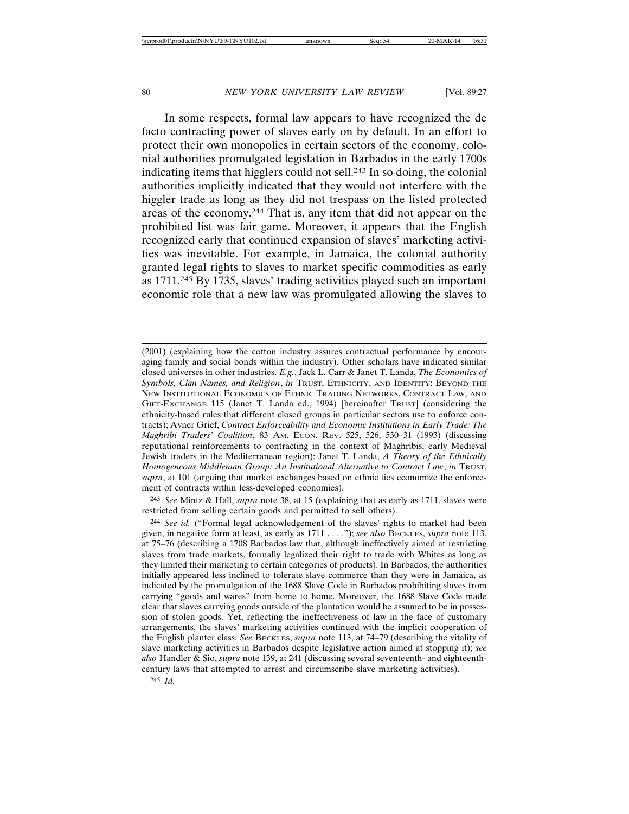In some respects, formal law appears to have recognized the de facto contracting power of slaves early on by default. In an effort to protect their own monopolies in certain sectors of the economy, colonial authorities promulgated legislation in Barbados in the early 1700s indicating items that higglers could not sell.243 In so doing, the colonial authorities implicitly indicated that they would not interfere with the higgler trade as long as they did not trespass on the listed protected areas of the economy.244 That is, any item that did not appear on the prohibited list was fair game. Moreover, it appears that the English recognized early that continued expansion of slaves' marketing activities was inevitable. For example, in Jamaica, the colonial authority granted legal rights to slaves to market specific commodities as early as 1711.245 By 1735, slaves' trading activities played such an important economic role that a new law was promulgated allowing the slaves to

243 *See* Mintz & Hall, *supra* note 38, at 15 (explaining that as early as 1711, slaves were restricted from selling certain goods and permitted to sell others).

244 *See id.* ("Formal legal acknowledgement of the slaves' rights to market had been given, in negative form at least, as early as 1711 . . . ."); *see also* BECKLES, *supra* note 113, at 75–76 (describing a 1708 Barbados law that, although ineffectively aimed at restricting slaves from trade markets, formally legalized their right to trade with Whites as long as they limited their marketing to certain categories of products). In Barbados, the authorities initially appeared less inclined to tolerate slave commerce than they were in Jamaica, as indicated by the promulgation of the 1688 Slave Code in Barbados prohibiting slaves from carrying "goods and wares" from home to home. Moreover, the 1688 Slave Code made clear that slaves carrying goods outside of the plantation would be assumed to be in possession of stolen goods. Yet, reflecting the ineffectiveness of law in the face of customary arrangements, the slaves' marketing activities continued with the implicit cooperation of the English planter class. *See* BECKLES, *supra* note 113, at 74–79 (describing the vitality of slave marketing activities in Barbados despite legislative action aimed at stopping it); *see also* Handler & Sio, *supra* note 139, at 241 (discussing several seventeenth- and eighteenthcentury laws that attempted to arrest and circumscribe slave marketing activities).

245 *Id.* 

<sup>(2001) (</sup>explaining how the cotton industry assures contractual performance by encouraging family and social bonds within the industry). Other scholars have indicated similar closed universes in other industries. *E.g.*, Jack L. Carr & Janet T. Landa, *The Economics of Symbols, Clan Names, and Religion*, *in* TRUST, ETHNICITY, AND IDENTITY: BEYOND THE NEW INSTITUTIONAL ECONOMICS OF ETHNIC TRADING NETWORKS, CONTRACT LAW, AND GIFT-EXCHANGE 115 (Janet T. Landa ed., 1994) [hereinafter TRUST] (considering the ethnicity-based rules that different closed groups in particular sectors use to enforce contracts); Avner Grief, *Contract Enforceability and Economic Institutions in Early Trade: The Maghribi Traders' Coalition*, 83 AM. ECON. REV. 525, 526, 530–31 (1993) (discussing reputational reinforcements to contracting in the context of Maghribis, early Medieval Jewish traders in the Mediterranean region); Janet T. Landa, *A Theory of the Ethnically Homogeneous Middleman Group: An Institutional Alternative to Contract Law*, *in* TRUST, *supra*, at 101 (arguing that market exchanges based on ethnic ties economize the enforcement of contracts within less-developed economies).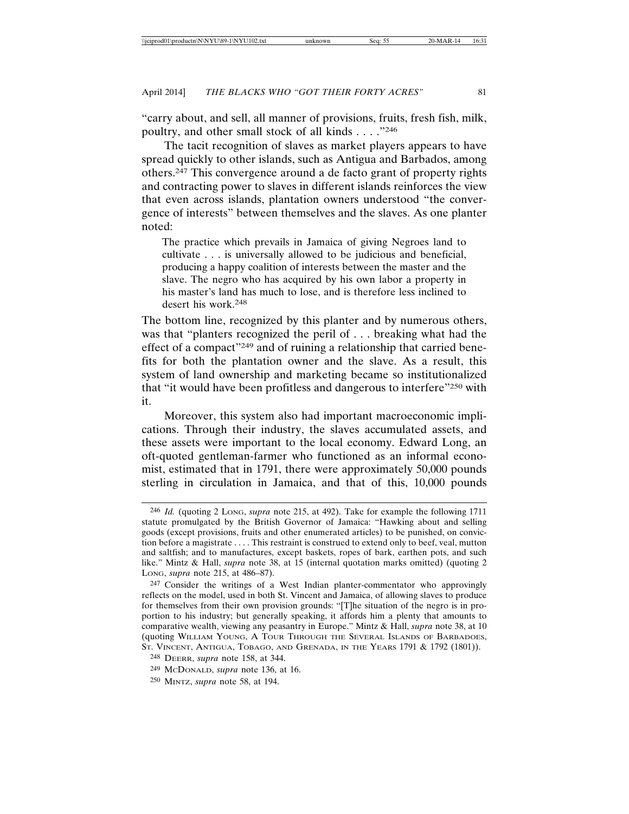"carry about, and sell, all manner of provisions, fruits, fresh fish, milk, poultry, and other small stock of all kinds . . . ."246

The tacit recognition of slaves as market players appears to have spread quickly to other islands, such as Antigua and Barbados, among others.247 This convergence around a de facto grant of property rights and contracting power to slaves in different islands reinforces the view that even across islands, plantation owners understood "the convergence of interests" between themselves and the slaves. As one planter noted:

The practice which prevails in Jamaica of giving Negroes land to cultivate . . . is universally allowed to be judicious and beneficial, producing a happy coalition of interests between the master and the slave. The negro who has acquired by his own labor a property in his master's land has much to lose, and is therefore less inclined to desert his work.248

The bottom line, recognized by this planter and by numerous others, was that "planters recognized the peril of . . . breaking what had the effect of a compact"249 and of ruining a relationship that carried benefits for both the plantation owner and the slave. As a result, this system of land ownership and marketing became so institutionalized that "it would have been profitless and dangerous to interfere"250 with it.

Moreover, this system also had important macroeconomic implications. Through their industry, the slaves accumulated assets, and these assets were important to the local economy. Edward Long, an oft-quoted gentleman-farmer who functioned as an informal economist, estimated that in 1791, there were approximately 50,000 pounds sterling in circulation in Jamaica, and that of this, 10,000 pounds

<sup>246</sup> *Id.* (quoting 2 LONG, *supra* note 215, at 492). Take for example the following 1711 statute promulgated by the British Governor of Jamaica: "Hawking about and selling goods (except provisions, fruits and other enumerated articles) to be punished, on conviction before a magistrate . . . . This restraint is construed to extend only to beef, veal, mutton and saltfish; and to manufactures, except baskets, ropes of bark, earthen pots, and such like." Mintz & Hall, *supra* note 38, at 15 (internal quotation marks omitted) (quoting 2 LONG, *supra* note 215, at 486–87).

<sup>247</sup> Consider the writings of a West Indian planter-commentator who approvingly reflects on the model, used in both St. Vincent and Jamaica, of allowing slaves to produce for themselves from their own provision grounds: "[T]he situation of the negro is in proportion to his industry; but generally speaking, it affords him a plenty that amounts to comparative wealth, viewing any peasantry in Europe." Mintz & Hall, *supra* note 38, at 10 (quoting WILLIAM YOUNG, A TOUR THROUGH THE SEVERAL ISLANDS OF BARBADOES, ST. VINCENT, ANTIGUA, TOBAGO, AND GRENADA, IN THE YEARS 1791 & 1792 (1801)).

<sup>248</sup> DEERR, *supra* note 158, at 344.

<sup>249</sup> MCDONALD, *supra* note 136, at 16.

<sup>250</sup> MINTZ, *supra* note 58, at 194.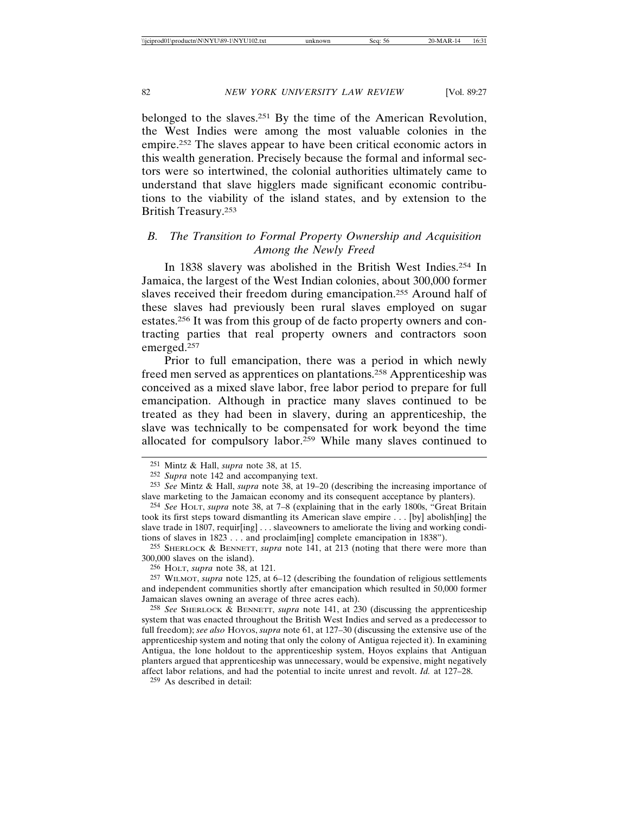belonged to the slaves.251 By the time of the American Revolution, the West Indies were among the most valuable colonies in the empire.252 The slaves appear to have been critical economic actors in this wealth generation. Precisely because the formal and informal sectors were so intertwined, the colonial authorities ultimately came to understand that slave higglers made significant economic contributions to the viability of the island states, and by extension to the British Treasury.253

# *B. The Transition to Formal Property Ownership and Acquisition Among the Newly Freed*

In 1838 slavery was abolished in the British West Indies.254 In Jamaica, the largest of the West Indian colonies, about 300,000 former slaves received their freedom during emancipation.255 Around half of these slaves had previously been rural slaves employed on sugar estates.256 It was from this group of de facto property owners and contracting parties that real property owners and contractors soon emerged.257

Prior to full emancipation, there was a period in which newly freed men served as apprentices on plantations.258 Apprenticeship was conceived as a mixed slave labor, free labor period to prepare for full emancipation. Although in practice many slaves continued to be treated as they had been in slavery, during an apprenticeship, the slave was technically to be compensated for work beyond the time allocated for compulsory labor.259 While many slaves continued to

255 SHERLOCK & BENNETT, *supra* note 141, at 213 (noting that there were more than 300,000 slaves on the island).

256 HOLT, *supra* note 38, at 121.

257 WILMOT, *supra* note 125, at 6–12 (describing the foundation of religious settlements and independent communities shortly after emancipation which resulted in 50,000 former Jamaican slaves owning an average of three acres each).

258 *See* SHERLOCK & BENNETT, *supra* note 141, at 230 (discussing the apprenticeship system that was enacted throughout the British West Indies and served as a predecessor to full freedom); *see also* HOYOS, *supra* note 61, at 127–30 (discussing the extensive use of the apprenticeship system and noting that only the colony of Antigua rejected it). In examining Antigua, the lone holdout to the apprenticeship system, Hoyos explains that Antiguan planters argued that apprenticeship was unnecessary, would be expensive, might negatively affect labor relations, and had the potential to incite unrest and revolt. *Id.* at 127–28.

259 As described in detail:

<sup>251</sup> Mintz & Hall, *supra* note 38, at 15.

<sup>252</sup> *Supra* note 142 and accompanying text.

<sup>253</sup> *See* Mintz & Hall, *supra* note 38, at 19–20 (describing the increasing importance of slave marketing to the Jamaican economy and its consequent acceptance by planters).

<sup>254</sup> *See* HOLT, *supra* note 38, at 7–8 (explaining that in the early 1800s, "Great Britain took its first steps toward dismantling its American slave empire . . . [by] abolish[ing] the slave trade in 1807, requir[ing] ... slaveowners to ameliorate the living and working conditions of slaves in 1823 . . . and proclaim[ing] complete emancipation in 1838").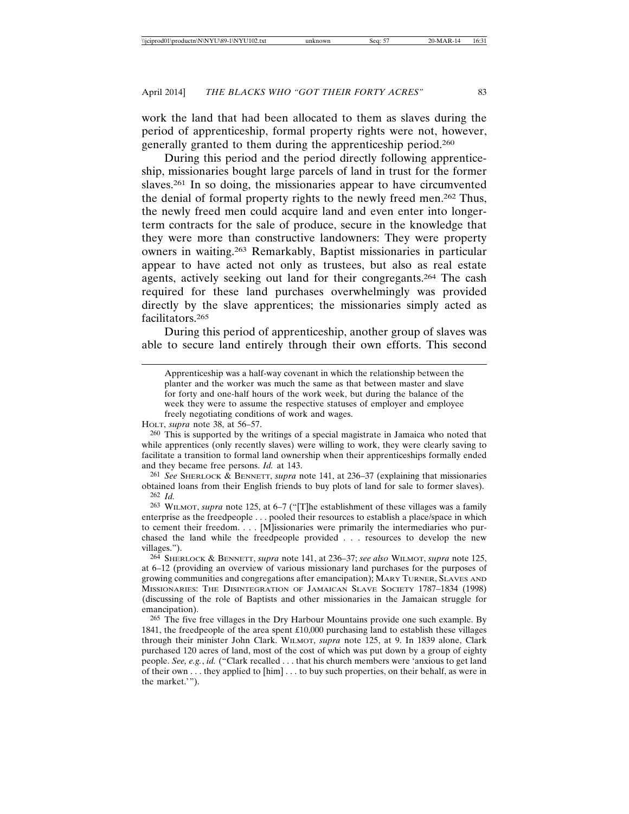work the land that had been allocated to them as slaves during the period of apprenticeship, formal property rights were not, however, generally granted to them during the apprenticeship period.260

During this period and the period directly following apprenticeship, missionaries bought large parcels of land in trust for the former slaves.261 In so doing, the missionaries appear to have circumvented the denial of formal property rights to the newly freed men.262 Thus, the newly freed men could acquire land and even enter into longerterm contracts for the sale of produce, secure in the knowledge that they were more than constructive landowners: They were property owners in waiting.263 Remarkably, Baptist missionaries in particular appear to have acted not only as trustees, but also as real estate agents, actively seeking out land for their congregants.264 The cash required for these land purchases overwhelmingly was provided directly by the slave apprentices; the missionaries simply acted as facilitators.265

During this period of apprenticeship, another group of slaves was able to secure land entirely through their own efforts. This second

HOLT, *supra* note 38, at 56–57.

260 This is supported by the writings of a special magistrate in Jamaica who noted that while apprentices (only recently slaves) were willing to work, they were clearly saving to facilitate a transition to formal land ownership when their apprenticeships formally ended and they became free persons. *Id.* at 143.

261 *See* SHERLOCK & BENNETT, *supra* note 141, at 236–37 (explaining that missionaries obtained loans from their English friends to buy plots of land for sale to former slaves). 262 *Id.*

263 WILMOT, *supra* note 125, at 6–7 ("[T]he establishment of these villages was a family enterprise as the freedpeople . . . pooled their resources to establish a place/space in which to cement their freedom. . . . [M]issionaries were primarily the intermediaries who purchased the land while the freedpeople provided . . . resources to develop the new villages.").

264 SHERLOCK & BENNETT, *supra* note 141, at 236–37; *see also* WILMOT, *supra* note 125, at 6–12 (providing an overview of various missionary land purchases for the purposes of growing communities and congregations after emancipation); MARY TURNER, SLAVES AND MISSIONARIES: THE DISINTEGRATION OF JAMAICAN SLAVE SOCIETY 1787–1834 (1998) (discussing of the role of Baptists and other missionaries in the Jamaican struggle for emancipation).

265 The five free villages in the Dry Harbour Mountains provide one such example. By 1841, the freedpeople of the area spent £10,000 purchasing land to establish these villages through their minister John Clark. WILMOT, *supra* note 125, at 9. In 1839 alone, Clark purchased 120 acres of land, most of the cost of which was put down by a group of eighty people. *See, e.g.*, *id.* ("Clark recalled . . . that his church members were 'anxious to get land of their own . . . they applied to [him] . . . to buy such properties, on their behalf, as were in the market.'").

Apprenticeship was a half-way covenant in which the relationship between the planter and the worker was much the same as that between master and slave for forty and one-half hours of the work week, but during the balance of the week they were to assume the respective statuses of employer and employee freely negotiating conditions of work and wages.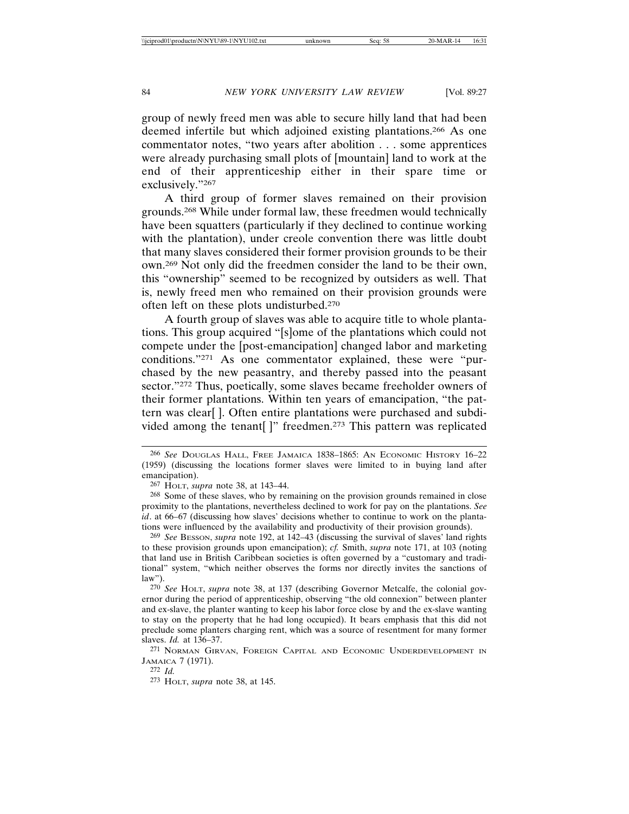group of newly freed men was able to secure hilly land that had been deemed infertile but which adjoined existing plantations.266 As one commentator notes, "two years after abolition . . . some apprentices were already purchasing small plots of [mountain] land to work at the end of their apprenticeship either in their spare time or exclusively."267

A third group of former slaves remained on their provision grounds.268 While under formal law, these freedmen would technically have been squatters (particularly if they declined to continue working with the plantation), under creole convention there was little doubt that many slaves considered their former provision grounds to be their own.269 Not only did the freedmen consider the land to be their own, this "ownership" seemed to be recognized by outsiders as well. That is, newly freed men who remained on their provision grounds were often left on these plots undisturbed.270

A fourth group of slaves was able to acquire title to whole plantations. This group acquired "[s]ome of the plantations which could not compete under the [post-emancipation] changed labor and marketing conditions."271 As one commentator explained, these were "purchased by the new peasantry, and thereby passed into the peasant sector."272 Thus, poetically, some slaves became freeholder owners of their former plantations. Within ten years of emancipation, "the pattern was clear[ ]. Often entire plantations were purchased and subdivided among the tenant[]" freedmen.<sup>273</sup> This pattern was replicated

<sup>266</sup> *See* DOUGLAS HALL, FREE JAMAICA 1838–1865: AN ECONOMIC HISTORY 16–22 (1959) (discussing the locations former slaves were limited to in buying land after emancipation).

<sup>267</sup> HOLT, *supra* note 38, at 143–44.

<sup>268</sup> Some of these slaves, who by remaining on the provision grounds remained in close proximity to the plantations, nevertheless declined to work for pay on the plantations. *See id*. at 66–67 (discussing how slaves' decisions whether to continue to work on the plantations were influenced by the availability and productivity of their provision grounds).

<sup>269</sup> *See* BESSON, *supra* note 192, at 142–43 (discussing the survival of slaves' land rights to these provision grounds upon emancipation); *cf.* Smith, *supra* note 171, at 103 (noting that land use in British Caribbean societies is often governed by a "customary and traditional" system, "which neither observes the forms nor directly invites the sanctions of law").

<sup>270</sup> *See* HOLT, *supra* note 38, at 137 (describing Governor Metcalfe, the colonial governor during the period of apprenticeship, observing "the old connexion" between planter and ex-slave, the planter wanting to keep his labor force close by and the ex-slave wanting to stay on the property that he had long occupied). It bears emphasis that this did not preclude some planters charging rent, which was a source of resentment for many former slaves. *Id.* at 136–37.

<sup>271</sup> NORMAN GIRVAN, FOREIGN CAPITAL AND ECONOMIC UNDERDEVELOPMENT IN JAMAICA 7 (1971).

<sup>272</sup> *Id.*

<sup>273</sup> HOLT, *supra* note 38, at 145.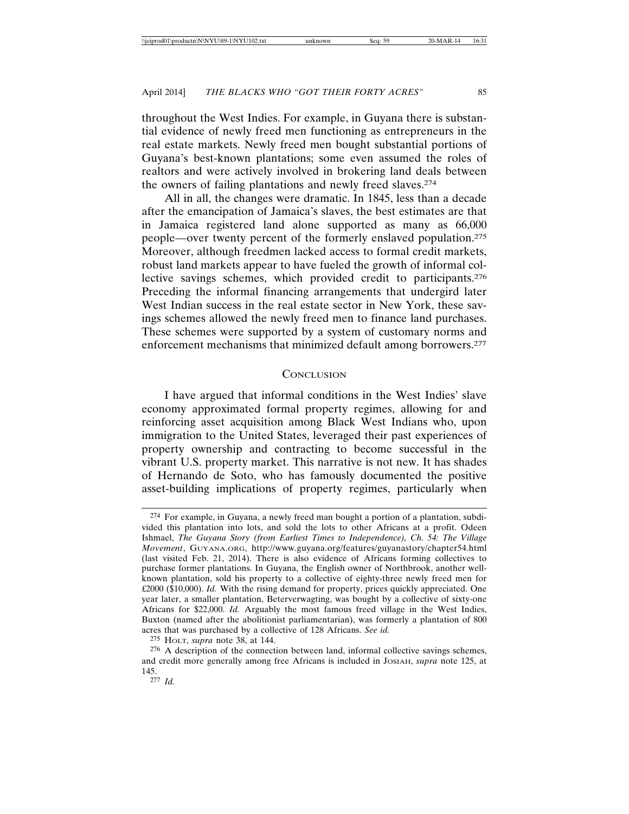throughout the West Indies. For example, in Guyana there is substantial evidence of newly freed men functioning as entrepreneurs in the real estate markets. Newly freed men bought substantial portions of Guyana's best-known plantations; some even assumed the roles of realtors and were actively involved in brokering land deals between the owners of failing plantations and newly freed slaves.274

All in all, the changes were dramatic. In 1845, less than a decade after the emancipation of Jamaica's slaves, the best estimates are that in Jamaica registered land alone supported as many as 66,000 people—over twenty percent of the formerly enslaved population.275 Moreover, although freedmen lacked access to formal credit markets, robust land markets appear to have fueled the growth of informal collective savings schemes, which provided credit to participants.276 Preceding the informal financing arrangements that undergird later West Indian success in the real estate sector in New York, these savings schemes allowed the newly freed men to finance land purchases. These schemes were supported by a system of customary norms and enforcement mechanisms that minimized default among borrowers.277

### **CONCLUSION**

I have argued that informal conditions in the West Indies' slave economy approximated formal property regimes, allowing for and reinforcing asset acquisition among Black West Indians who, upon immigration to the United States, leveraged their past experiences of property ownership and contracting to become successful in the vibrant U.S. property market. This narrative is not new. It has shades of Hernando de Soto, who has famously documented the positive asset-building implications of property regimes, particularly when

<sup>274</sup> For example, in Guyana, a newly freed man bought a portion of a plantation, subdivided this plantation into lots, and sold the lots to other Africans at a profit. Odeen Ishmael, *The Guyana Story (from Earliest Times to Independence), Ch. 54: The Village Movement*, GUYANA.ORG, http://www.guyana.org/features/guyanastory/chapter54.html (last visited Feb. 21, 2014). There is also evidence of Africans forming collectives to purchase former plantations. In Guyana, the English owner of Northbrook, another wellknown plantation, sold his property to a collective of eighty-three newly freed men for £2000 (\$10,000). *Id.* With the rising demand for property, prices quickly appreciated. One year later, a smaller plantation, Beterverwagting, was bought by a collective of sixty-one Africans for \$22,000. *Id.* Arguably the most famous freed village in the West Indies, Buxton (named after the abolitionist parliamentarian), was formerly a plantation of 800 acres that was purchased by a collective of 128 Africans. *See id.* 

<sup>275</sup> HOLT, *supra* note 38, at 144.

<sup>276</sup> A description of the connection between land, informal collective savings schemes, and credit more generally among free Africans is included in JOSIAH, *supra* note 125, at 145.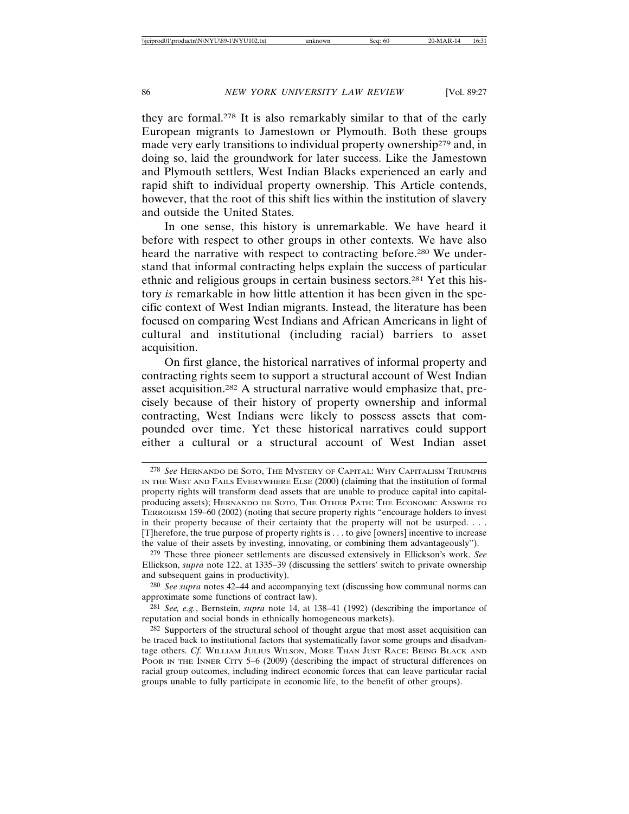they are formal.278 It is also remarkably similar to that of the early European migrants to Jamestown or Plymouth. Both these groups made very early transitions to individual property ownership<sup>279</sup> and, in doing so, laid the groundwork for later success. Like the Jamestown and Plymouth settlers, West Indian Blacks experienced an early and rapid shift to individual property ownership. This Article contends, however, that the root of this shift lies within the institution of slavery and outside the United States.

In one sense, this history is unremarkable. We have heard it before with respect to other groups in other contexts. We have also heard the narrative with respect to contracting before.280 We understand that informal contracting helps explain the success of particular ethnic and religious groups in certain business sectors.281 Yet this history *is* remarkable in how little attention it has been given in the specific context of West Indian migrants. Instead, the literature has been focused on comparing West Indians and African Americans in light of cultural and institutional (including racial) barriers to asset acquisition.

On first glance, the historical narratives of informal property and contracting rights seem to support a structural account of West Indian asset acquisition.282 A structural narrative would emphasize that, precisely because of their history of property ownership and informal contracting, West Indians were likely to possess assets that compounded over time. Yet these historical narratives could support either a cultural or a structural account of West Indian asset

<sup>278</sup> *See* HERNANDO DE SOTO, THE MYSTERY OF CAPITAL: WHY CAPITALISM TRIUMPHS IN THE WEST AND FAILS EVERYWHERE ELSE (2000) (claiming that the institution of formal property rights will transform dead assets that are unable to produce capital into capitalproducing assets); HERNANDO DE SOTO, THE OTHER PATH: THE ECONOMIC ANSWER TO TERRORISM 159–60 (2002) (noting that secure property rights "encourage holders to invest in their property because of their certainty that the property will not be usurped. . . . [T]herefore, the true purpose of property rights is . . . to give [owners] incentive to increase the value of their assets by investing, innovating, or combining them advantageously").

<sup>279</sup> These three pioneer settlements are discussed extensively in Ellickson's work. *See* Ellickson, *supra* note 122, at 1335–39 (discussing the settlers' switch to private ownership and subsequent gains in productivity).

<sup>280</sup> *See supra* notes 42–44 and accompanying text (discussing how communal norms can approximate some functions of contract law).

<sup>281</sup> *See, e.g.*, Bernstein, *supra* note 14, at 138–41 (1992) (describing the importance of reputation and social bonds in ethnically homogeneous markets).

<sup>&</sup>lt;sup>282</sup> Supporters of the structural school of thought argue that most asset acquisition can be traced back to institutional factors that systematically favor some groups and disadvantage others. *Cf.* WILLIAM JULIUS WILSON, MORE THAN JUST RACE: BEING BLACK AND POOR IN THE INNER CITY 5–6 (2009) (describing the impact of structural differences on racial group outcomes, including indirect economic forces that can leave particular racial groups unable to fully participate in economic life, to the benefit of other groups).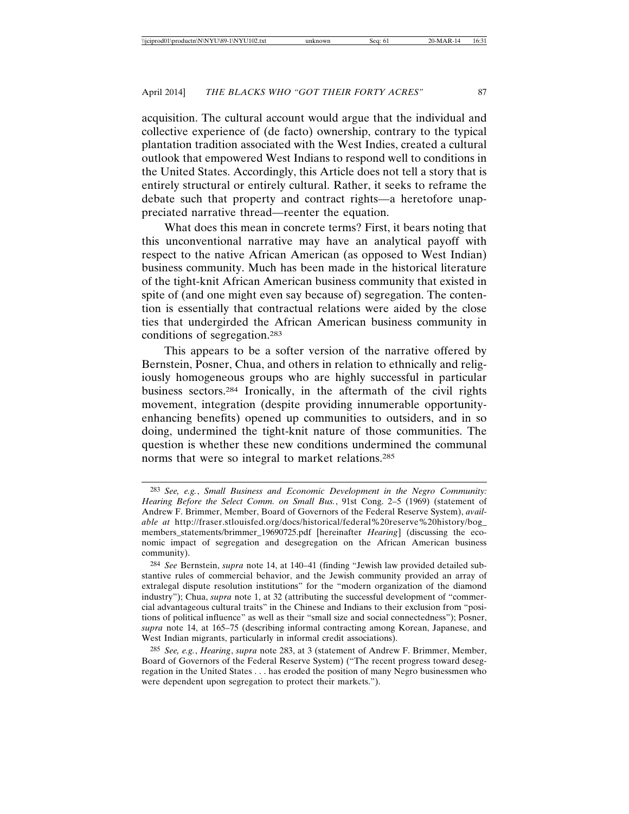acquisition. The cultural account would argue that the individual and collective experience of (de facto) ownership, contrary to the typical plantation tradition associated with the West Indies, created a cultural outlook that empowered West Indians to respond well to conditions in the United States. Accordingly, this Article does not tell a story that is entirely structural or entirely cultural. Rather, it seeks to reframe the debate such that property and contract rights—a heretofore unappreciated narrative thread—reenter the equation.

What does this mean in concrete terms? First, it bears noting that this unconventional narrative may have an analytical payoff with respect to the native African American (as opposed to West Indian) business community. Much has been made in the historical literature of the tight-knit African American business community that existed in spite of (and one might even say because of) segregation. The contention is essentially that contractual relations were aided by the close ties that undergirded the African American business community in conditions of segregation.283

This appears to be a softer version of the narrative offered by Bernstein, Posner, Chua, and others in relation to ethnically and religiously homogeneous groups who are highly successful in particular business sectors.284 Ironically, in the aftermath of the civil rights movement, integration (despite providing innumerable opportunityenhancing benefits) opened up communities to outsiders, and in so doing, undermined the tight-knit nature of those communities. The question is whether these new conditions undermined the communal norms that were so integral to market relations.285

<sup>283</sup> *See, e.g.*, *Small Business and Economic Development in the Negro Community: Hearing Before the Select Comm. on Small Bus.*, 91st Cong. 2–5 (1969) (statement of Andrew F. Brimmer, Member, Board of Governors of the Federal Reserve System), *available at* http://fraser.stlouisfed.org/docs/historical/federal%20reserve%20history/bog\_ members\_statements/brimmer\_19690725.pdf [hereinafter *Hearing*] (discussing the economic impact of segregation and desegregation on the African American business community).

<sup>284</sup> *See* Bernstein, *supra* note 14, at 140–41 (finding "Jewish law provided detailed substantive rules of commercial behavior, and the Jewish community provided an array of extralegal dispute resolution institutions" for the "modern organization of the diamond industry"); Chua, *supra* note 1, at 32 (attributing the successful development of "commercial advantageous cultural traits" in the Chinese and Indians to their exclusion from "positions of political influence" as well as their "small size and social connectedness"); Posner, *supra* note 14, at 165–75 (describing informal contracting among Korean, Japanese, and West Indian migrants, particularly in informal credit associations).

<sup>285</sup> *See, e.g.*, *Hearing*, *supra* note 283, at 3 (statement of Andrew F. Brimmer, Member, Board of Governors of the Federal Reserve System) ("The recent progress toward desegregation in the United States . . . has eroded the position of many Negro businessmen who were dependent upon segregation to protect their markets.").